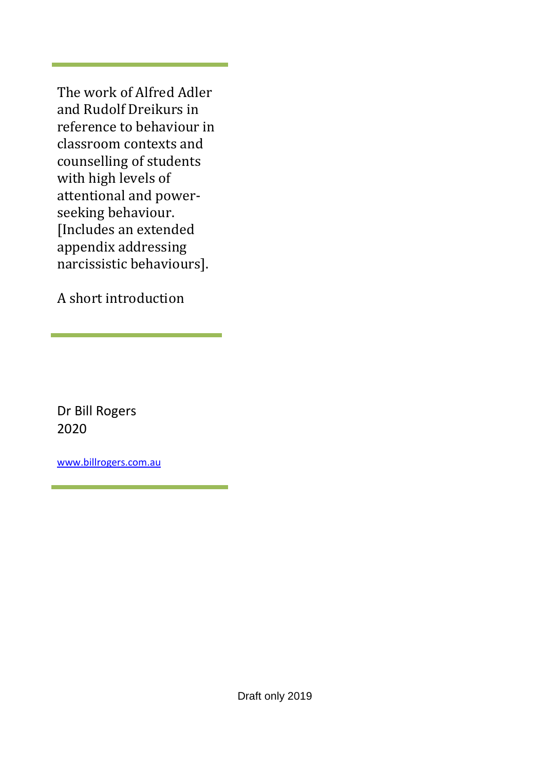The work of Alfred Adler and Rudolf Dreikurs in reference to behaviour in classroom contexts and counselling of students with high levels of attentional and powerseeking behaviour. [Includes an extended appendix addressing narcissistic behaviours].

A short introduction

Dr Bill Rogers 2020

[www.billrogers.com.au](http://www.billrogers.com.au/)

Draft only 2019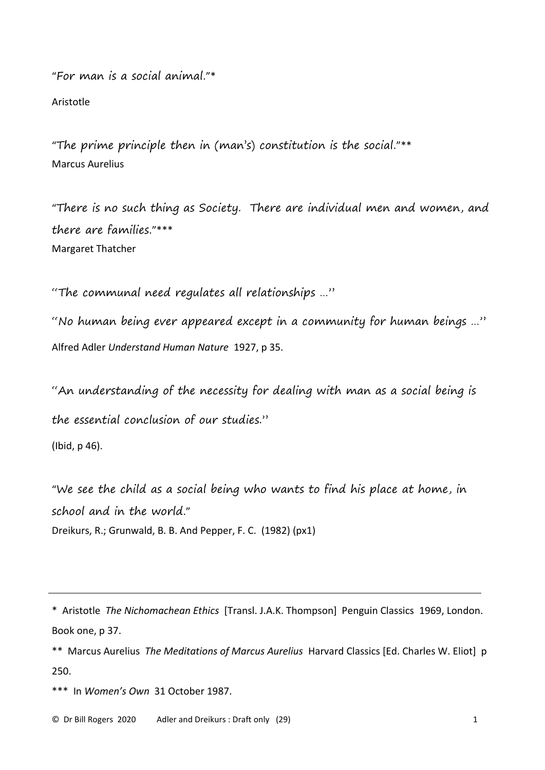"For man is a social animal."\*

Aristotle

"The prime principle then in (man's) constitution is the social."\*\* Marcus Aurelius

"There is no such thing as Society. There are individual men and women, and there are families."\*\*\* Margaret Thatcher

"The communal need regulates all relationships …"

"No human being ever appeared except in a community for human beings …" Alfred Adler *Understand Human Nature* 1927, p 35.

"An understanding of the necessity for dealing with man as a social being is the essential conclusion of our studies."

(Ibid, p 46).

"We see the child as a social being who wants to find his place at home, in school and in the world." Dreikurs, R.; Grunwald, B. B. And Pepper, F. C. (1982) (px1)

\* Aristotle *The Nichomachean Ethics* [Transl. J.A.K. Thompson] Penguin Classics 1969, London. Book one, p 37.

\*\* Marcus Aurelius *The Meditations of Marcus Aurelius* Harvard Classics [Ed. Charles W. Eliot] p 250.

\*\*\* In *Women's Own* 31 October 1987.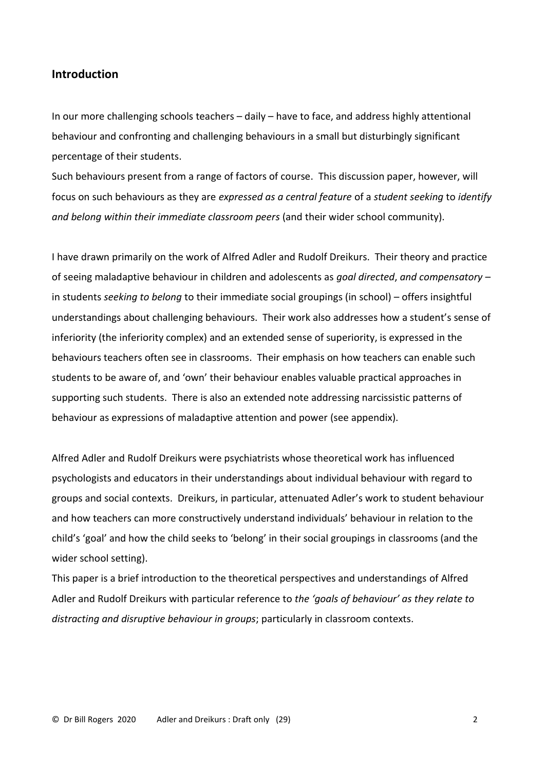# **Introduction**

In our more challenging schools teachers – daily – have to face, and address highly attentional behaviour and confronting and challenging behaviours in a small but disturbingly significant percentage of their students.

Such behaviours present from a range of factors of course. This discussion paper, however, will focus on such behaviours as they are *expressed as a central feature* of a *student seeking* to *identify and belong within their immediate classroom peers* (and their wider school community).

I have drawn primarily on the work of Alfred Adler and Rudolf Dreikurs. Their theory and practice of seeing maladaptive behaviour in children and adolescents as *goal directed*, *and compensatory* – in students *seeking to belong* to their immediate social groupings (in school) – offers insightful understandings about challenging behaviours. Their work also addresses how a student's sense of inferiority (the inferiority complex) and an extended sense of superiority, is expressed in the behaviours teachers often see in classrooms. Their emphasis on how teachers can enable such students to be aware of, and 'own' their behaviour enables valuable practical approaches in supporting such students. There is also an extended note addressing narcissistic patterns of behaviour as expressions of maladaptive attention and power (see appendix).

Alfred Adler and Rudolf Dreikurs were psychiatrists whose theoretical work has influenced psychologists and educators in their understandings about individual behaviour with regard to groups and social contexts. Dreikurs, in particular, attenuated Adler's work to student behaviour and how teachers can more constructively understand individuals' behaviour in relation to the child's 'goal' and how the child seeks to 'belong' in their social groupings in classrooms (and the wider school setting).

This paper is a brief introduction to the theoretical perspectives and understandings of Alfred Adler and Rudolf Dreikurs with particular reference to *the 'goals of behaviour' as they relate to distracting and disruptive behaviour in groups*; particularly in classroom contexts.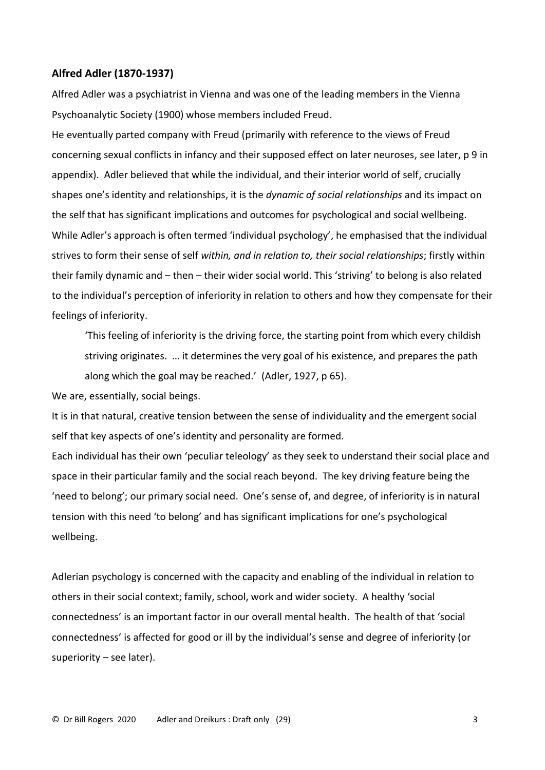#### **Alfred Adler (1870-1937)**

Alfred Adler was a psychiatrist in Vienna and was one of the leading members in the Vienna Psychoanalytic Society (1900) whose members included Freud.

He eventually parted company with Freud (primarily with reference to the views of Freud concerning sexual conflicts in infancy and their supposed effect on later neuroses, see later, p 9 in appendix). Adler believed that while the individual, and their interior world of self, crucially shapes one's identity and relationships, it is the *dynamic of social relationships* and its impact on the self that has significant implications and outcomes for psychological and social wellbeing. While Adler's approach is often termed 'individual psychology', he emphasised that the individual strives to form their sense of self *within, and in relation to, their social relationships*; firstly within their family dynamic and – then – their wider social world. This 'striving' to belong is also related to the individual's perception of inferiority in relation to others and how they compensate for their feelings of inferiority.

'This feeling of inferiority is the driving force, the starting point from which every childish striving originates. … it determines the very goal of his existence, and prepares the path along which the goal may be reached.' (Adler, 1927, p 65).

We are, essentially, social beings.

It is in that natural, creative tension between the sense of individuality and the emergent social self that key aspects of one's identity and personality are formed.

Each individual has their own 'peculiar teleology' as they seek to understand their social place and space in their particular family and the social reach beyond. The key driving feature being the 'need to belong'; our primary social need. One's sense of, and degree, of inferiority is in natural tension with this need 'to belong' and has significant implications for one's psychological wellbeing.

Adlerian psychology is concerned with the capacity and enabling of the individual in relation to others in their social context; family, school, work and wider society. A healthy 'social connectedness' is an important factor in our overall mental health. The health of that 'social connectedness' is affected for good or ill by the individual's sense and degree of inferiority (or superiority – see later).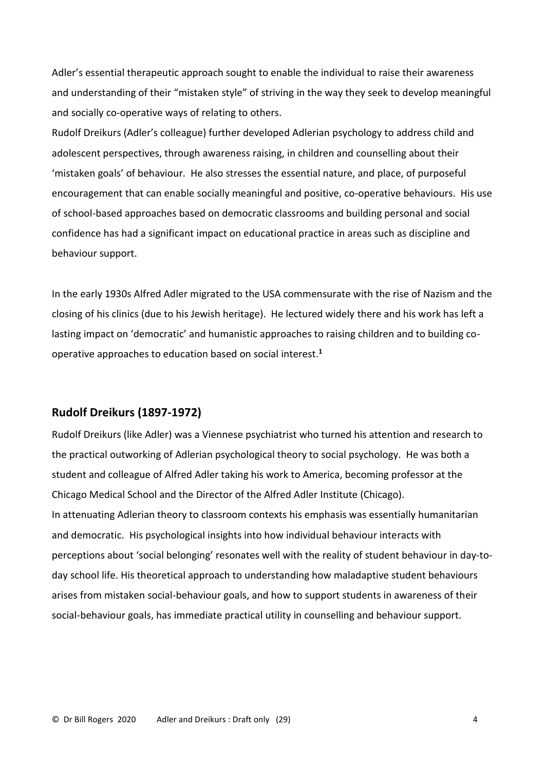Adler's essential therapeutic approach sought to enable the individual to raise their awareness and understanding of their "mistaken style" of striving in the way they seek to develop meaningful and socially co-operative ways of relating to others.

Rudolf Dreikurs (Adler's colleague) further developed Adlerian psychology to address child and adolescent perspectives, through awareness raising, in children and counselling about their 'mistaken goals' of behaviour. He also stresses the essential nature, and place, of purposeful encouragement that can enable socially meaningful and positive, co-operative behaviours. His use of school-based approaches based on democratic classrooms and building personal and social confidence has had a significant impact on educational practice in areas such as discipline and behaviour support.

In the early 1930s Alfred Adler migrated to the USA commensurate with the rise of Nazism and the closing of his clinics (due to his Jewish heritage). He lectured widely there and his work has left a lasting impact on 'democratic' and humanistic approaches to raising children and to building cooperative approaches to education based on social interest.**<sup>1</sup>**

# **Rudolf Dreikurs (1897-1972)**

Rudolf Dreikurs (like Adler) was a Viennese psychiatrist who turned his attention and research to the practical outworking of Adlerian psychological theory to social psychology. He was both a student and colleague of Alfred Adler taking his work to America, becoming professor at the Chicago Medical School and the Director of the Alfred Adler Institute (Chicago). In attenuating Adlerian theory to classroom contexts his emphasis was essentially humanitarian and democratic. His psychological insights into how individual behaviour interacts with perceptions about 'social belonging' resonates well with the reality of student behaviour in day-today school life. His theoretical approach to understanding how maladaptive student behaviours arises from mistaken social-behaviour goals, and how to support students in awareness of their social-behaviour goals, has immediate practical utility in counselling and behaviour support.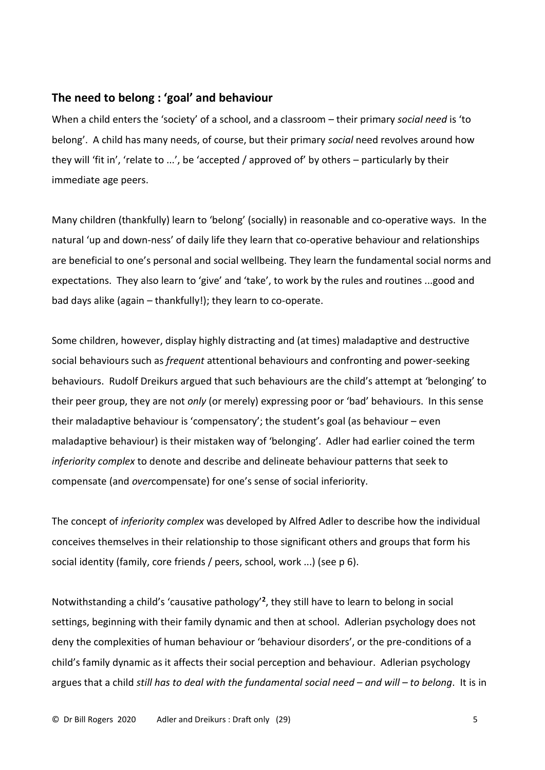# **The need to belong : 'goal' and behaviour**

When a child enters the 'society' of a school, and a classroom – their primary *social need* is 'to belong'. A child has many needs, of course, but their primary *social* need revolves around how they will 'fit in', 'relate to ...', be 'accepted / approved of' by others – particularly by their immediate age peers.

Many children (thankfully) learn to 'belong' (socially) in reasonable and co-operative ways. In the natural 'up and down-ness' of daily life they learn that co-operative behaviour and relationships are beneficial to one's personal and social wellbeing. They learn the fundamental social norms and expectations. They also learn to 'give' and 'take', to work by the rules and routines ...good and bad days alike (again – thankfully!); they learn to co-operate.

Some children, however, display highly distracting and (at times) maladaptive and destructive social behaviours such as *frequent* attentional behaviours and confronting and power-seeking behaviours. Rudolf Dreikurs argued that such behaviours are the child's attempt at 'belonging' to their peer group, they are not *only* (or merely) expressing poor or 'bad' behaviours. In this sense their maladaptive behaviour is 'compensatory'; the student's goal (as behaviour – even maladaptive behaviour) is their mistaken way of 'belonging'. Adler had earlier coined the term *inferiority complex* to denote and describe and delineate behaviour patterns that seek to compensate (and *over*compensate) for one's sense of social inferiority.

The concept of *inferiority complex* was developed by Alfred Adler to describe how the individual conceives themselves in their relationship to those significant others and groups that form his social identity (family, core friends / peers, school, work ...) (see p 6).

Notwithstanding a child's 'causative pathology'**<sup>2</sup>** , they still have to learn to belong in social settings, beginning with their family dynamic and then at school. Adlerian psychology does not deny the complexities of human behaviour or 'behaviour disorders', or the pre-conditions of a child's family dynamic as it affects their social perception and behaviour. Adlerian psychology argues that a child *still has to deal with the fundamental social need – and will – to belong*. It is in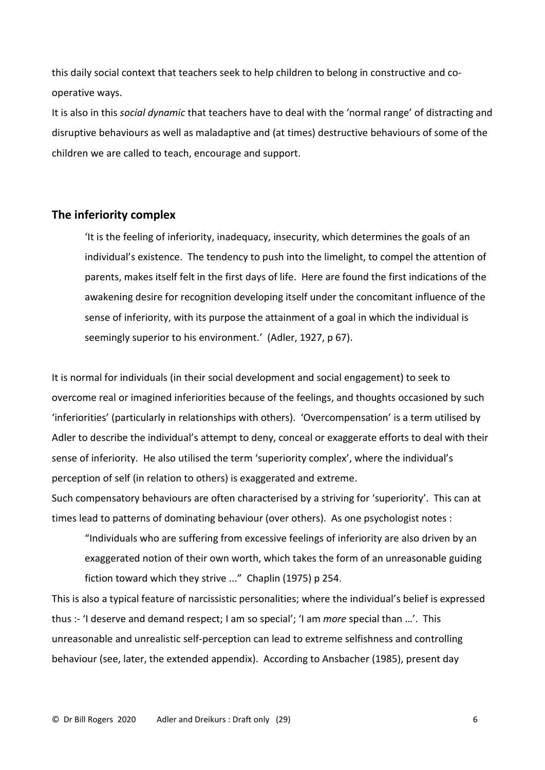this daily social context that teachers seek to help children to belong in constructive and cooperative ways.

It is also in this *social dynamic* that teachers have to deal with the 'normal range' of distracting and disruptive behaviours as well as maladaptive and (at times) destructive behaviours of some of the children we are called to teach, encourage and support.

## **The inferiority complex**

'It is the feeling of inferiority, inadequacy, insecurity, which determines the goals of an individual's existence. The tendency to push into the limelight, to compel the attention of parents, makes itself felt in the first days of life. Here are found the first indications of the awakening desire for recognition developing itself under the concomitant influence of the sense of inferiority, with its purpose the attainment of a goal in which the individual is seemingly superior to his environment.' (Adler, 1927, p 67).

It is normal for individuals (in their social development and social engagement) to seek to overcome real or imagined inferiorities because of the feelings, and thoughts occasioned by such 'inferiorities' (particularly in relationships with others). 'Overcompensation' is a term utilised by Adler to describe the individual's attempt to deny, conceal or exaggerate efforts to deal with their sense of inferiority. He also utilised the term 'superiority complex', where the individual's perception of self (in relation to others) is exaggerated and extreme.

Such compensatory behaviours are often characterised by a striving for 'superiority'. This can at times lead to patterns of dominating behaviour (over others). As one psychologist notes :

"Individuals who are suffering from excessive feelings of inferiority are also driven by an exaggerated notion of their own worth, which takes the form of an unreasonable guiding fiction toward which they strive ..." Chaplin (1975) p 254.

This is also a typical feature of narcissistic personalities; where the individual's belief is expressed thus :- 'I deserve and demand respect; I am so special'; 'I am *more* special than …'. This unreasonable and unrealistic self-perception can lead to extreme selfishness and controlling behaviour (see, later, the extended appendix). According to Ansbacher (1985), present day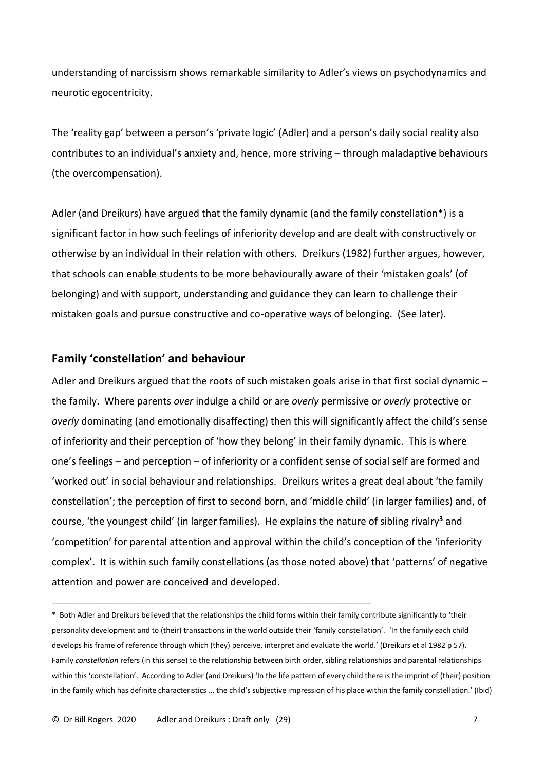understanding of narcissism shows remarkable similarity to Adler's views on psychodynamics and neurotic egocentricity.

The 'reality gap' between a person's 'private logic' (Adler) and a person's daily social reality also contributes to an individual's anxiety and, hence, more striving – through maladaptive behaviours (the overcompensation).

Adler (and Dreikurs) have argued that the family dynamic (and the family constellation\*) is a significant factor in how such feelings of inferiority develop and are dealt with constructively or otherwise by an individual in their relation with others. Dreikurs (1982) further argues, however, that schools can enable students to be more behaviourally aware of their 'mistaken goals' (of belonging) and with support, understanding and guidance they can learn to challenge their mistaken goals and pursue constructive and co-operative ways of belonging. (See later).

# **Family 'constellation' and behaviour**

Adler and Dreikurs argued that the roots of such mistaken goals arise in that first social dynamic the family. Where parents *over* indulge a child or are *overly* permissive or *overly* protective or *overly* dominating (and emotionally disaffecting) then this will significantly affect the child's sense of inferiority and their perception of 'how they belong' in their family dynamic. This is where one's feelings – and perception – of inferiority or a confident sense of social self are formed and 'worked out' in social behaviour and relationships. Dreikurs writes a great deal about 'the family constellation'; the perception of first to second born, and 'middle child' (in larger families) and, of course, 'the youngest child' (in larger families). He explains the nature of sibling rivalry**<sup>3</sup>** and 'competition' for parental attention and approval within the child's conception of the 'inferiority complex'. It is within such family constellations (as those noted above) that 'patterns' of negative attention and power are conceived and developed.

\* Both Adler and Dreikurs believed that the relationships the child forms within their family contribute significantly to 'their personality development and to (their) transactions in the world outside their 'family constellation'. 'In the family each child develops his frame of reference through which (they) perceive, interpret and evaluate the world.' (Dreikurs et al 1982 p 57). Family *constellation* refers (in this sense) to the relationship between birth order, sibling relationships and parental relationships within this 'constellation'. According to Adler (and Dreikurs) 'In the life pattern of every child there is the imprint of (their) position in the family which has definite characteristics ... the child's subjective impression of his place within the family constellation.' (Ibid)

\_\_\_\_\_\_\_\_\_\_\_\_\_\_\_\_\_\_\_\_\_\_\_\_\_\_\_\_\_\_\_\_\_\_\_\_\_\_\_\_\_\_\_\_\_\_\_\_\_\_\_\_\_\_\_\_\_\_\_\_\_\_\_\_\_\_\_\_\_\_\_\_\_\_\_\_\_\_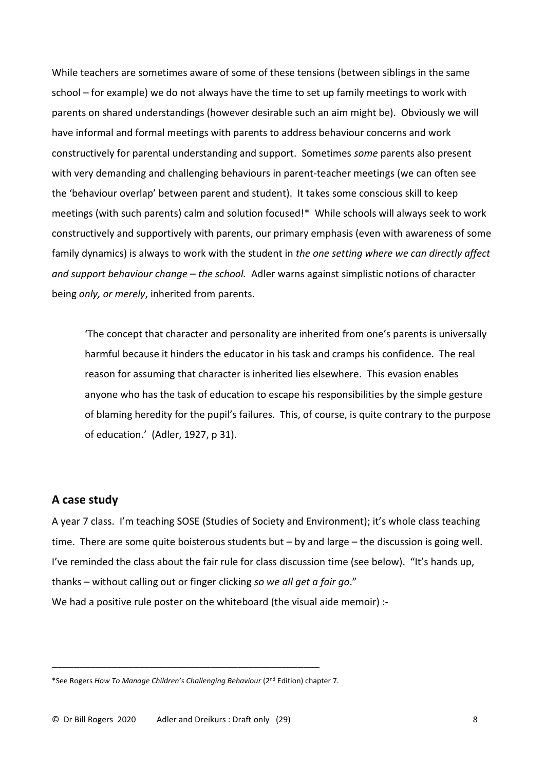While teachers are sometimes aware of some of these tensions (between siblings in the same school – for example) we do not always have the time to set up family meetings to work with parents on shared understandings (however desirable such an aim might be). Obviously we will have informal and formal meetings with parents to address behaviour concerns and work constructively for parental understanding and support. Sometimes *some* parents also present with very demanding and challenging behaviours in parent-teacher meetings (we can often see the 'behaviour overlap' between parent and student). It takes some conscious skill to keep meetings (with such parents) calm and solution focused!\* While schools will always seek to work constructively and supportively with parents, our primary emphasis (even with awareness of some family dynamics) is always to work with the student in *the one setting where we can directly affect and support behaviour change – the school.* Adler warns against simplistic notions of character being *only, or merely*, inherited from parents.

'The concept that character and personality are inherited from one's parents is universally harmful because it hinders the educator in his task and cramps his confidence. The real reason for assuming that character is inherited lies elsewhere. This evasion enables anyone who has the task of education to escape his responsibilities by the simple gesture of blaming heredity for the pupil's failures. This, of course, is quite contrary to the purpose of education.' (Adler, 1927, p 31).

# **A case study**

A year 7 class. I'm teaching SOSE (Studies of Society and Environment); it's whole class teaching time. There are some quite boisterous students but – by and large – the discussion is going well. I've reminded the class about the fair rule for class discussion time (see below). "It's hands up, thanks – without calling out or finger clicking *so we all get a fair go*." We had a positive rule poster on the whiteboard (the visual aide memoir) :-

\_\_\_\_\_\_\_\_\_\_\_\_\_\_\_\_\_\_\_\_\_\_\_\_\_\_\_\_\_\_\_\_\_\_\_\_\_\_\_\_\_\_\_\_\_\_\_\_\_

<sup>\*</sup>See Rogers *How To Manage Children's Challenging Behaviour* (2nd Edition) chapter 7.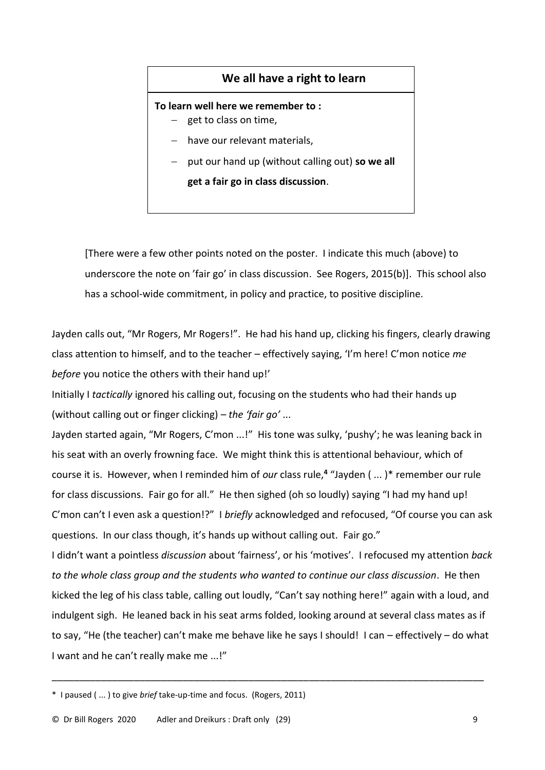# **We all have a right to learn**

#### **To learn well here we remember to :**

- − get to class on time,
- have our relevant materials.
- − put our hand up (without calling out) **so we all**

**get a fair go in class discussion**.

[There were a few other points noted on the poster. I indicate this much (above) to underscore the note on 'fair go' in class discussion. See Rogers, 2015(b)]. This school also has a school-wide commitment, in policy and practice, to positive discipline.

Jayden calls out, "Mr Rogers, Mr Rogers!". He had his hand up, clicking his fingers, clearly drawing class attention to himself, and to the teacher – effectively saying, 'I'm here! C'mon notice *me before* you notice the others with their hand up!'

Initially I *tactically* ignored his calling out, focusing on the students who had their hands up (without calling out or finger clicking) – *the 'fair go'* ...

Jayden started again, "Mr Rogers, C'mon ...!" His tone was sulky, 'pushy'; he was leaning back in his seat with an overly frowning face. We might think this is attentional behaviour, which of course it is. However, when I reminded him of *our* class rule,**<sup>4</sup>** "Jayden ( ... )\* remember our rule for class discussions. Fair go for all." He then sighed (oh so loudly) saying "I had my hand up! C'mon can't I even ask a question!?" I *briefly* acknowledged and refocused, "Of course you can ask questions. In our class though, it's hands up without calling out. Fair go."

I didn't want a pointless *discussion* about 'fairness', or his 'motives'. I refocused my attention *back to the whole class group and the students who wanted to continue our class discussion*. He then kicked the leg of his class table, calling out loudly, "Can't say nothing here!" again with a loud, and indulgent sigh. He leaned back in his seat arms folded, looking around at several class mates as if to say, "He (the teacher) can't make me behave like he says I should! I can – effectively – do what I want and he can't really make me ...!"

\_\_\_\_\_\_\_\_\_\_\_\_\_\_\_\_\_\_\_\_\_\_\_\_\_\_\_\_\_\_\_\_\_\_\_\_\_\_\_\_\_\_\_\_\_\_\_\_\_\_\_\_\_\_\_\_\_\_\_\_\_\_\_\_\_\_\_\_\_\_\_\_\_\_\_\_\_\_\_

<sup>\*</sup> I paused ( ... ) to give *brief* take-up-time and focus. (Rogers, 2011)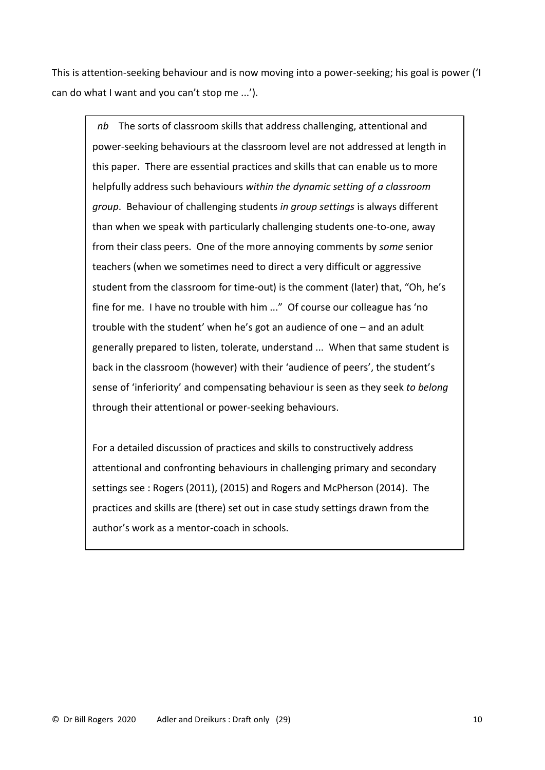This is attention-seeking behaviour and is now moving into a power-seeking; his goal is power ('I can do what I want and you can't stop me ...').

 *nb* The sorts of classroom skills that address challenging, attentional and power-seeking behaviours at the classroom level are not addressed at length in this paper. There are essential practices and skills that can enable us to more helpfully address such behaviours *within the dynamic setting of a classroom group*. Behaviour of challenging students *in group settings* is always different than when we speak with particularly challenging students one-to-one, away from their class peers. One of the more annoying comments by *some* senior teachers (when we sometimes need to direct a very difficult or aggressive student from the classroom for time-out) is the comment (later) that, "Oh, he's fine for me. I have no trouble with him ..." Of course our colleague has 'no trouble with the student' when he's got an audience of one – and an adult generally prepared to listen, tolerate, understand ... When that same student is back in the classroom (however) with their 'audience of peers', the student's sense of 'inferiority' and compensating behaviour is seen as they seek *to belong* through their attentional or power-seeking behaviours.

For a detailed discussion of practices and skills to constructively address attentional and confronting behaviours in challenging primary and secondary settings see : Rogers (2011), (2015) and Rogers and McPherson (2014). The practices and skills are (there) set out in case study settings drawn from the author's work as a mentor-coach in schools.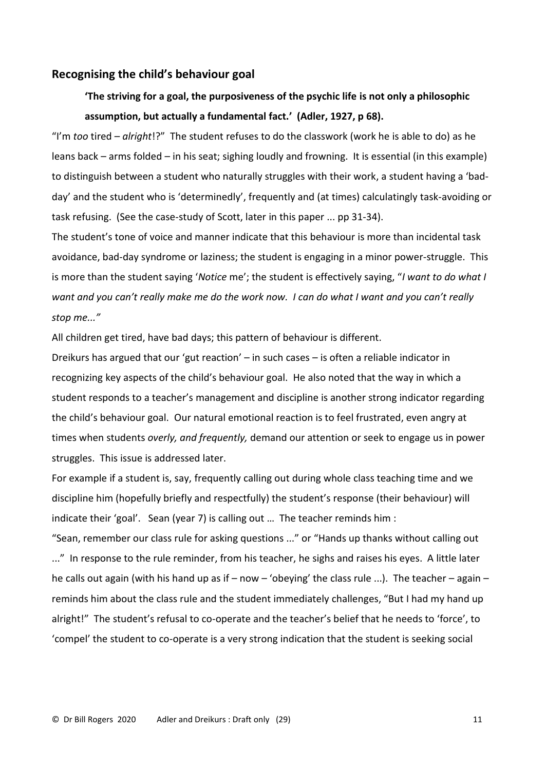### **Recognising the child's behaviour goal**

# **'The striving for a goal, the purposiveness of the psychic life is not only a philosophic assumption, but actually a fundamental fact.' (Adler, 1927, p 68).**

"I'm *too* tired – *alright*!?" The student refuses to do the classwork (work he is able to do) as he leans back – arms folded – in his seat; sighing loudly and frowning. It is essential (in this example) to distinguish between a student who naturally struggles with their work, a student having a 'badday' and the student who is 'determinedly', frequently and (at times) calculatingly task-avoiding or task refusing. (See the case-study of Scott, later in this paper ... pp 31-34).

The student's tone of voice and manner indicate that this behaviour is more than incidental task avoidance, bad-day syndrome or laziness; the student is engaging in a minor power-struggle. This is more than the student saying '*Notice* me'; the student is effectively saying, "*I want to do what I want and you can't really make me do the work now. I can do what I want and you can't really stop me..."*

All children get tired, have bad days; this pattern of behaviour is different.

Dreikurs has argued that our 'gut reaction' – in such cases – is often a reliable indicator in recognizing key aspects of the child's behaviour goal. He also noted that the way in which a student responds to a teacher's management and discipline is another strong indicator regarding the child's behaviour goal. Our natural emotional reaction is to feel frustrated, even angry at times when students *overly, and frequently,* demand our attention or seek to engage us in power struggles. This issue is addressed later.

For example if a student is, say, frequently calling out during whole class teaching time and we discipline him (hopefully briefly and respectfully) the student's response (their behaviour) will indicate their 'goal'. Sean (year 7) is calling out … The teacher reminds him :

"Sean, remember our class rule for asking questions ..." or "Hands up thanks without calling out ..." In response to the rule reminder, from his teacher, he sighs and raises his eyes. A little later he calls out again (with his hand up as if – now – 'obeying' the class rule ...). The teacher – again – reminds him about the class rule and the student immediately challenges, "But I had my hand up alright!" The student's refusal to co-operate and the teacher's belief that he needs to 'force', to 'compel' the student to co-operate is a very strong indication that the student is seeking social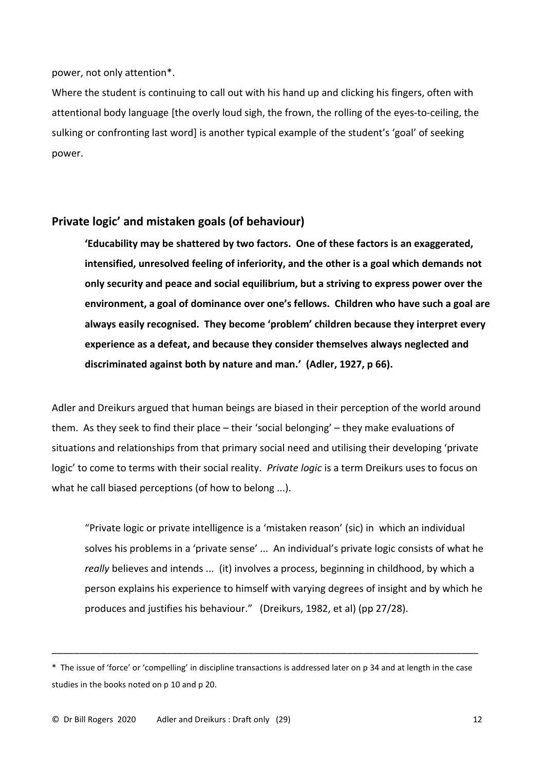#### power, not only attention\*.

Where the student is continuing to call out with his hand up and clicking his fingers, often with attentional body language [the overly loud sigh, the frown, the rolling of the eyes-to-ceiling, the sulking or confronting last word] is another typical example of the student's 'goal' of seeking power.

# **Private logic' and mistaken goals (of behaviour)**

**'Educability may be shattered by two factors. One of these factors is an exaggerated, intensified, unresolved feeling of inferiority, and the other is a goal which demands not only security and peace and social equilibrium, but a striving to express power over the environment, a goal of dominance over one's fellows. Children who have such a goal are always easily recognised. They become 'problem' children because they interpret every experience as a defeat, and because they consider themselves always neglected and discriminated against both by nature and man.' (Adler, 1927, p 66).**

Adler and Dreikurs argued that human beings are biased in their perception of the world around them. As they seek to find their place – their 'social belonging' – they make evaluations of situations and relationships from that primary social need and utilising their developing 'private logic' to come to terms with their social reality. *Private logic* is a term Dreikurs uses to focus on what he call biased perceptions (of how to belong ...).

"Private logic or private intelligence is a 'mistaken reason' (sic) in which an individual solves his problems in a 'private sense' ... An individual's private logic consists of what he *really* believes and intends ... (it) involves a process, beginning in childhood, by which a person explains his experience to himself with varying degrees of insight and by which he produces and justifies his behaviour." (Dreikurs, 1982, et al) (pp 27/28).

\_\_\_\_\_\_\_\_\_\_\_\_\_\_\_\_\_\_\_\_\_\_\_\_\_\_\_\_\_\_\_\_\_\_\_\_\_\_\_\_\_\_\_\_\_\_\_\_\_\_\_\_\_\_\_\_\_\_\_\_\_\_\_\_\_\_\_\_\_\_\_\_\_\_\_\_\_\_

<sup>\*</sup> The issue of 'force' or 'compelling' in discipline transactions is addressed later on p 34 and at length in the case studies in the books noted on p 10 and p 20.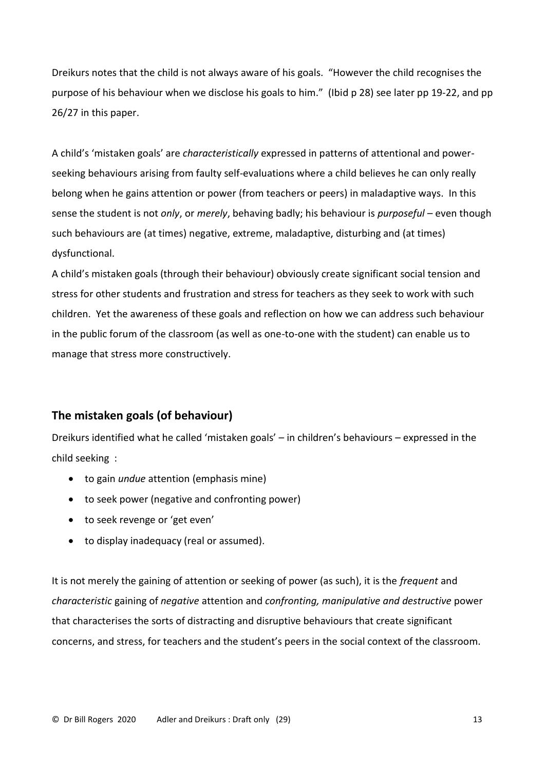Dreikurs notes that the child is not always aware of his goals. "However the child recognises the purpose of his behaviour when we disclose his goals to him." (Ibid p 28) see later pp 19-22, and pp 26/27 in this paper.

A child's 'mistaken goals' are *characteristically* expressed in patterns of attentional and powerseeking behaviours arising from faulty self-evaluations where a child believes he can only really belong when he gains attention or power (from teachers or peers) in maladaptive ways. In this sense the student is not *only*, or *merely*, behaving badly; his behaviour is *purposeful* – even though such behaviours are (at times) negative, extreme, maladaptive, disturbing and (at times) dysfunctional.

A child's mistaken goals (through their behaviour) obviously create significant social tension and stress for other students and frustration and stress for teachers as they seek to work with such children. Yet the awareness of these goals and reflection on how we can address such behaviour in the public forum of the classroom (as well as one-to-one with the student) can enable us to manage that stress more constructively.

# **The mistaken goals (of behaviour)**

Dreikurs identified what he called 'mistaken goals' – in children's behaviours – expressed in the child seeking :

- to gain *undue* attention (emphasis mine)
- to seek power (negative and confronting power)
- to seek revenge or 'get even'
- to display inadequacy (real or assumed).

It is not merely the gaining of attention or seeking of power (as such), it is the *frequent* and *characteristic* gaining of *negative* attention and *confronting, manipulative and destructive* power that characterises the sorts of distracting and disruptive behaviours that create significant concerns, and stress, for teachers and the student's peers in the social context of the classroom.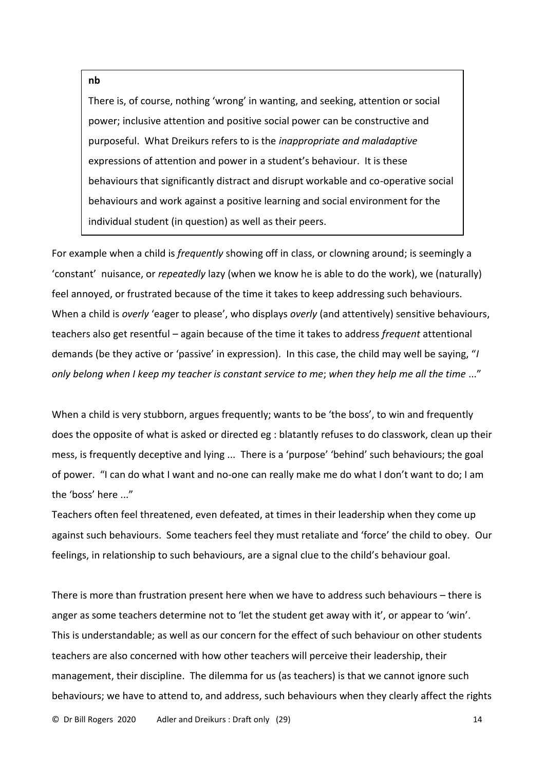#### **nb**

There is, of course, nothing 'wrong' in wanting, and seeking, attention or social power; inclusive attention and positive social power can be constructive and purposeful. What Dreikurs refers to is the *inappropriate and maladaptive* expressions of attention and power in a student's behaviour. It is these behaviours that significantly distract and disrupt workable and co-operative social behaviours and work against a positive learning and social environment for the individual student (in question) as well as their peers.

For example when a child is *frequently* showing off in class, or clowning around; is seemingly a 'constant' nuisance, or *repeatedly* lazy (when we know he is able to do the work), we (naturally) feel annoyed, or frustrated because of the time it takes to keep addressing such behaviours. When a child is *overly* 'eager to please', who displays *overly* (and attentively) sensitive behaviours, teachers also get resentful – again because of the time it takes to address *frequent* attentional demands (be they active or 'passive' in expression). In this case, the child may well be saying, "*I only belong when I keep my teacher is constant service to me*; *when they help me all the time* ..."

When a child is very stubborn, argues frequently; wants to be 'the boss', to win and frequently does the opposite of what is asked or directed eg : blatantly refuses to do classwork, clean up their mess, is frequently deceptive and lying ... There is a 'purpose' 'behind' such behaviours; the goal of power. "I can do what I want and no-one can really make me do what I don't want to do; I am the 'boss' here ..."

Teachers often feel threatened, even defeated, at times in their leadership when they come up against such behaviours. Some teachers feel they must retaliate and 'force' the child to obey. Our feelings, in relationship to such behaviours, are a signal clue to the child's behaviour goal.

There is more than frustration present here when we have to address such behaviours – there is anger as some teachers determine not to 'let the student get away with it', or appear to 'win'. This is understandable; as well as our concern for the effect of such behaviour on other students teachers are also concerned with how other teachers will perceive their leadership, their management, their discipline. The dilemma for us (as teachers) is that we cannot ignore such behaviours; we have to attend to, and address, such behaviours when they clearly affect the rights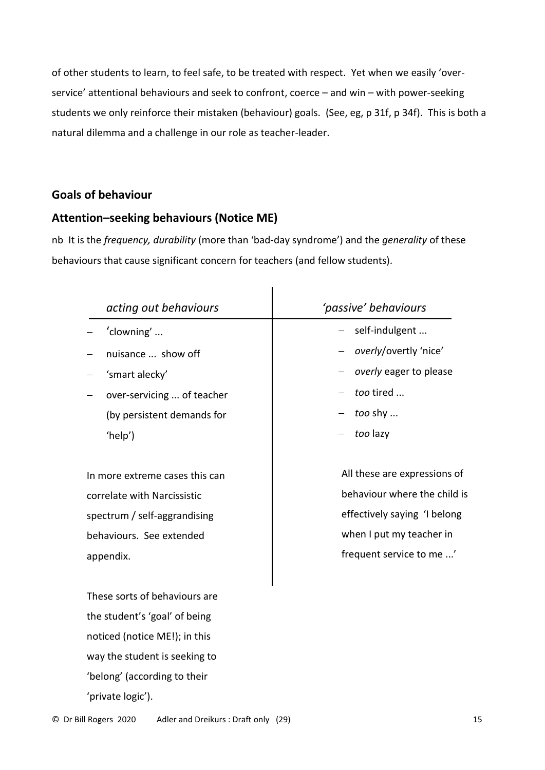of other students to learn, to feel safe, to be treated with respect. Yet when we easily 'overservice' attentional behaviours and seek to confront, coerce – and win – with power-seeking students we only reinforce their mistaken (behaviour) goals. (See, eg, p 31f, p 34f). This is both a natural dilemma and a challenge in our role as teacher-leader.

# **Goals of behaviour**

# **Attention–seeking behaviours (Notice ME)**

nb It is the *frequency, durability* (more than 'bad-day syndrome') and the *generality* of these behaviours that cause significant concern for teachers (and fellow students).

| acting out behaviours          | 'passive' behaviours         |
|--------------------------------|------------------------------|
| 'clowning'                     | self-indulgent               |
| nuisance  show off             | overly/overtly 'nice'        |
| 'smart alecky'                 | overly eager to please       |
| over-servicing  of teacher     | too tired                    |
| (by persistent demands for     | too shy                      |
| 'help')                        | too lazy                     |
| In more extreme cases this can | All these are expressions of |
|                                | behaviour where the child is |
| correlate with Narcissistic    |                              |
| spectrum / self-aggrandising   | effectively saying 'I belong |
| behaviours. See extended       | when I put my teacher in     |
| appendix.                      | frequent service to me '     |
|                                |                              |
| These sorts of behaviours are  |                              |
| the student's 'goal' of being  |                              |
| noticed (notice ME!); in this  |                              |
| way the student is seeking to  |                              |
| 'belong' (according to their   |                              |
| 'private logic').              |                              |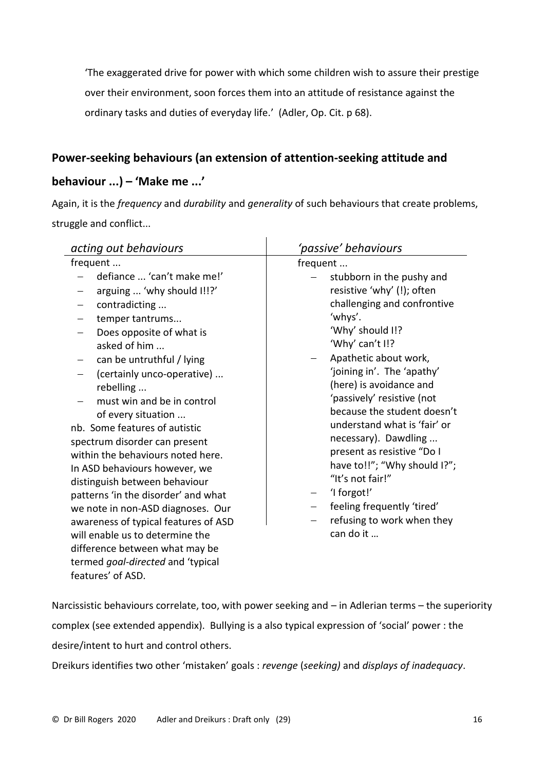'The exaggerated drive for power with which some children wish to assure their prestige over their environment, soon forces them into an attitude of resistance against the ordinary tasks and duties of everyday life.' (Adler, Op. Cit. p 68).

# **Power-seeking behaviours (an extension of attention-seeking attitude and**

# **behaviour ...) – 'Make me ...'**

Again, it is the *frequency* and *durability* and *generality* of such behaviours that create problems, struggle and conflict...

Narcissistic behaviours correlate, too, with power seeking and – in Adlerian terms – the superiority complex (see extended appendix). Bullying is a also typical expression of 'social' power : the desire/intent to hurt and control others.

Dreikurs identifies two other 'mistaken' goals : *revenge* (*seeking)* and *displays of inadequacy*.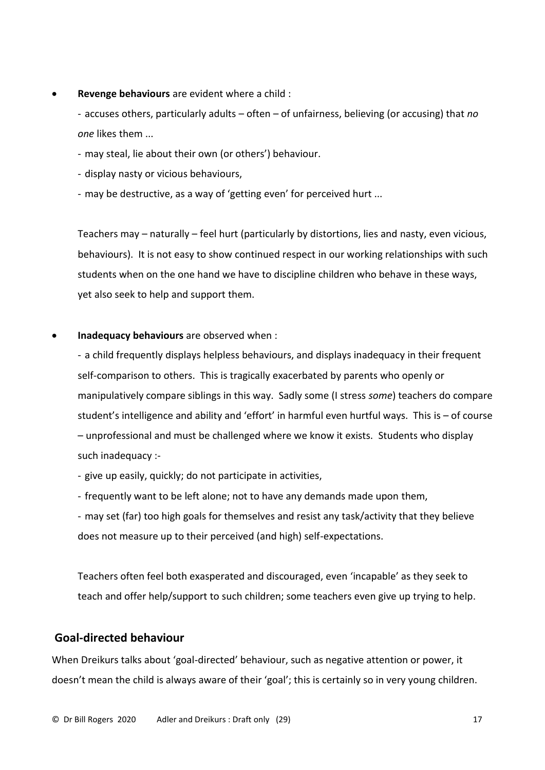• **Revenge behaviours** are evident where a child :

- accuses others, particularly adults – often – of unfairness, believing (or accusing) that *no one* likes them ...

- may steal, lie about their own (or others') behaviour.
- display nasty or vicious behaviours,
- may be destructive, as a way of 'getting even' for perceived hurt ...

Teachers may – naturally – feel hurt (particularly by distortions, lies and nasty, even vicious, behaviours). It is not easy to show continued respect in our working relationships with such students when on the one hand we have to discipline children who behave in these ways, yet also seek to help and support them.

# • **Inadequacy behaviours** are observed when :

- a child frequently displays helpless behaviours, and displays inadequacy in their frequent self-comparison to others. This is tragically exacerbated by parents who openly or manipulatively compare siblings in this way. Sadly some (I stress *some*) teachers do compare student's intelligence and ability and 'effort' in harmful even hurtful ways. This is – of course – unprofessional and must be challenged where we know it exists. Students who display such inadequacy :-

- give up easily, quickly; do not participate in activities,

- frequently want to be left alone; not to have any demands made upon them,
- may set (far) too high goals for themselves and resist any task/activity that they believe does not measure up to their perceived (and high) self-expectations.

Teachers often feel both exasperated and discouraged, even 'incapable' as they seek to teach and offer help/support to such children; some teachers even give up trying to help.

# **Goal-directed behaviour**

When Dreikurs talks about 'goal-directed' behaviour, such as negative attention or power, it doesn't mean the child is always aware of their 'goal'; this is certainly so in very young children.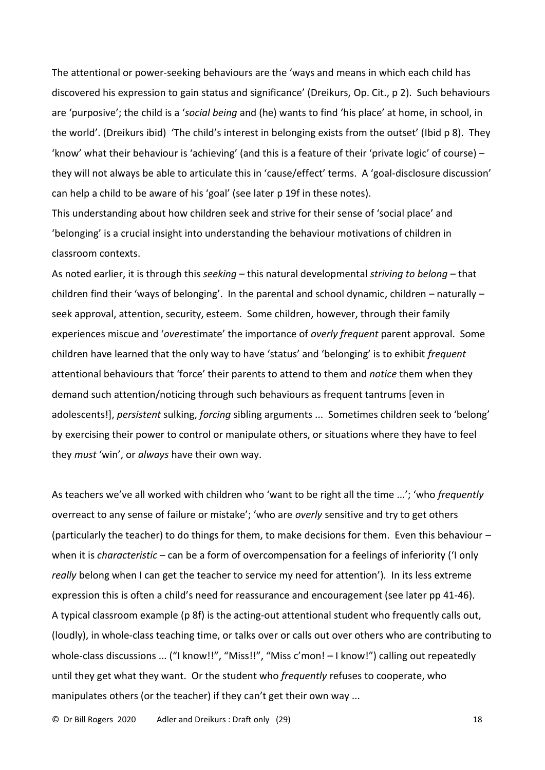The attentional or power-seeking behaviours are the 'ways and means in which each child has discovered his expression to gain status and significance' (Dreikurs, Op. Cit., p 2). Such behaviours are 'purposive'; the child is a '*social being* and (he) wants to find 'his place' at home, in school, in the world'. (Dreikurs ibid) 'The child's interest in belonging exists from the outset' (Ibid p 8). They 'know' what their behaviour is 'achieving' (and this is a feature of their 'private logic' of course) – they will not always be able to articulate this in 'cause/effect' terms. A 'goal-disclosure discussion' can help a child to be aware of his 'goal' (see later p 19f in these notes).

This understanding about how children seek and strive for their sense of 'social place' and 'belonging' is a crucial insight into understanding the behaviour motivations of children in classroom contexts.

As noted earlier, it is through this *seeking* – this natural developmental *striving to belong* – that children find their 'ways of belonging'. In the parental and school dynamic, children – naturally – seek approval, attention, security, esteem. Some children, however, through their family experiences miscue and '*over*estimate' the importance of *overly frequent* parent approval. Some children have learned that the only way to have 'status' and 'belonging' is to exhibit *frequent* attentional behaviours that 'force' their parents to attend to them and *notice* them when they demand such attention/noticing through such behaviours as frequent tantrums [even in adolescents!], *persistent* sulking, *forcing* sibling arguments ... Sometimes children seek to 'belong' by exercising their power to control or manipulate others, or situations where they have to feel they *must* 'win', or *always* have their own way.

As teachers we've all worked with children who 'want to be right all the time ...'; 'who *frequently* overreact to any sense of failure or mistake'; 'who are *overly* sensitive and try to get others (particularly the teacher) to do things for them, to make decisions for them. Even this behaviour – when it is *characteristic –* can be a form of overcompensation for a feelings of inferiority ('I only *really* belong when I can get the teacher to service my need for attention'). In its less extreme expression this is often a child's need for reassurance and encouragement (see later pp 41-46). A typical classroom example (p 8f) is the acting-out attentional student who frequently calls out, (loudly), in whole-class teaching time, or talks over or calls out over others who are contributing to whole-class discussions ... ("I know!!", "Miss!!", "Miss c'mon! – I know!") calling out repeatedly until they get what they want. Or the student who *frequently* refuses to cooperate, who manipulates others (or the teacher) if they can't get their own way ...

© Dr Bill Rogers 2020 Adler and Dreikurs : Draft only (29) 18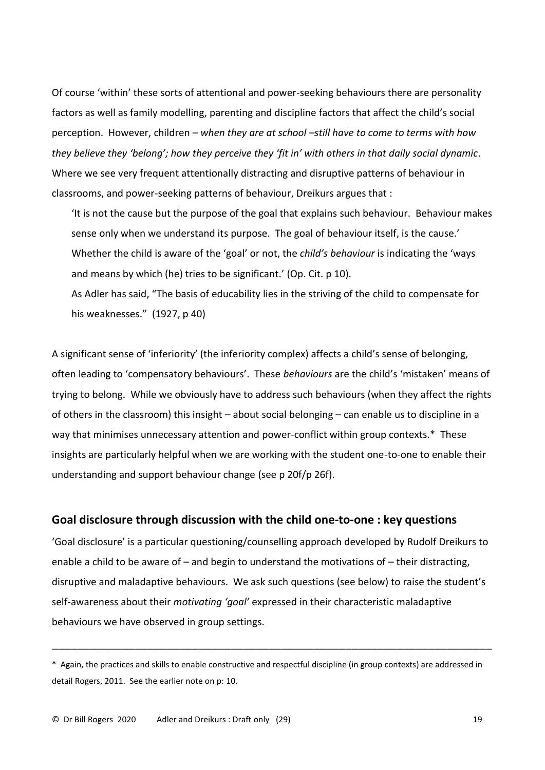Of course 'within' these sorts of attentional and power-seeking behaviours there are personality factors as well as family modelling, parenting and discipline factors that affect the child's social perception. However, children – *when they are at school –still have to come to terms with how they believe they 'belong'; how they perceive they 'fit in' with others in that daily social dynamic*. Where we see very frequent attentionally distracting and disruptive patterns of behaviour in classrooms, and power-seeking patterns of behaviour, Dreikurs argues that :

'It is not the cause but the purpose of the goal that explains such behaviour. Behaviour makes sense only when we understand its purpose. The goal of behaviour itself, is the cause.' Whether the child is aware of the 'goal' or not, the *child's behaviour* is indicating the 'ways and means by which (he) tries to be significant.' (Op. Cit. p 10).

As Adler has said, "The basis of educability lies in the striving of the child to compensate for his weaknesses." (1927, p 40)

A significant sense of 'inferiority' (the inferiority complex) affects a child's sense of belonging, often leading to 'compensatory behaviours'. These *behaviours* are the child's 'mistaken' means of trying to belong. While we obviously have to address such behaviours (when they affect the rights of others in the classroom) this insight – about social belonging – can enable us to discipline in a way that minimises unnecessary attention and power-conflict within group contexts.\* These insights are particularly helpful when we are working with the student one-to-one to enable their understanding and support behaviour change (see p 20f/p 26f).

# **Goal disclosure through discussion with the child one-to-one : key questions**

'Goal disclosure' is a particular questioning/counselling approach developed by Rudolf Dreikurs to enable a child to be aware of – and begin to understand the motivations of – their distracting, disruptive and maladaptive behaviours. We ask such questions (see below) to raise the student's self-awareness about their *motivating 'goal'* expressed in their characteristic maladaptive behaviours we have observed in group settings.

\_\_\_\_\_\_\_\_\_\_\_\_\_\_\_\_\_\_\_\_\_\_\_\_\_\_\_\_\_\_\_\_\_\_\_\_\_\_\_\_\_\_\_\_\_\_\_\_\_\_\_\_\_\_\_\_\_\_\_\_\_\_\_\_\_\_\_\_\_

<sup>\*</sup> Again, the practices and skills to enable constructive and respectful discipline (in group contexts) are addressed in detail Rogers, 2011. See the earlier note on p: 10.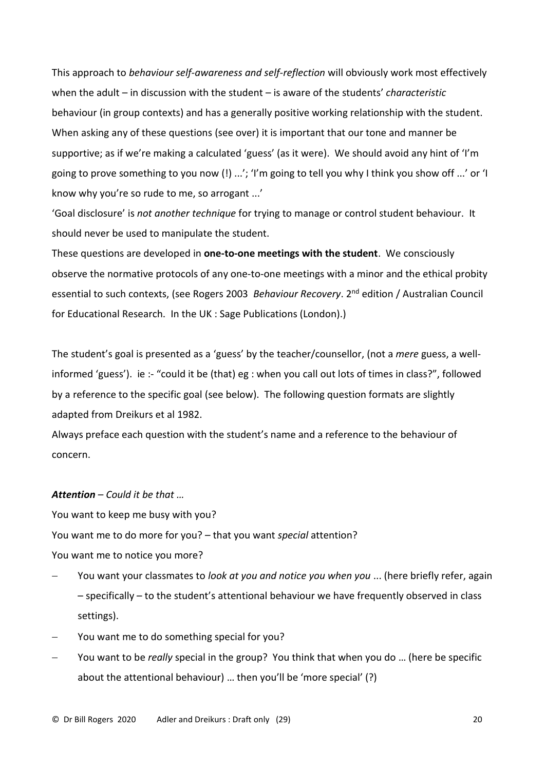This approach to *behaviour self-awareness and self-reflection* will obviously work most effectively when the adult – in discussion with the student – is aware of the students' *characteristic*  behaviour (in group contexts) and has a generally positive working relationship with the student. When asking any of these questions (see over) it is important that our tone and manner be supportive; as if we're making a calculated 'guess' (as it were). We should avoid any hint of 'I'm going to prove something to you now (!) ...'; 'I'm going to tell you why I think you show off ...' or 'I know why you're so rude to me, so arrogant ...'

'Goal disclosure' is *not another technique* for trying to manage or control student behaviour. It should never be used to manipulate the student.

These questions are developed in **one-to-one meetings with the student**. We consciously observe the normative protocols of any one-to-one meetings with a minor and the ethical probity essential to such contexts, (see Rogers 2003 Behaviour Recovery. 2<sup>nd</sup> edition / Australian Council for Educational Research. In the UK : Sage Publications (London).)

The student's goal is presented as a 'guess' by the teacher/counsellor, (not a *mere* guess, a wellinformed 'guess'). ie :- "could it be (that) eg : when you call out lots of times in class?", followed by a reference to the specific goal (see below). The following question formats are slightly adapted from Dreikurs et al 1982.

Always preface each question with the student's name and a reference to the behaviour of concern.

### *Attention – Could it be that …*

You want to keep me busy with you?

You want me to do more for you? – that you want *special* attention?

You want me to notice you more?

- − You want your classmates to *look at you and notice you when you* ... (here briefly refer, again – specifically – to the student's attentional behaviour we have frequently observed in class settings).
- − You want me to do something special for you?
- − You want to be *really* special in the group? You think that when you do … (here be specific about the attentional behaviour) … then you'll be 'more special' (?)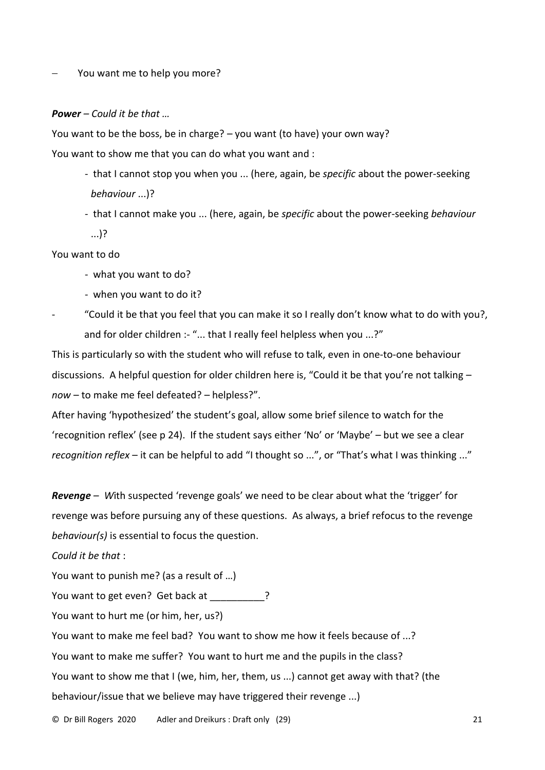#### You want me to help you more?

#### *Power – Could it be that …*

You want to be the boss, be in charge? – you want (to have) your own way? You want to show me that you can do what you want and :

- that I cannot stop you when you ... (here, again, be *specific* about the power-seeking *behaviour* ...)?
- that I cannot make you ... (here, again, be *specific* about the power-seeking *behaviour* ...)?

You want to do

- what you want to do?
- when you want to do it?
- "Could it be that you feel that you can make it so I really don't know what to do with you?, and for older children :- "... that I really feel helpless when you ...?"

This is particularly so with the student who will refuse to talk, even in one-to-one behaviour discussions. A helpful question for older children here is, "Could it be that you're not talking – *now* – to make me feel defeated? – helpless?".

After having 'hypothesized' the student's goal, allow some brief silence to watch for the 'recognition reflex' (see p 24). If the student says either 'No' or 'Maybe' – but we see a clear *recognition reflex* – it can be helpful to add "I thought so ...", or "That's what I was thinking ..."

*Revenge – W*ith suspected 'revenge goals' we need to be clear about what the 'trigger' for revenge was before pursuing any of these questions. As always, a brief refocus to the revenge *behaviour(s)* is essential to focus the question.

*Could it be that* :

You want to punish me? (as a result of …)

You want to get even? Get back at \_\_\_\_\_\_\_\_\_?

You want to hurt me (or him, her, us?)

You want to make me feel bad? You want to show me how it feels because of ...?

You want to make me suffer? You want to hurt me and the pupils in the class?

You want to show me that I (we, him, her, them, us ...) cannot get away with that? (the

behaviour/issue that we believe may have triggered their revenge ...)

© Dr Bill Rogers 2020 Adler and Dreikurs : Draft only (29) 21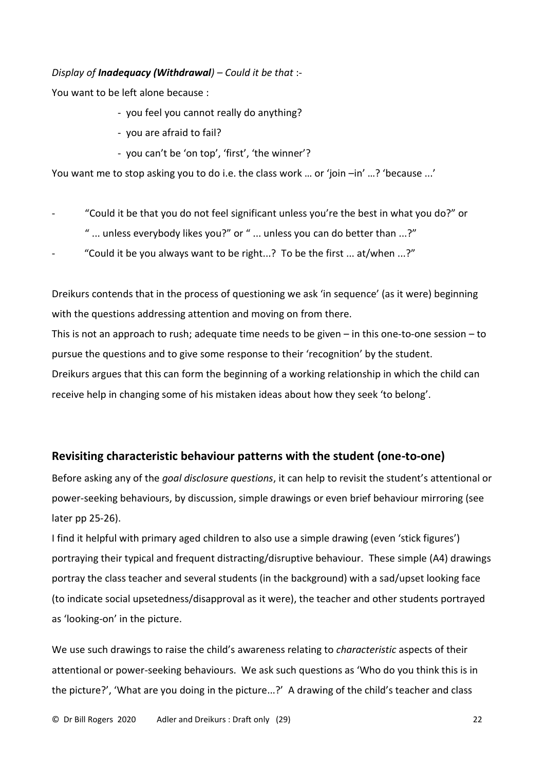# *Display of Inadequacy (Withdrawal) – Could it be that* :-

You want to be left alone because :

- you feel you cannot really do anything?
- you are afraid to fail?
- you can't be 'on top', 'first', 'the winner'?

You want me to stop asking you to do i.e. the class work ... or 'join -in' ...? 'because ...'

- "Could it be that you do not feel significant unless you're the best in what you do?" or
	- " ... unless everybody likes you?" or " ... unless you can do better than ...?"
- "Could it be you always want to be right...? To be the first ... at/when  $\ldots$ ?"

Dreikurs contends that in the process of questioning we ask 'in sequence' (as it were) beginning with the questions addressing attention and moving on from there.

This is not an approach to rush; adequate time needs to be given – in this one-to-one session – to pursue the questions and to give some response to their 'recognition' by the student. Dreikurs argues that this can form the beginning of a working relationship in which the child can receive help in changing some of his mistaken ideas about how they seek 'to belong'.

# **Revisiting characteristic behaviour patterns with the student (one-to-one)**

Before asking any of the *goal disclosure questions*, it can help to revisit the student's attentional or power-seeking behaviours, by discussion, simple drawings or even brief behaviour mirroring (see later pp 25-26).

I find it helpful with primary aged children to also use a simple drawing (even 'stick figures') portraying their typical and frequent distracting/disruptive behaviour. These simple (A4) drawings portray the class teacher and several students (in the background) with a sad/upset looking face (to indicate social upsetedness/disapproval as it were), the teacher and other students portrayed as 'looking-on' in the picture.

We use such drawings to raise the child's awareness relating to *characteristic* aspects of their attentional or power-seeking behaviours. We ask such questions as 'Who do you think this is in the picture?', 'What are you doing in the picture...?' A drawing of the child's teacher and class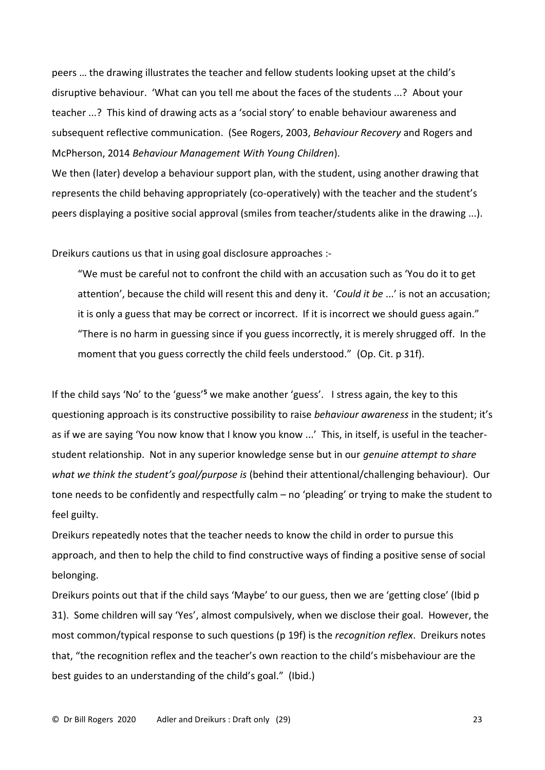peers … the drawing illustrates the teacher and fellow students looking upset at the child's disruptive behaviour. 'What can you tell me about the faces of the students ...? About your teacher ...? This kind of drawing acts as a 'social story' to enable behaviour awareness and subsequent reflective communication. (See Rogers, 2003, *Behaviour Recovery* and Rogers and McPherson, 2014 *Behaviour Management With Young Children*).

We then (later) develop a behaviour support plan, with the student, using another drawing that represents the child behaving appropriately (co-operatively) with the teacher and the student's peers displaying a positive social approval (smiles from teacher/students alike in the drawing ...).

Dreikurs cautions us that in using goal disclosure approaches :-

"We must be careful not to confront the child with an accusation such as 'You do it to get attention', because the child will resent this and deny it. '*Could it be* ...' is not an accusation; it is only a guess that may be correct or incorrect. If it is incorrect we should guess again." "There is no harm in guessing since if you guess incorrectly, it is merely shrugged off. In the moment that you guess correctly the child feels understood." (Op. Cit. p 31f).

If the child says 'No' to the 'guess'**<sup>5</sup>** we make another 'guess'. I stress again, the key to this questioning approach is its constructive possibility to raise *behaviour awareness* in the student; it's as if we are saying 'You now know that I know you know ...' This, in itself, is useful in the teacherstudent relationship. Not in any superior knowledge sense but in our *genuine attempt to share what we think the student's goal/purpose is* (behind their attentional/challenging behaviour). Our tone needs to be confidently and respectfully calm – no 'pleading' or trying to make the student to feel guilty.

Dreikurs repeatedly notes that the teacher needs to know the child in order to pursue this approach, and then to help the child to find constructive ways of finding a positive sense of social belonging.

Dreikurs points out that if the child says 'Maybe' to our guess, then we are 'getting close' (Ibid p 31). Some children will say 'Yes', almost compulsively, when we disclose their goal. However, the most common/typical response to such questions (p 19f) is the *recognition reflex*. Dreikurs notes that, "the recognition reflex and the teacher's own reaction to the child's misbehaviour are the best guides to an understanding of the child's goal." (Ibid.)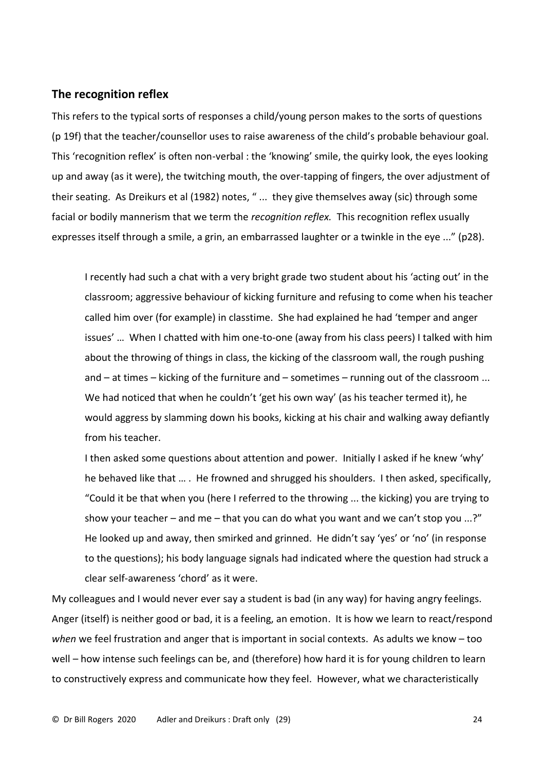# **The recognition reflex**

This refers to the typical sorts of responses a child/young person makes to the sorts of questions (p 19f) that the teacher/counsellor uses to raise awareness of the child's probable behaviour goal. This 'recognition reflex' is often non-verbal : the 'knowing' smile, the quirky look, the eyes looking up and away (as it were), the twitching mouth, the over-tapping of fingers, the over adjustment of their seating. As Dreikurs et al (1982) notes, " ... they give themselves away (sic) through some facial or bodily mannerism that we term the *recognition reflex.* This recognition reflex usually expresses itself through a smile, a grin, an embarrassed laughter or a twinkle in the eye ..." (p28).

I recently had such a chat with a very bright grade two student about his 'acting out' in the classroom; aggressive behaviour of kicking furniture and refusing to come when his teacher called him over (for example) in classtime. She had explained he had 'temper and anger issues' … When I chatted with him one-to-one (away from his class peers) I talked with him about the throwing of things in class, the kicking of the classroom wall, the rough pushing and – at times – kicking of the furniture and – sometimes – running out of the classroom ... We had noticed that when he couldn't 'get his own way' (as his teacher termed it), he would aggress by slamming down his books, kicking at his chair and walking away defiantly from his teacher.

I then asked some questions about attention and power. Initially I asked if he knew 'why' he behaved like that … . He frowned and shrugged his shoulders. I then asked, specifically, "Could it be that when you (here I referred to the throwing ... the kicking) you are trying to show your teacher – and me – that you can do what you want and we can't stop you  $\ldots$ ?" He looked up and away, then smirked and grinned. He didn't say 'yes' or 'no' (in response to the questions); his body language signals had indicated where the question had struck a clear self-awareness 'chord' as it were.

My colleagues and I would never ever say a student is bad (in any way) for having angry feelings. Anger (itself) is neither good or bad, it is a feeling, an emotion. It is how we learn to react/respond *when* we feel frustration and anger that is important in social contexts. As adults we know – too well – how intense such feelings can be, and (therefore) how hard it is for young children to learn to constructively express and communicate how they feel. However, what we characteristically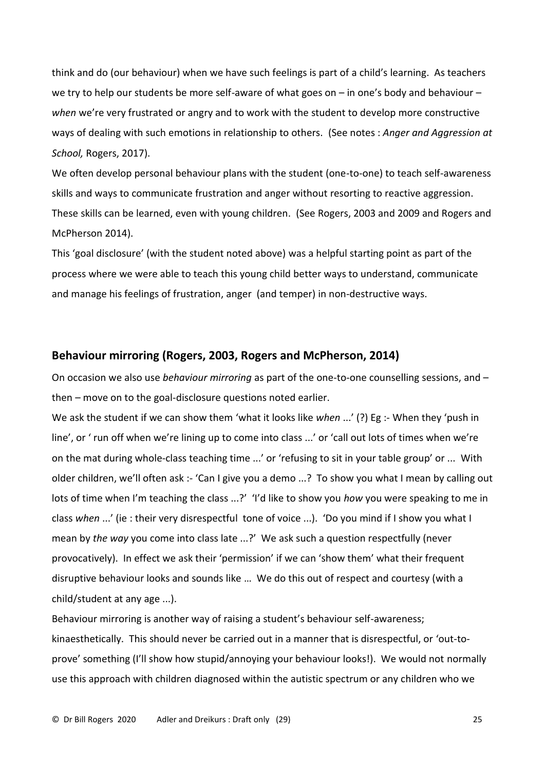think and do (our behaviour) when we have such feelings is part of a child's learning. As teachers we try to help our students be more self-aware of what goes on - in one's body and behaviour *when* we're very frustrated or angry and to work with the student to develop more constructive ways of dealing with such emotions in relationship to others. (See notes : *Anger and Aggression at School,* Rogers, 2017).

We often develop personal behaviour plans with the student (one-to-one) to teach self-awareness skills and ways to communicate frustration and anger without resorting to reactive aggression. These skills can be learned, even with young children. (See Rogers, 2003 and 2009 and Rogers and McPherson 2014).

This 'goal disclosure' (with the student noted above) was a helpful starting point as part of the process where we were able to teach this young child better ways to understand, communicate and manage his feelings of frustration, anger (and temper) in non-destructive ways.

# **Behaviour mirroring (Rogers, 2003, Rogers and McPherson, 2014)**

On occasion we also use *behaviour mirroring* as part of the one-to-one counselling sessions, and – then – move on to the goal-disclosure questions noted earlier.

We ask the student if we can show them 'what it looks like *when* ...' (?) Eg :- When they 'push in line', or ' run off when we're lining up to come into class ...' or 'call out lots of times when we're on the mat during whole-class teaching time ...' or 'refusing to sit in your table group' or ... With older children, we'll often ask :- 'Can I give you a demo ...? To show you what I mean by calling out lots of time when I'm teaching the class ...?' 'I'd like to show you *how* you were speaking to me in class *when* ...' (ie : their very disrespectful tone of voice ...). 'Do you mind if I show you what I mean by *the way* you come into class late ...?' We ask such a question respectfully (never provocatively). In effect we ask their 'permission' if we can 'show them' what their frequent disruptive behaviour looks and sounds like … We do this out of respect and courtesy (with a child/student at any age ...).

Behaviour mirroring is another way of raising a student's behaviour self-awareness; kinaesthetically. This should never be carried out in a manner that is disrespectful, or 'out-toprove' something (I'll show how stupid/annoying your behaviour looks!). We would not normally use this approach with children diagnosed within the autistic spectrum or any children who we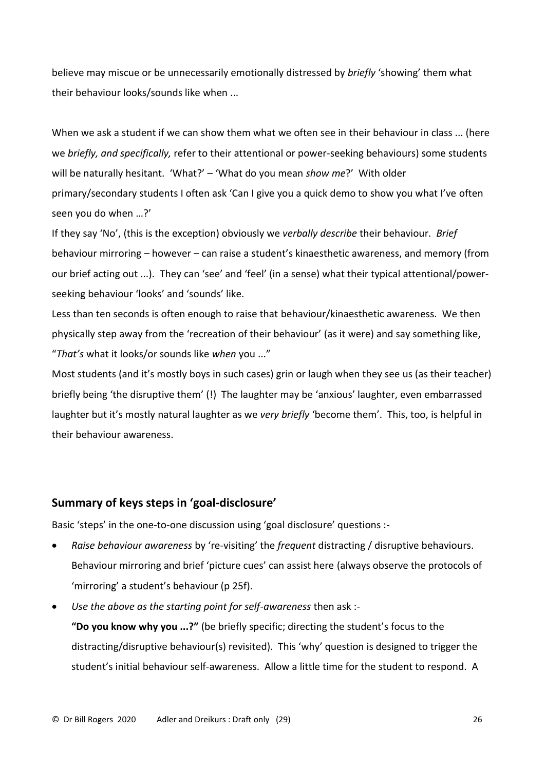believe may miscue or be unnecessarily emotionally distressed by *briefly* 'showing' them what their behaviour looks/sounds like when ...

When we ask a student if we can show them what we often see in their behaviour in class ... (here we *briefly, and specifically,* refer to their attentional or power-seeking behaviours) some students will be naturally hesitant. 'What?' – 'What do you mean *show me*?' With older primary/secondary students I often ask 'Can I give you a quick demo to show you what I've often seen you do when …?'

If they say 'No', (this is the exception) obviously we *verbally describe* their behaviour. *Brief* behaviour mirroring – however – can raise a student's kinaesthetic awareness, and memory (from our brief acting out ...). They can 'see' and 'feel' (in a sense) what their typical attentional/powerseeking behaviour 'looks' and 'sounds' like.

Less than ten seconds is often enough to raise that behaviour/kinaesthetic awareness. We then physically step away from the 'recreation of their behaviour' (as it were) and say something like, "*That's* what it looks/or sounds like *when* you ..."

Most students (and it's mostly boys in such cases) grin or laugh when they see us (as their teacher) briefly being 'the disruptive them' (!) The laughter may be 'anxious' laughter, even embarrassed laughter but it's mostly natural laughter as we *very briefly* 'become them'. This, too, is helpful in their behaviour awareness.

# **Summary of keys steps in 'goal-disclosure'**

Basic 'steps' in the one-to-one discussion using 'goal disclosure' questions :-

- *Raise behaviour awareness* by 're-visiting' the *frequent* distracting / disruptive behaviours. Behaviour mirroring and brief 'picture cues' can assist here (always observe the protocols of 'mirroring' a student's behaviour (p 25f).
- *Use the above as the starting point for self-awareness* then ask :-

**"Do you know why you ...?"** (be briefly specific; directing the student's focus to the distracting/disruptive behaviour(s) revisited). This 'why' question is designed to trigger the student's initial behaviour self-awareness. Allow a little time for the student to respond. A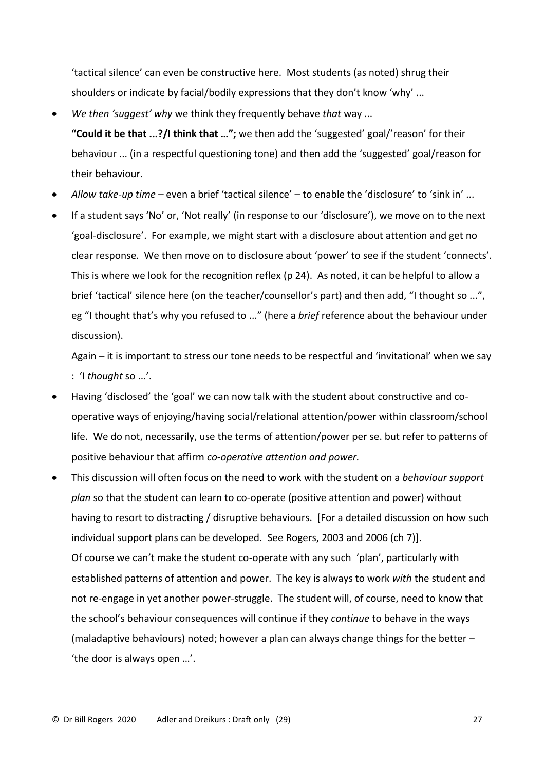'tactical silence' can even be constructive here. Most students (as noted) shrug their shoulders or indicate by facial/bodily expressions that they don't know 'why' ...

• *We then 'suggest' why* we think they frequently behave *that* way ...

**"Could it be that ...?/I think that …";** we then add the 'suggested' goal/'reason' for their behaviour ... (in a respectful questioning tone) and then add the 'suggested' goal/reason for their behaviour.

- *Allow take-up time –* even a brief 'tactical silence' to enable the 'disclosure' to 'sink in' ...
- If a student says 'No' or, 'Not really' (in response to our 'disclosure'), we move on to the next 'goal-disclosure'. For example, we might start with a disclosure about attention and get no clear response. We then move on to disclosure about 'power' to see if the student 'connects'. This is where we look for the recognition reflex (p 24). As noted, it can be helpful to allow a brief 'tactical' silence here (on the teacher/counsellor's part) and then add, "I thought so ...", eg "I thought that's why you refused to ..." (here a *brief* reference about the behaviour under discussion).

Again – it is important to stress our tone needs to be respectful and 'invitational' when we say : 'I *thought* so ...'.

- Having 'disclosed' the 'goal' we can now talk with the student about constructive and cooperative ways of enjoying/having social/relational attention/power within classroom/school life. We do not, necessarily, use the terms of attention/power per se. but refer to patterns of positive behaviour that affirm *co-operative attention and power.*
- This discussion will often focus on the need to work with the student on a *behaviour support plan* so that the student can learn to co-operate (positive attention and power) without having to resort to distracting / disruptive behaviours. [For a detailed discussion on how such individual support plans can be developed. See Rogers, 2003 and 2006 (ch 7)]. Of course we can't make the student co-operate with any such 'plan', particularly with established patterns of attention and power. The key is always to work *with* the student and not re-engage in yet another power-struggle. The student will, of course, need to know that the school's behaviour consequences will continue if they *continue* to behave in the ways (maladaptive behaviours) noted; however a plan can always change things for the better – 'the door is always open …'.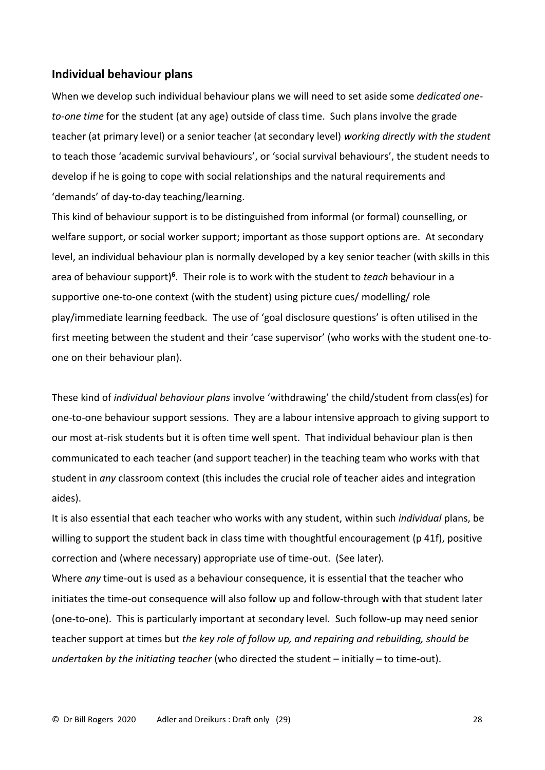# **Individual behaviour plans**

When we develop such individual behaviour plans we will need to set aside some *dedicated oneto-one time* for the student (at any age) outside of class time. Such plans involve the grade teacher (at primary level) or a senior teacher (at secondary level) *working directly with the student* to teach those 'academic survival behaviours', or 'social survival behaviours', the student needs to develop if he is going to cope with social relationships and the natural requirements and 'demands' of day-to-day teaching/learning.

This kind of behaviour support is to be distinguished from informal (or formal) counselling, or welfare support, or social worker support; important as those support options are. At secondary level, an individual behaviour plan is normally developed by a key senior teacher (with skills in this area of behaviour support)**<sup>6</sup>** . Their role is to work with the student to *teach* behaviour in a supportive one-to-one context (with the student) using picture cues/ modelling/ role play/immediate learning feedback. The use of 'goal disclosure questions' is often utilised in the first meeting between the student and their 'case supervisor' (who works with the student one-toone on their behaviour plan).

These kind of *individual behaviour plans* involve 'withdrawing' the child/student from class(es) for one-to-one behaviour support sessions. They are a labour intensive approach to giving support to our most at-risk students but it is often time well spent. That individual behaviour plan is then communicated to each teacher (and support teacher) in the teaching team who works with that student in *any* classroom context (this includes the crucial role of teacher aides and integration aides).

It is also essential that each teacher who works with any student, within such *individual* plans, be willing to support the student back in class time with thoughtful encouragement (p 41f), positive correction and (where necessary) appropriate use of time-out. (See later).

Where *any* time-out is used as a behaviour consequence, it is essential that the teacher who initiates the time-out consequence will also follow up and follow-through with that student later (one-to-one). This is particularly important at secondary level. Such follow-up may need senior teacher support at times but *the key role of follow up, and repairing and rebuilding, should be undertaken by the initiating teacher* (who directed the student – initially – to time-out).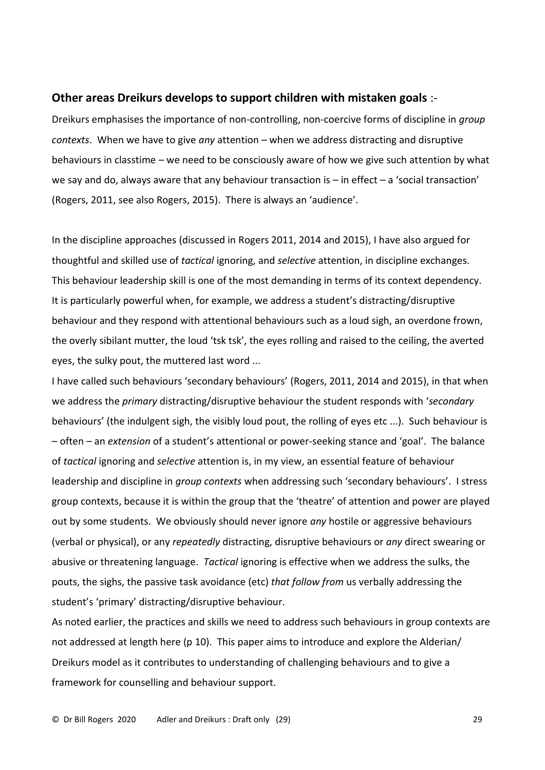#### **Other areas Dreikurs develops to support children with mistaken goals** :-

Dreikurs emphasises the importance of non-controlling, non-coercive forms of discipline in *group contexts*. When we have to give *any* attention – when we address distracting and disruptive behaviours in classtime – we need to be consciously aware of how we give such attention by what we say and do, always aware that any behaviour transaction is – in effect – a 'social transaction' (Rogers, 2011, see also Rogers, 2015). There is always an 'audience'.

In the discipline approaches (discussed in Rogers 2011, 2014 and 2015), I have also argued for thoughtful and skilled use of *tactical* ignoring, and *selective* attention, in discipline exchanges. This behaviour leadership skill is one of the most demanding in terms of its context dependency. It is particularly powerful when, for example, we address a student's distracting/disruptive behaviour and they respond with attentional behaviours such as a loud sigh, an overdone frown, the overly sibilant mutter, the loud 'tsk tsk', the eyes rolling and raised to the ceiling, the averted eyes, the sulky pout, the muttered last word ...

I have called such behaviours 'secondary behaviours' (Rogers, 2011, 2014 and 2015), in that when we address the *primary* distracting/disruptive behaviour the student responds with '*secondary* behaviours' (the indulgent sigh, the visibly loud pout, the rolling of eyes etc ...). Such behaviour is – often – an *extension* of a student's attentional or power-seeking stance and 'goal'. The balance of *tactical* ignoring and *selective* attention is, in my view, an essential feature of behaviour leadership and discipline in *group contexts* when addressing such 'secondary behaviours'. I stress group contexts, because it is within the group that the 'theatre' of attention and power are played out by some students. We obviously should never ignore *any* hostile or aggressive behaviours (verbal or physical), or any *repeatedly* distracting, disruptive behaviours or *any* direct swearing or abusive or threatening language. *Tactical* ignoring is effective when we address the sulks, the pouts, the sighs, the passive task avoidance (etc) *that follow from* us verbally addressing the student's 'primary' distracting/disruptive behaviour.

As noted earlier, the practices and skills we need to address such behaviours in group contexts are not addressed at length here (p 10). This paper aims to introduce and explore the Alderian/ Dreikurs model as it contributes to understanding of challenging behaviours and to give a framework for counselling and behaviour support.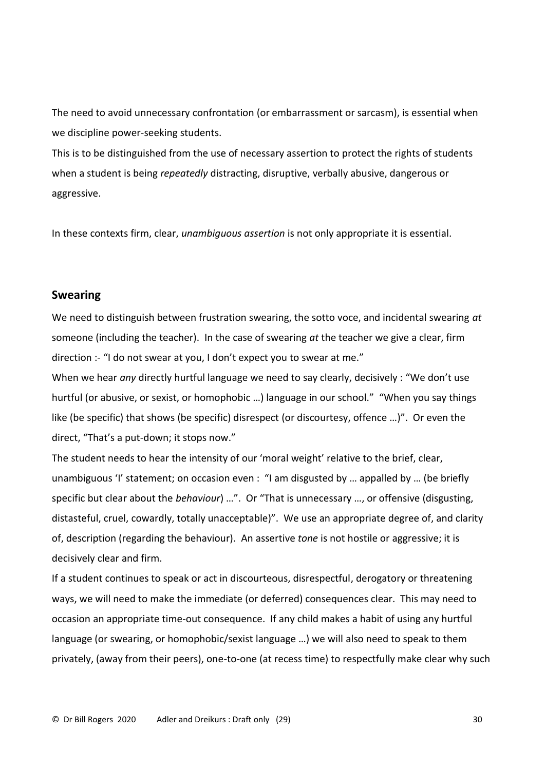The need to avoid unnecessary confrontation (or embarrassment or sarcasm), is essential when we discipline power-seeking students.

This is to be distinguished from the use of necessary assertion to protect the rights of students when a student is being *repeatedly* distracting, disruptive, verbally abusive, dangerous or aggressive.

In these contexts firm, clear, *unambiguous assertion* is not only appropriate it is essential.

# **Swearing**

We need to distinguish between frustration swearing, the sotto voce, and incidental swearing *at* someone (including the teacher). In the case of swearing *at* the teacher we give a clear, firm direction :- "I do not swear at you, I don't expect you to swear at me."

When we hear *any* directly hurtful language we need to say clearly, decisively : "We don't use hurtful (or abusive, or sexist, or homophobic …) language in our school." "When you say things like (be specific) that shows (be specific) disrespect (or discourtesy, offence …)". Or even the direct, "That's a put-down; it stops now."

The student needs to hear the intensity of our 'moral weight' relative to the brief, clear, unambiguous 'I' statement; on occasion even : "I am disgusted by … appalled by … (be briefly specific but clear about the *behaviour*) …". Or "That is unnecessary …, or offensive (disgusting, distasteful, cruel, cowardly, totally unacceptable)". We use an appropriate degree of, and clarity of, description (regarding the behaviour). An assertive *tone* is not hostile or aggressive; it is decisively clear and firm.

If a student continues to speak or act in discourteous, disrespectful, derogatory or threatening ways, we will need to make the immediate (or deferred) consequences clear. This may need to occasion an appropriate time-out consequence. If any child makes a habit of using any hurtful language (or swearing, or homophobic/sexist language …) we will also need to speak to them privately, (away from their peers), one-to-one (at recess time) to respectfully make clear why such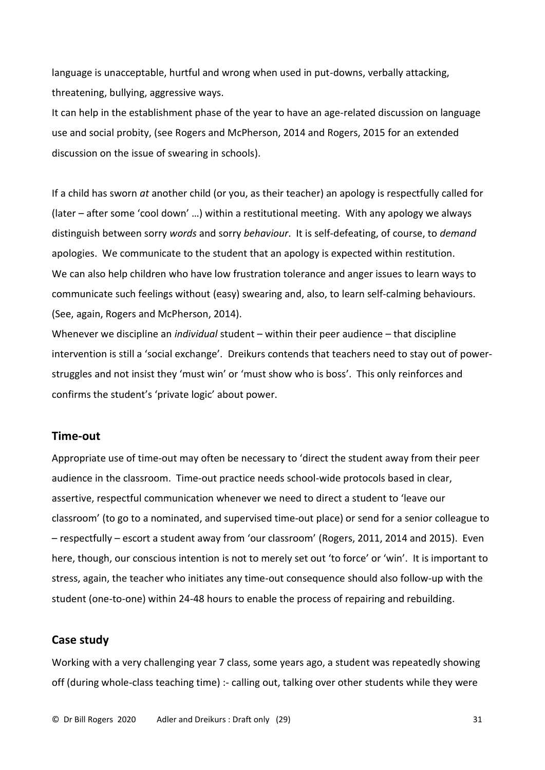language is unacceptable, hurtful and wrong when used in put-downs, verbally attacking, threatening, bullying, aggressive ways.

It can help in the establishment phase of the year to have an age-related discussion on language use and social probity, (see Rogers and McPherson, 2014 and Rogers, 2015 for an extended discussion on the issue of swearing in schools).

If a child has sworn *at* another child (or you, as their teacher) an apology is respectfully called for (later – after some 'cool down' …) within a restitutional meeting. With any apology we always distinguish between sorry *words* and sorry *behaviour*. It is self-defeating, of course, to *demand* apologies. We communicate to the student that an apology is expected within restitution. We can also help children who have low frustration tolerance and anger issues to learn ways to communicate such feelings without (easy) swearing and, also, to learn self-calming behaviours. (See, again, Rogers and McPherson, 2014).

Whenever we discipline an *individual* student – within their peer audience – that discipline intervention is still a 'social exchange'. Dreikurs contends that teachers need to stay out of powerstruggles and not insist they 'must win' or 'must show who is boss'. This only reinforces and confirms the student's 'private logic' about power.

## **Time-out**

Appropriate use of time-out may often be necessary to 'direct the student away from their peer audience in the classroom. Time-out practice needs school-wide protocols based in clear, assertive, respectful communication whenever we need to direct a student to 'leave our classroom' (to go to a nominated, and supervised time-out place) or send for a senior colleague to – respectfully – escort a student away from 'our classroom' (Rogers, 2011, 2014 and 2015). Even here, though, our conscious intention is not to merely set out 'to force' or 'win'. It is important to stress, again, the teacher who initiates any time-out consequence should also follow-up with the student (one-to-one) within 24-48 hours to enable the process of repairing and rebuilding.

# **Case study**

Working with a very challenging year 7 class, some years ago, a student was repeatedly showing off (during whole-class teaching time) :- calling out, talking over other students while they were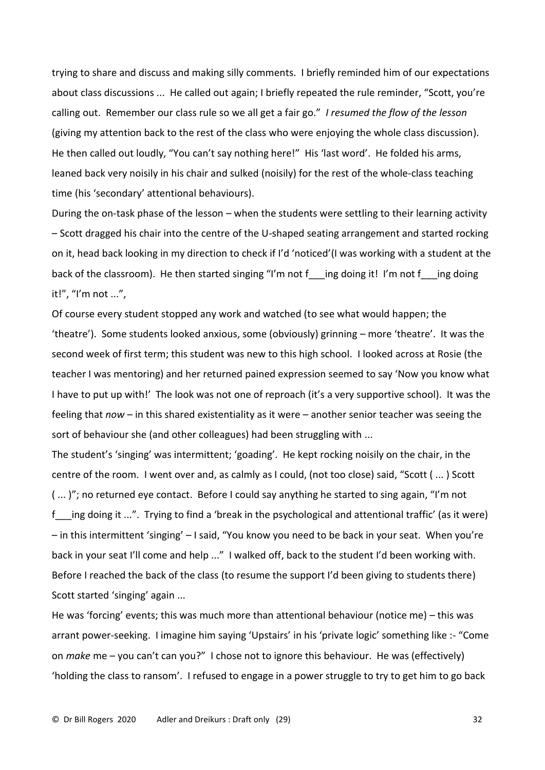trying to share and discuss and making silly comments. I briefly reminded him of our expectations about class discussions ... He called out again; I briefly repeated the rule reminder, "Scott, you're calling out. Remember our class rule so we all get a fair go." *I resumed the flow of the lesson* (giving my attention back to the rest of the class who were enjoying the whole class discussion). He then called out loudly, "You can't say nothing here!" His 'last word'. He folded his arms, leaned back very noisily in his chair and sulked (noisily) for the rest of the whole-class teaching time (his 'secondary' attentional behaviours).

During the on-task phase of the lesson – when the students were settling to their learning activity – Scott dragged his chair into the centre of the U-shaped seating arrangement and started rocking on it, head back looking in my direction to check if I'd 'noticed'(I was working with a student at the back of the classroom). He then started singing "I'm not f ing doing it! I'm not f ing doing it!", "I'm not ...",

Of course every student stopped any work and watched (to see what would happen; the 'theatre'). Some students looked anxious, some (obviously) grinning – more 'theatre'. It was the second week of first term; this student was new to this high school. I looked across at Rosie (the teacher I was mentoring) and her returned pained expression seemed to say 'Now you know what I have to put up with!' The look was not one of reproach (it's a very supportive school). It was the feeling that *now* – in this shared existentiality as it were – another senior teacher was seeing the sort of behaviour she (and other colleagues) had been struggling with ...

The student's 'singing' was intermittent; 'goading'. He kept rocking noisily on the chair, in the centre of the room. I went over and, as calmly as I could, (not too close) said, "Scott ( ... ) Scott ( ... )"; no returned eye contact. Before I could say anything he started to sing again, "I'm not f ing doing it ...". Trying to find a 'break in the psychological and attentional traffic' (as it were) – in this intermittent 'singing' – I said, "You know you need to be back in your seat. When you're back in your seat I'll come and help ..." I walked off, back to the student I'd been working with. Before I reached the back of the class (to resume the support I'd been giving to students there) Scott started 'singing' again ...

He was 'forcing' events; this was much more than attentional behaviour (notice me) – this was arrant power-seeking. I imagine him saying 'Upstairs' in his 'private logic' something like :- "Come on *make* me – you can't can you?" I chose not to ignore this behaviour. He was (effectively) 'holding the class to ransom'. I refused to engage in a power struggle to try to get him to go back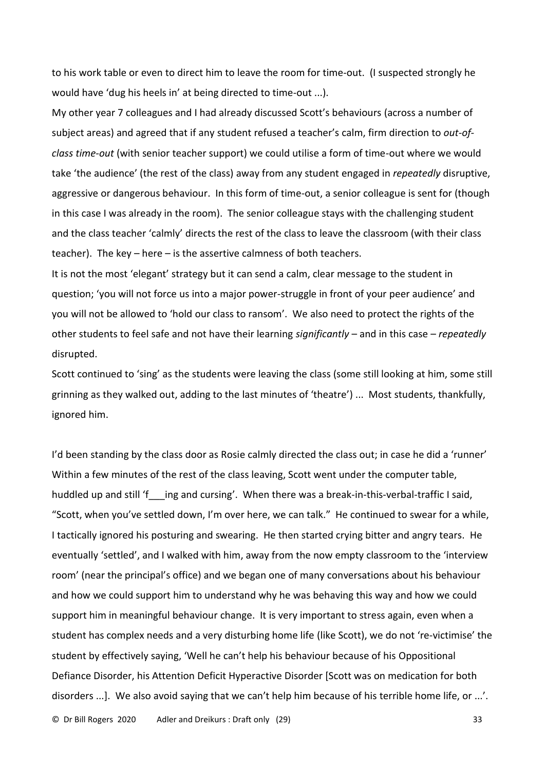to his work table or even to direct him to leave the room for time-out. (I suspected strongly he would have 'dug his heels in' at being directed to time-out ...).

My other year 7 colleagues and I had already discussed Scott's behaviours (across a number of subject areas) and agreed that if any student refused a teacher's calm, firm direction to *out-ofclass time-out* (with senior teacher support) we could utilise a form of time-out where we would take 'the audience' (the rest of the class) away from any student engaged in *repeatedly* disruptive, aggressive or dangerous behaviour. In this form of time-out, a senior colleague is sent for (though in this case I was already in the room). The senior colleague stays with the challenging student and the class teacher 'calmly' directs the rest of the class to leave the classroom (with their class teacher). The key – here – is the assertive calmness of both teachers.

It is not the most 'elegant' strategy but it can send a calm, clear message to the student in question; 'you will not force us into a major power-struggle in front of your peer audience' and you will not be allowed to 'hold our class to ransom'. We also need to protect the rights of the other students to feel safe and not have their learning *significantly* – and in this case – *repeatedly* disrupted.

Scott continued to 'sing' as the students were leaving the class (some still looking at him, some still grinning as they walked out, adding to the last minutes of 'theatre') ... Most students, thankfully, ignored him.

I'd been standing by the class door as Rosie calmly directed the class out; in case he did a 'runner' Within a few minutes of the rest of the class leaving, Scott went under the computer table, huddled up and still 'f ing and cursing'. When there was a break-in-this-verbal-traffic I said, "Scott, when you've settled down, I'm over here, we can talk." He continued to swear for a while, I tactically ignored his posturing and swearing. He then started crying bitter and angry tears. He eventually 'settled', and I walked with him, away from the now empty classroom to the 'interview room' (near the principal's office) and we began one of many conversations about his behaviour and how we could support him to understand why he was behaving this way and how we could support him in meaningful behaviour change. It is very important to stress again, even when a student has complex needs and a very disturbing home life (like Scott), we do not 're-victimise' the student by effectively saying, 'Well he can't help his behaviour because of his Oppositional Defiance Disorder, his Attention Deficit Hyperactive Disorder [Scott was on medication for both disorders ...]. We also avoid saying that we can't help him because of his terrible home life, or ...'.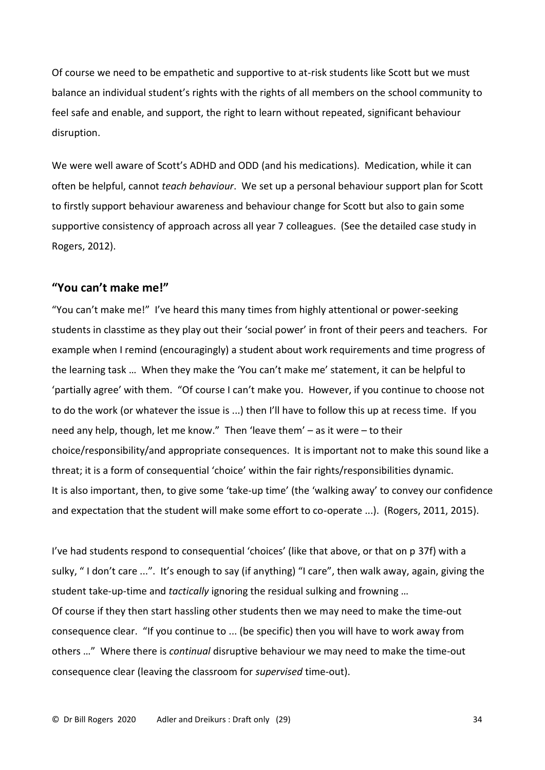Of course we need to be empathetic and supportive to at-risk students like Scott but we must balance an individual student's rights with the rights of all members on the school community to feel safe and enable, and support, the right to learn without repeated, significant behaviour disruption.

We were well aware of Scott's ADHD and ODD (and his medications). Medication, while it can often be helpful, cannot *teach behaviour*. We set up a personal behaviour support plan for Scott to firstly support behaviour awareness and behaviour change for Scott but also to gain some supportive consistency of approach across all year 7 colleagues. (See the detailed case study in Rogers, 2012).

# **"You can't make me!"**

"You can't make me!" I've heard this many times from highly attentional or power-seeking students in classtime as they play out their 'social power' in front of their peers and teachers. For example when I remind (encouragingly) a student about work requirements and time progress of the learning task … When they make the 'You can't make me' statement, it can be helpful to 'partially agree' with them. "Of course I can't make you. However, if you continue to choose not to do the work (or whatever the issue is ...) then I'll have to follow this up at recess time. If you need any help, though, let me know." Then 'leave them' – as it were – to their choice/responsibility/and appropriate consequences. It is important not to make this sound like a threat; it is a form of consequential 'choice' within the fair rights/responsibilities dynamic. It is also important, then, to give some 'take-up time' (the 'walking away' to convey our confidence and expectation that the student will make some effort to co-operate ...). (Rogers, 2011, 2015).

I've had students respond to consequential 'choices' (like that above, or that on p 37f) with a sulky, " I don't care ...". It's enough to say (if anything) "I care", then walk away, again, giving the student take-up-time and *tactically* ignoring the residual sulking and frowning …

Of course if they then start hassling other students then we may need to make the time-out consequence clear. "If you continue to ... (be specific) then you will have to work away from others …" Where there is *continual* disruptive behaviour we may need to make the time-out consequence clear (leaving the classroom for *supervised* time-out).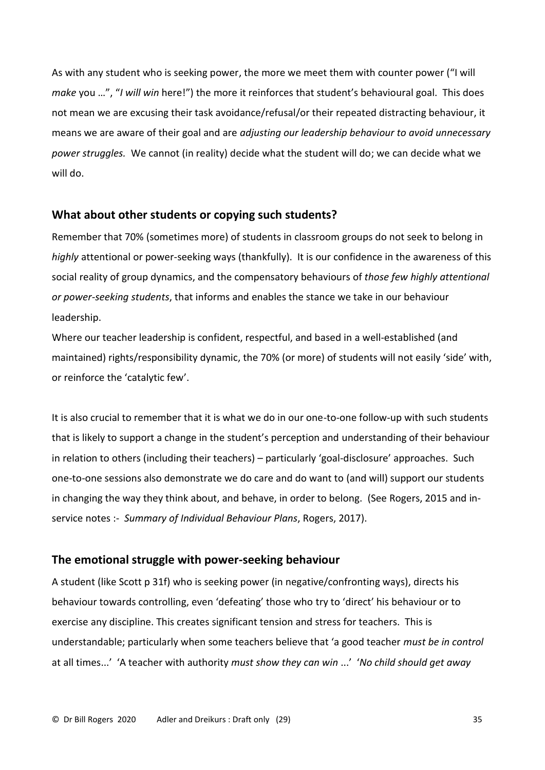As with any student who is seeking power, the more we meet them with counter power ("I will *make* you …", "*I will win* here!") the more it reinforces that student's behavioural goal. This does not mean we are excusing their task avoidance/refusal/or their repeated distracting behaviour, it means we are aware of their goal and are *adjusting our leadership behaviour to avoid unnecessary power struggles.* We cannot (in reality) decide what the student will do; we can decide what we will do.

# **What about other students or copying such students?**

Remember that 70% (sometimes more) of students in classroom groups do not seek to belong in *highly* attentional or power-seeking ways (thankfully). It is our confidence in the awareness of this social reality of group dynamics, and the compensatory behaviours of *those few highly attentional or power-seeking students*, that informs and enables the stance we take in our behaviour leadership.

Where our teacher leadership is confident, respectful, and based in a well-established (and maintained) rights/responsibility dynamic, the 70% (or more) of students will not easily 'side' with, or reinforce the 'catalytic few'.

It is also crucial to remember that it is what we do in our one-to-one follow-up with such students that is likely to support a change in the student's perception and understanding of their behaviour in relation to others (including their teachers) – particularly 'goal-disclosure' approaches. Such one-to-one sessions also demonstrate we do care and do want to (and will) support our students in changing the way they think about, and behave, in order to belong. (See Rogers, 2015 and inservice notes :- *Summary of Individual Behaviour Plans*, Rogers, 2017).

# **The emotional struggle with power-seeking behaviour**

A student (like Scott p 31f) who is seeking power (in negative/confronting ways), directs his behaviour towards controlling, even 'defeating' those who try to 'direct' his behaviour or to exercise any discipline. This creates significant tension and stress for teachers. This is understandable; particularly when some teachers believe that 'a good teacher *must be in control* at all times...' 'A teacher with authority *must show they can win* ...' '*No child should get away*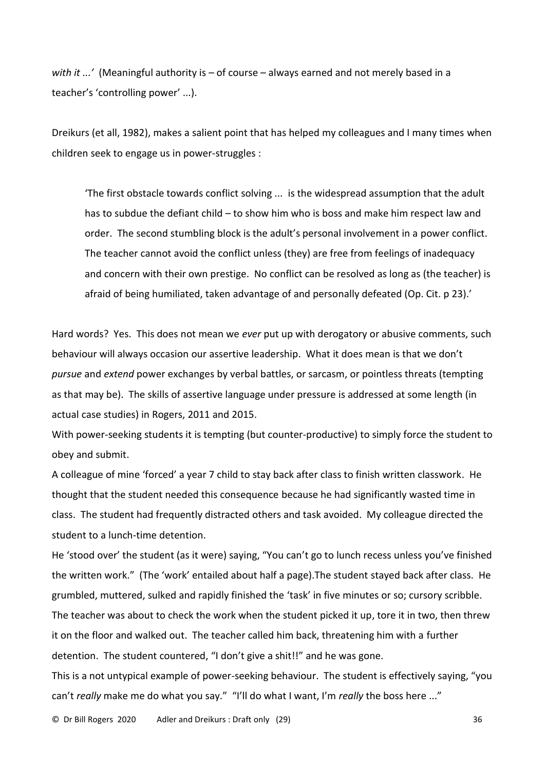*with it ...'* (Meaningful authority is – of course – always earned and not merely based in a teacher's 'controlling power' ...).

Dreikurs (et all, 1982), makes a salient point that has helped my colleagues and I many times when children seek to engage us in power-struggles :

'The first obstacle towards conflict solving ... is the widespread assumption that the adult has to subdue the defiant child – to show him who is boss and make him respect law and order. The second stumbling block is the adult's personal involvement in a power conflict. The teacher cannot avoid the conflict unless (they) are free from feelings of inadequacy and concern with their own prestige. No conflict can be resolved as long as (the teacher) is afraid of being humiliated, taken advantage of and personally defeated (Op. Cit. p 23).'

Hard words? Yes. This does not mean we *ever* put up with derogatory or abusive comments, such behaviour will always occasion our assertive leadership. What it does mean is that we don't *pursue* and *extend* power exchanges by verbal battles, or sarcasm, or pointless threats (tempting as that may be). The skills of assertive language under pressure is addressed at some length (in actual case studies) in Rogers, 2011 and 2015.

With power-seeking students it is tempting (but counter-productive) to simply force the student to obey and submit.

A colleague of mine 'forced' a year 7 child to stay back after class to finish written classwork. He thought that the student needed this consequence because he had significantly wasted time in class. The student had frequently distracted others and task avoided. My colleague directed the student to a lunch-time detention.

He 'stood over' the student (as it were) saying, "You can't go to lunch recess unless you've finished the written work." (The 'work' entailed about half a page).The student stayed back after class. He grumbled, muttered, sulked and rapidly finished the 'task' in five minutes or so; cursory scribble. The teacher was about to check the work when the student picked it up, tore it in two, then threw it on the floor and walked out. The teacher called him back, threatening him with a further detention. The student countered, "I don't give a shit!!" and he was gone.

This is a not untypical example of power-seeking behaviour. The student is effectively saying, "you can't *really* make me do what you say." "I'll do what I want, I'm *really* the boss here ..."

© Dr Bill Rogers 2020 Adler and Dreikurs : Draft only (29) 36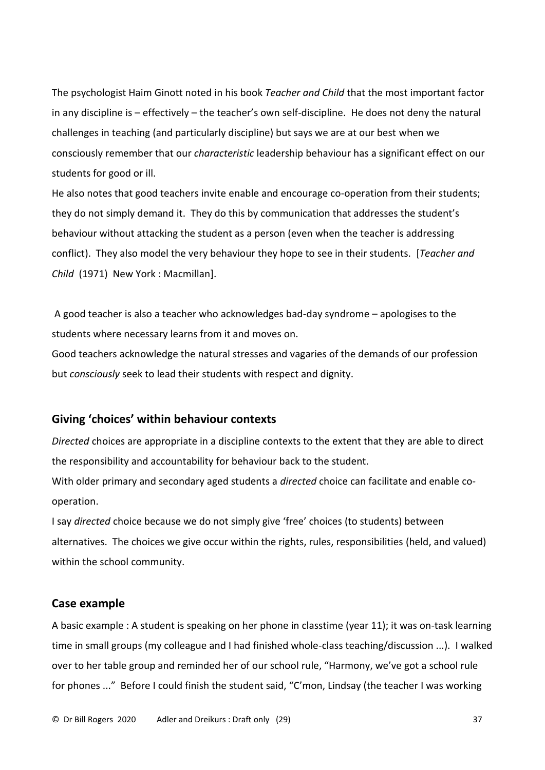The psychologist Haim Ginott noted in his book *Teacher and Child* that the most important factor in any discipline is – effectively – the teacher's own self-discipline. He does not deny the natural challenges in teaching (and particularly discipline) but says we are at our best when we consciously remember that our *characteristic* leadership behaviour has a significant effect on our students for good or ill.

He also notes that good teachers invite enable and encourage co-operation from their students; they do not simply demand it. They do this by communication that addresses the student's behaviour without attacking the student as a person (even when the teacher is addressing conflict). They also model the very behaviour they hope to see in their students. [*Teacher and Child* (1971) New York : Macmillan].

A good teacher is also a teacher who acknowledges bad-day syndrome – apologises to the students where necessary learns from it and moves on.

Good teachers acknowledge the natural stresses and vagaries of the demands of our profession but *consciously* seek to lead their students with respect and dignity.

# **Giving 'choices' within behaviour contexts**

*Directed* choices are appropriate in a discipline contexts to the extent that they are able to direct the responsibility and accountability for behaviour back to the student.

With older primary and secondary aged students a *directed* choice can facilitate and enable cooperation.

I say *directed* choice because we do not simply give 'free' choices (to students) between alternatives. The choices we give occur within the rights, rules, responsibilities (held, and valued) within the school community.

# **Case example**

A basic example : A student is speaking on her phone in classtime (year 11); it was on-task learning time in small groups (my colleague and I had finished whole-class teaching/discussion ...). I walked over to her table group and reminded her of our school rule, "Harmony, we've got a school rule for phones ..." Before I could finish the student said, "C'mon, Lindsay (the teacher I was working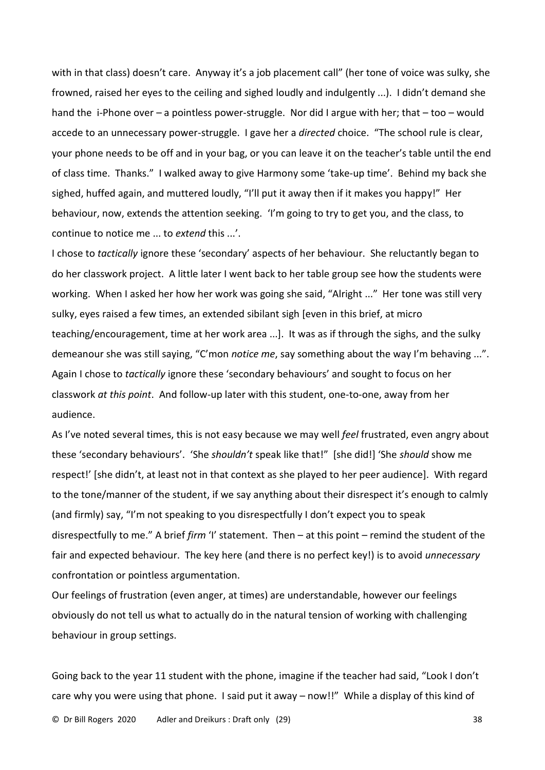with in that class) doesn't care. Anyway it's a job placement call" (her tone of voice was sulky, she frowned, raised her eyes to the ceiling and sighed loudly and indulgently ...). I didn't demand she hand the i-Phone over – a pointless power-struggle. Nor did I argue with her; that – too – would accede to an unnecessary power-struggle. I gave her a *directed* choice. "The school rule is clear, your phone needs to be off and in your bag, or you can leave it on the teacher's table until the end of class time. Thanks." I walked away to give Harmony some 'take-up time'. Behind my back she sighed, huffed again, and muttered loudly, "I'll put it away then if it makes you happy!" Her behaviour, now, extends the attention seeking. 'I'm going to try to get you, and the class, to continue to notice me ... to *extend* this ...'.

I chose to *tactically* ignore these 'secondary' aspects of her behaviour. She reluctantly began to do her classwork project. A little later I went back to her table group see how the students were working. When I asked her how her work was going she said, "Alright ..." Her tone was still very sulky, eyes raised a few times, an extended sibilant sigh [even in this brief, at micro teaching/encouragement, time at her work area ...]. It was as if through the sighs, and the sulky demeanour she was still saying, "C'mon *notice me*, say something about the way I'm behaving ...". Again I chose to *tactically* ignore these 'secondary behaviours' and sought to focus on her classwork *at this point*. And follow-up later with this student, one-to-one, away from her audience.

As I've noted several times, this is not easy because we may well *feel* frustrated, even angry about these 'secondary behaviours'. 'She *shouldn't* speak like that!" [she did!] 'She *should* show me respect!' [she didn't, at least not in that context as she played to her peer audience]. With regard to the tone/manner of the student, if we say anything about their disrespect it's enough to calmly (and firmly) say, "I'm not speaking to you disrespectfully I don't expect you to speak disrespectfully to me." A brief *firm* 'I' statement. Then – at this point – remind the student of the fair and expected behaviour. The key here (and there is no perfect key!) is to avoid *unnecessary* confrontation or pointless argumentation.

Our feelings of frustration (even anger, at times) are understandable, however our feelings obviously do not tell us what to actually do in the natural tension of working with challenging behaviour in group settings.

Going back to the year 11 student with the phone, imagine if the teacher had said, "Look I don't care why you were using that phone. I said put it away – now!!" While a display of this kind of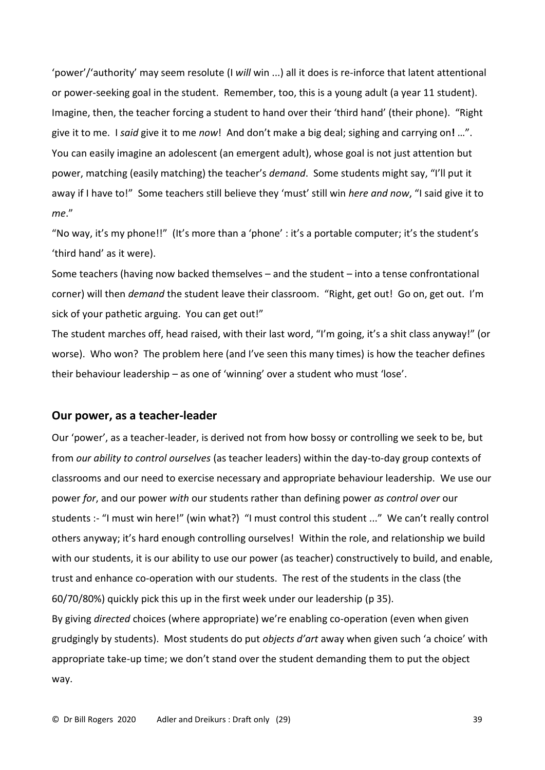'power'/'authority' may seem resolute (I *will* win ...) all it does is re-inforce that latent attentional or power-seeking goal in the student. Remember, too, this is a young adult (a year 11 student). Imagine, then, the teacher forcing a student to hand over their 'third hand' (their phone). "Right give it to me. I *said* give it to me *now*! And don't make a big deal; sighing and carrying on**!** …". You can easily imagine an adolescent (an emergent adult), whose goal is not just attention but power, matching (easily matching) the teacher's *demand*. Some students might say, "I'll put it away if I have to!" Some teachers still believe they 'must' still win *here and now*, "I said give it to *me*."

"No way, it's my phone!!" (It's more than a 'phone' : it's a portable computer; it's the student's 'third hand' as it were).

Some teachers (having now backed themselves – and the student – into a tense confrontational corner) will then *demand* the student leave their classroom. "Right, get out! Go on, get out. I'm sick of your pathetic arguing. You can get out!"

The student marches off, head raised, with their last word, "I'm going, it's a shit class anyway!" (or worse). Who won? The problem here (and I've seen this many times) is how the teacher defines their behaviour leadership – as one of 'winning' over a student who must 'lose'.

# **Our power, as a teacher-leader**

Our 'power', as a teacher-leader, is derived not from how bossy or controlling we seek to be, but from *our ability to control ourselves* (as teacher leaders) within the day-to-day group contexts of classrooms and our need to exercise necessary and appropriate behaviour leadership. We use our power *for*, and our power *with* our students rather than defining power *as control over* our students :- "I must win here!" (win what?) "I must control this student ..." We can't really control others anyway; it's hard enough controlling ourselves! Within the role, and relationship we build with our students, it is our ability to use our power (as teacher) constructively to build, and enable, trust and enhance co-operation with our students. The rest of the students in the class (the 60/70/80%) quickly pick this up in the first week under our leadership (p 35).

By giving *directed* choices (where appropriate) we're enabling co-operation (even when given grudgingly by students). Most students do put *objects d'art* away when given such 'a choice' with appropriate take-up time; we don't stand over the student demanding them to put the object way.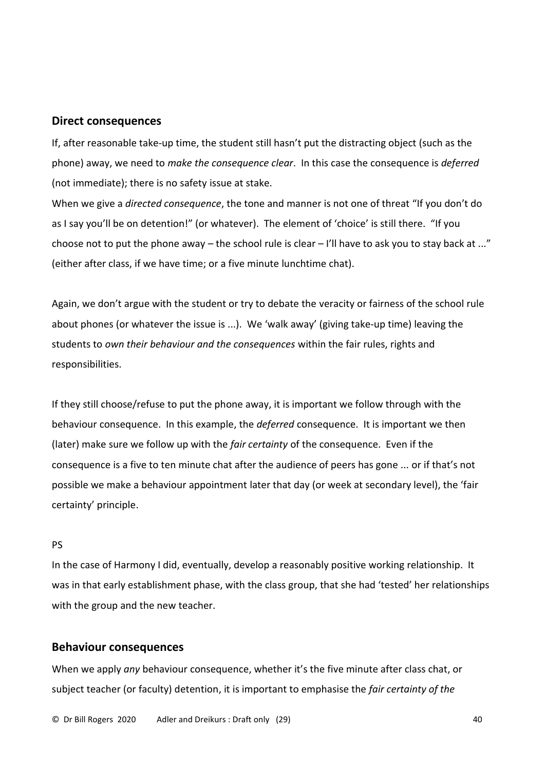#### **Direct consequences**

If, after reasonable take-up time, the student still hasn't put the distracting object (such as the phone) away, we need to *make the consequence clear*. In this case the consequence is *deferred* (not immediate); there is no safety issue at stake.

When we give a *directed consequence*, the tone and manner is not one of threat "If you don't do as I say you'll be on detention!" (or whatever). The element of 'choice' is still there. "If you choose not to put the phone away – the school rule is clear – I'll have to ask you to stay back at ..." (either after class, if we have time; or a five minute lunchtime chat).

Again, we don't argue with the student or try to debate the veracity or fairness of the school rule about phones (or whatever the issue is ...). We 'walk away' (giving take-up time) leaving the students to *own their behaviour and the consequences* within the fair rules, rights and responsibilities.

If they still choose/refuse to put the phone away, it is important we follow through with the behaviour consequence. In this example, the *deferred* consequence. It is important we then (later) make sure we follow up with the *fair certainty* of the consequence. Even if the consequence is a five to ten minute chat after the audience of peers has gone ... or if that's not possible we make a behaviour appointment later that day (or week at secondary level), the 'fair certainty' principle.

### PS

In the case of Harmony I did, eventually, develop a reasonably positive working relationship. It was in that early establishment phase, with the class group, that she had 'tested' her relationships with the group and the new teacher.

### **Behaviour consequences**

When we apply *any* behaviour consequence, whether it's the five minute after class chat, or subject teacher (or faculty) detention, it is important to emphasise the *fair certainty of the*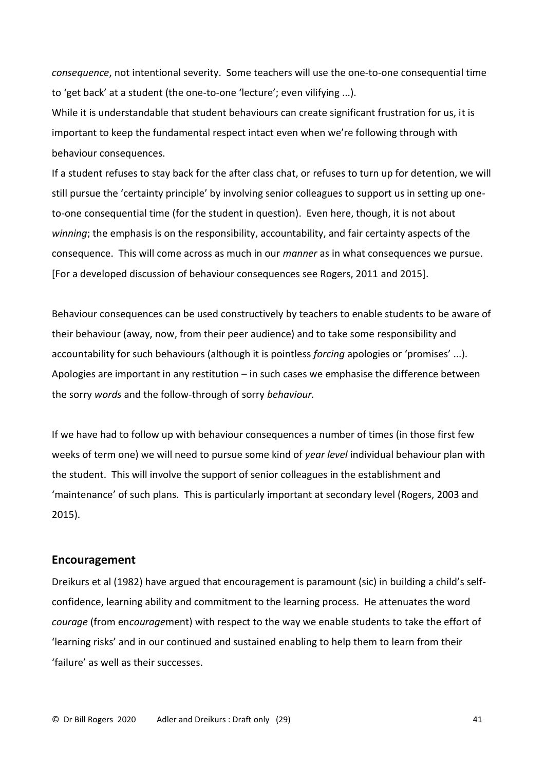*consequence*, not intentional severity. Some teachers will use the one-to-one consequential time to 'get back' at a student (the one-to-one 'lecture'; even vilifying ...).

While it is understandable that student behaviours can create significant frustration for us, it is important to keep the fundamental respect intact even when we're following through with behaviour consequences.

If a student refuses to stay back for the after class chat, or refuses to turn up for detention, we will still pursue the 'certainty principle' by involving senior colleagues to support us in setting up oneto-one consequential time (for the student in question). Even here, though, it is not about *winning*; the emphasis is on the responsibility, accountability, and fair certainty aspects of the consequence. This will come across as much in our *manner* as in what consequences we pursue. [For a developed discussion of behaviour consequences see Rogers, 2011 and 2015].

Behaviour consequences can be used constructively by teachers to enable students to be aware of their behaviour (away, now, from their peer audience) and to take some responsibility and accountability for such behaviours (although it is pointless *forcing* apologies or 'promises' ...). Apologies are important in any restitution – in such cases we emphasise the difference between the sorry *words* and the follow-through of sorry *behaviour.*

If we have had to follow up with behaviour consequences a number of times (in those first few weeks of term one) we will need to pursue some kind of *year level* individual behaviour plan with the student. This will involve the support of senior colleagues in the establishment and 'maintenance' of such plans. This is particularly important at secondary level (Rogers, 2003 and 2015).

#### **Encouragement**

Dreikurs et al (1982) have argued that encouragement is paramount (sic) in building a child's selfconfidence, learning ability and commitment to the learning process. He attenuates the word *courage* (from en*courage*ment) with respect to the way we enable students to take the effort of 'learning risks' and in our continued and sustained enabling to help them to learn from their 'failure' as well as their successes.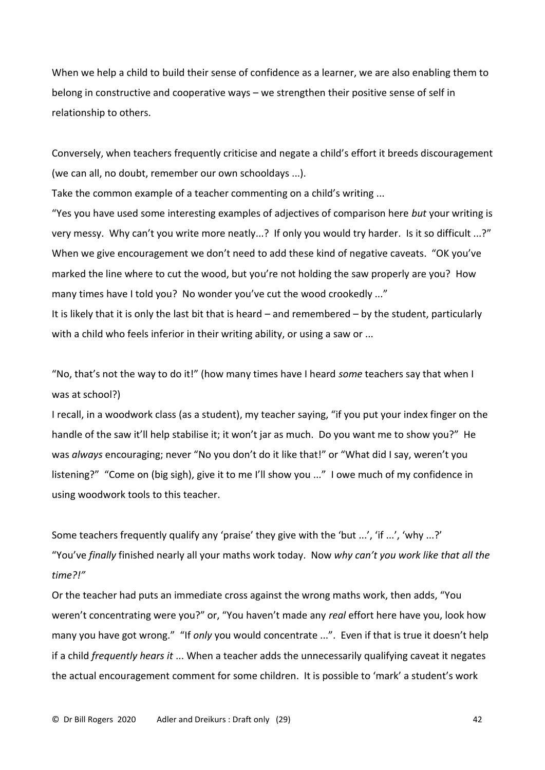When we help a child to build their sense of confidence as a learner, we are also enabling them to belong in constructive and cooperative ways – we strengthen their positive sense of self in relationship to others.

Conversely, when teachers frequently criticise and negate a child's effort it breeds discouragement (we can all, no doubt, remember our own schooldays ...).

Take the common example of a teacher commenting on a child's writing ...

"Yes you have used some interesting examples of adjectives of comparison here *but* your writing is very messy. Why can't you write more neatly...? If only you would try harder. Is it so difficult ...?" When we give encouragement we don't need to add these kind of negative caveats. "OK you've marked the line where to cut the wood, but you're not holding the saw properly are you? How many times have I told you? No wonder you've cut the wood crookedly ..." It is likely that it is only the last bit that is heard – and remembered – by the student, particularly

with a child who feels inferior in their writing ability, or using a saw or ...

"No, that's not the way to do it!" (how many times have I heard *some* teachers say that when I was at school?)

I recall, in a woodwork class (as a student), my teacher saying, "if you put your index finger on the handle of the saw it'll help stabilise it; it won't jar as much. Do you want me to show you?" He was *always* encouraging; never "No you don't do it like that!" or "What did I say, weren't you listening?" "Come on (big sigh), give it to me I'll show you ..." I owe much of my confidence in using woodwork tools to this teacher.

Some teachers frequently qualify any 'praise' they give with the 'but ...', 'if ...', 'why ...?' "You've *finally* finished nearly all your maths work today. Now *why can't you work like that all the time?!"*

Or the teacher had puts an immediate cross against the wrong maths work, then adds, "You weren't concentrating were you?" or, "You haven't made any *real* effort here have you, look how many you have got wrong." "If *only* you would concentrate ...". Even if that is true it doesn't help if a child *frequently hears it* ... When a teacher adds the unnecessarily qualifying caveat it negates the actual encouragement comment for some children. It is possible to 'mark' a student's work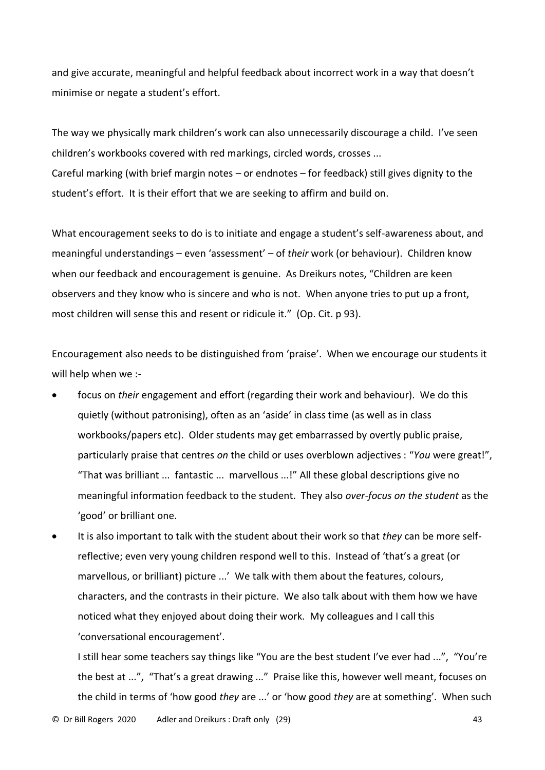and give accurate, meaningful and helpful feedback about incorrect work in a way that doesn't minimise or negate a student's effort.

The way we physically mark children's work can also unnecessarily discourage a child. I've seen children's workbooks covered with red markings, circled words, crosses ... Careful marking (with brief margin notes – or endnotes – for feedback) still gives dignity to the student's effort. It is their effort that we are seeking to affirm and build on.

What encouragement seeks to do is to initiate and engage a student's self-awareness about, and meaningful understandings – even 'assessment' – of *their* work (or behaviour). Children know when our feedback and encouragement is genuine. As Dreikurs notes, "Children are keen observers and they know who is sincere and who is not. When anyone tries to put up a front, most children will sense this and resent or ridicule it." (Op. Cit. p 93).

Encouragement also needs to be distinguished from 'praise'. When we encourage our students it will help when we :-

- focus on *their* engagement and effort (regarding their work and behaviour). We do this quietly (without patronising), often as an 'aside' in class time (as well as in class workbooks/papers etc). Older students may get embarrassed by overtly public praise, particularly praise that centres *on* the child or uses overblown adjectives : "*You* were great!", "That was brilliant ... fantastic ... marvellous ...!" All these global descriptions give no meaningful information feedback to the student. They also *over-focus on the student* as the 'good' or brilliant one.
- It is also important to talk with the student about their work so that *they* can be more selfreflective; even very young children respond well to this. Instead of 'that's a great (or marvellous, or brilliant) picture ...' We talk with them about the features, colours, characters, and the contrasts in their picture. We also talk about with them how we have noticed what they enjoyed about doing their work. My colleagues and I call this 'conversational encouragement'.

I still hear some teachers say things like "You are the best student I've ever had ...", "You're the best at ...", "That's a great drawing ..." Praise like this, however well meant, focuses on the child in terms of 'how good *they* are ...' or 'how good *they* are at something'. When such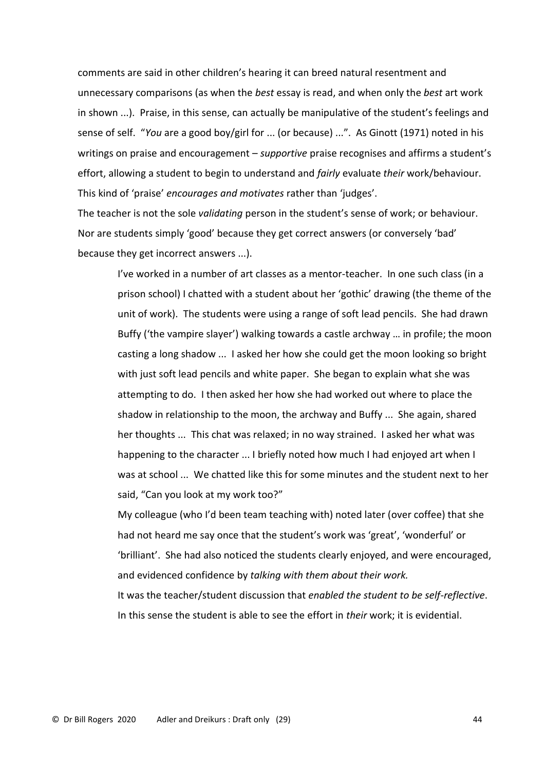comments are said in other children's hearing it can breed natural resentment and unnecessary comparisons (as when the *best* essay is read, and when only the *best* art work in shown ...). Praise, in this sense, can actually be manipulative of the student's feelings and sense of self. "*You* are a good boy/girl for ... (or because) ...". As Ginott (1971) noted in his writings on praise and encouragement – *supportive* praise recognises and affirms a student's effort, allowing a student to begin to understand and *fairly* evaluate *their* work/behaviour. This kind of 'praise' *encourages and motivates* rather than 'judges'.

The teacher is not the sole *validating* person in the student's sense of work; or behaviour. Nor are students simply 'good' because they get correct answers (or conversely 'bad' because they get incorrect answers ...).

I've worked in a number of art classes as a mentor-teacher. In one such class (in a prison school) I chatted with a student about her 'gothic' drawing (the theme of the unit of work). The students were using a range of soft lead pencils. She had drawn Buffy ('the vampire slayer') walking towards a castle archway … in profile; the moon casting a long shadow ... I asked her how she could get the moon looking so bright with just soft lead pencils and white paper. She began to explain what she was attempting to do. I then asked her how she had worked out where to place the shadow in relationship to the moon, the archway and Buffy ... She again, shared her thoughts ... This chat was relaxed; in no way strained. I asked her what was happening to the character ... I briefly noted how much I had enjoyed art when I was at school ... We chatted like this for some minutes and the student next to her said, "Can you look at my work too?"

My colleague (who I'd been team teaching with) noted later (over coffee) that she had not heard me say once that the student's work was 'great', 'wonderful' or 'brilliant'. She had also noticed the students clearly enjoyed, and were encouraged, and evidenced confidence by *talking with them about their work.* It was the teacher/student discussion that *enabled the student to be self-reflective*. In this sense the student is able to see the effort in *their* work; it is evidential.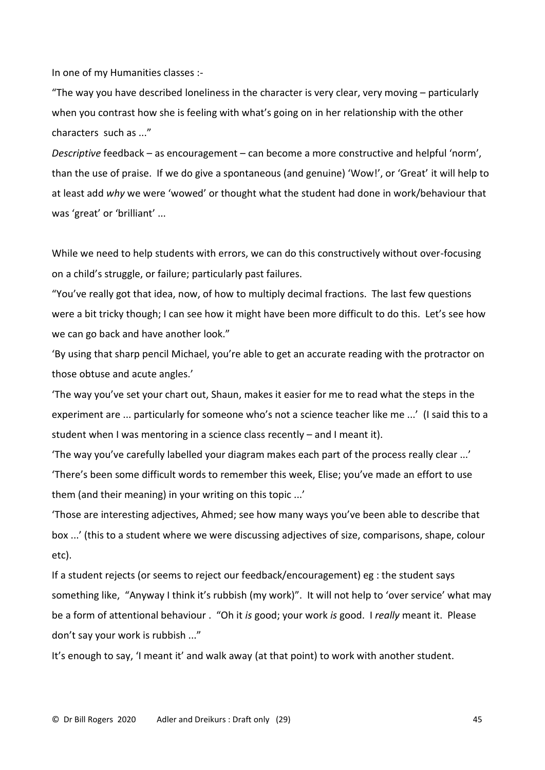In one of my Humanities classes :-

"The way you have described loneliness in the character is very clear, very moving – particularly when you contrast how she is feeling with what's going on in her relationship with the other characters such as ..."

*Descriptive* feedback – as encouragement – can become a more constructive and helpful 'norm', than the use of praise. If we do give a spontaneous (and genuine) 'Wow!', or 'Great' it will help to at least add *why* we were 'wowed' or thought what the student had done in work/behaviour that was 'great' or 'brilliant' ...

While we need to help students with errors, we can do this constructively without over-focusing on a child's struggle, or failure; particularly past failures.

"You've really got that idea, now, of how to multiply decimal fractions. The last few questions were a bit tricky though; I can see how it might have been more difficult to do this. Let's see how we can go back and have another look."

'By using that sharp pencil Michael, you're able to get an accurate reading with the protractor on those obtuse and acute angles.'

'The way you've set your chart out, Shaun, makes it easier for me to read what the steps in the experiment are ... particularly for someone who's not a science teacher like me ...' (I said this to a student when I was mentoring in a science class recently – and I meant it).

'The way you've carefully labelled your diagram makes each part of the process really clear ...' 'There's been some difficult words to remember this week, Elise; you've made an effort to use them (and their meaning) in your writing on this topic ...'

'Those are interesting adjectives, Ahmed; see how many ways you've been able to describe that box ...' (this to a student where we were discussing adjectives of size, comparisons, shape, colour etc).

If a student rejects (or seems to reject our feedback/encouragement) eg : the student says something like, "Anyway I think it's rubbish (my work)". It will not help to 'over service' what may be a form of attentional behaviour . "Oh it *is* good; your work *is* good. I *really* meant it. Please don't say your work is rubbish ..."

It's enough to say, 'I meant it' and walk away (at that point) to work with another student.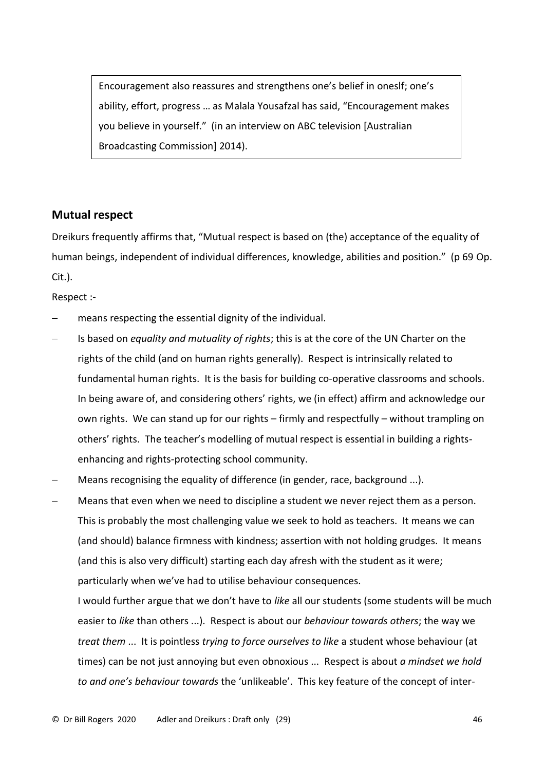Encouragement also reassures and strengthens one's belief in oneslf; one's ability, effort, progress … as Malala Yousafzal has said, "Encouragement makes you believe in yourself." (in an interview on ABC television [Australian Broadcasting Commission] 2014).

# **Mutual respect**

Dreikurs frequently affirms that, "Mutual respect is based on (the) acceptance of the equality of human beings, independent of individual differences, knowledge, abilities and position." (p 69 Op. Cit.).

Respect :-

- means respecting the essential dignity of the individual.
- Is based on *equality and mutuality of rights*; this is at the core of the UN Charter on the rights of the child (and on human rights generally). Respect is intrinsically related to fundamental human rights. It is the basis for building co-operative classrooms and schools. In being aware of, and considering others' rights, we (in effect) affirm and acknowledge our own rights. We can stand up for our rights – firmly and respectfully – without trampling on others' rights. The teacher's modelling of mutual respect is essential in building a rightsenhancing and rights-protecting school community.
- Means recognising the equality of difference (in gender, race, background ...).
- Means that even when we need to discipline a student we never reject them as a person. This is probably the most challenging value we seek to hold as teachers. It means we can (and should) balance firmness with kindness; assertion with not holding grudges. It means (and this is also very difficult) starting each day afresh with the student as it were; particularly when we've had to utilise behaviour consequences.

I would further argue that we don't have to *like* all our students (some students will be much easier to *like* than others ...). Respect is about our *behaviour towards others*; the way we *treat them* ... It is pointless *trying to force ourselves to like* a student whose behaviour (at times) can be not just annoying but even obnoxious ... Respect is about *a mindset we hold to and one's behaviour towards* the 'unlikeable'. This key feature of the concept of inter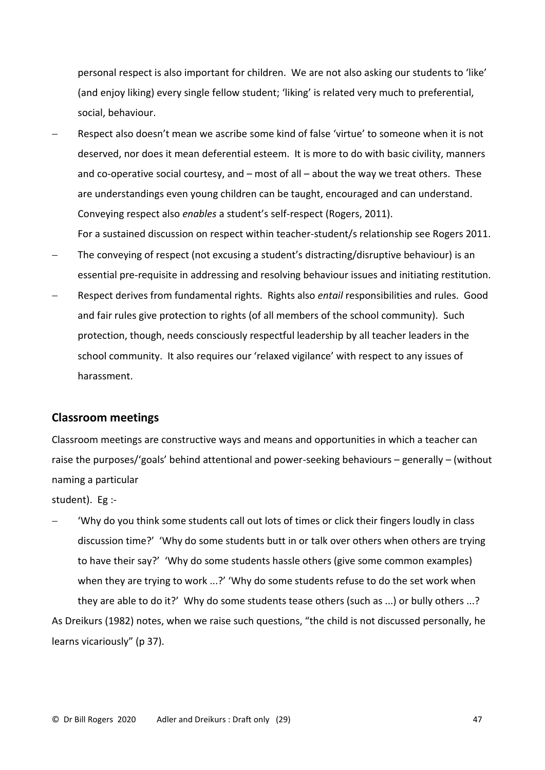personal respect is also important for children. We are not also asking our students to 'like' (and enjoy liking) every single fellow student; 'liking' is related very much to preferential, social, behaviour.

Respect also doesn't mean we ascribe some kind of false 'virtue' to someone when it is not deserved, nor does it mean deferential esteem. It is more to do with basic civility, manners and co-operative social courtesy, and – most of all – about the way we treat others. These are understandings even young children can be taught, encouraged and can understand. Conveying respect also *enables* a student's self-respect (Rogers, 2011).

For a sustained discussion on respect within teacher-student/s relationship see Rogers 2011. The conveying of respect (not excusing a student's distracting/disruptive behaviour) is an

- essential pre-requisite in addressing and resolving behaviour issues and initiating restitution.
- − Respect derives from fundamental rights. Rights also *entail* responsibilities and rules. Good and fair rules give protection to rights (of all members of the school community). Such protection, though, needs consciously respectful leadership by all teacher leaders in the school community. It also requires our 'relaxed vigilance' with respect to any issues of harassment.

# **Classroom meetings**

Classroom meetings are constructive ways and means and opportunities in which a teacher can raise the purposes/'goals' behind attentional and power-seeking behaviours – generally – (without naming a particular

student). Eg :-

− 'Why do you think some students call out lots of times or click their fingers loudly in class discussion time?' 'Why do some students butt in or talk over others when others are trying to have their say?' 'Why do some students hassle others (give some common examples) when they are trying to work ...?' 'Why do some students refuse to do the set work when they are able to do it?' Why do some students tease others (such as ...) or bully others ...? As Dreikurs (1982) notes, when we raise such questions, "the child is not discussed personally, he learns vicariously" (p 37).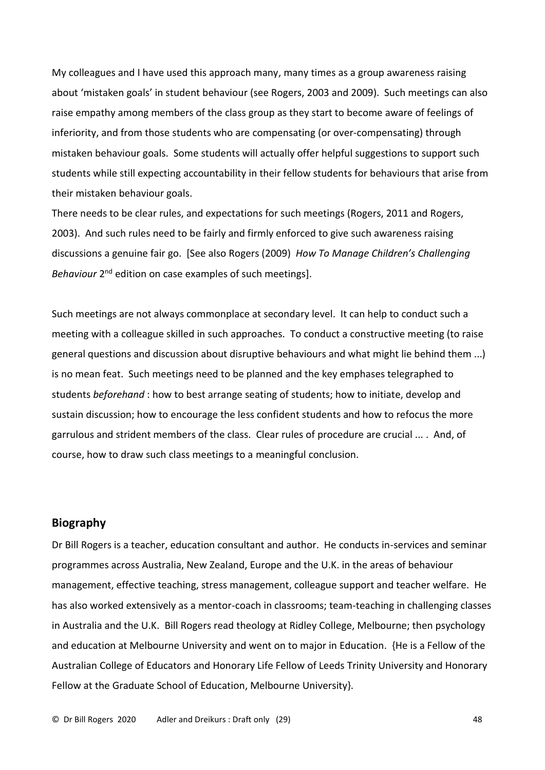My colleagues and I have used this approach many, many times as a group awareness raising about 'mistaken goals' in student behaviour (see Rogers, 2003 and 2009). Such meetings can also raise empathy among members of the class group as they start to become aware of feelings of inferiority, and from those students who are compensating (or over-compensating) through mistaken behaviour goals. Some students will actually offer helpful suggestions to support such students while still expecting accountability in their fellow students for behaviours that arise from their mistaken behaviour goals.

There needs to be clear rules, and expectations for such meetings (Rogers, 2011 and Rogers, 2003). And such rules need to be fairly and firmly enforced to give such awareness raising discussions a genuine fair go. [See also Rogers (2009) *How To Manage Children's Challenging*  Behaviour 2<sup>nd</sup> edition on case examples of such meetings].

Such meetings are not always commonplace at secondary level. It can help to conduct such a meeting with a colleague skilled in such approaches. To conduct a constructive meeting (to raise general questions and discussion about disruptive behaviours and what might lie behind them ...) is no mean feat. Such meetings need to be planned and the key emphases telegraphed to students *beforehand* : how to best arrange seating of students; how to initiate, develop and sustain discussion; how to encourage the less confident students and how to refocus the more garrulous and strident members of the class. Clear rules of procedure are crucial ... . And, of course, how to draw such class meetings to a meaningful conclusion.

### **Biography**

Dr Bill Rogers is a teacher, education consultant and author. He conducts in-services and seminar programmes across Australia, New Zealand, Europe and the U.K. in the areas of behaviour management, effective teaching, stress management, colleague support and teacher welfare. He has also worked extensively as a mentor-coach in classrooms; team-teaching in challenging classes in Australia and the U.K. Bill Rogers read theology at Ridley College, Melbourne; then psychology and education at Melbourne University and went on to major in Education. {He is a Fellow of the Australian College of Educators and Honorary Life Fellow of Leeds Trinity University and Honorary Fellow at the Graduate School of Education, Melbourne University}.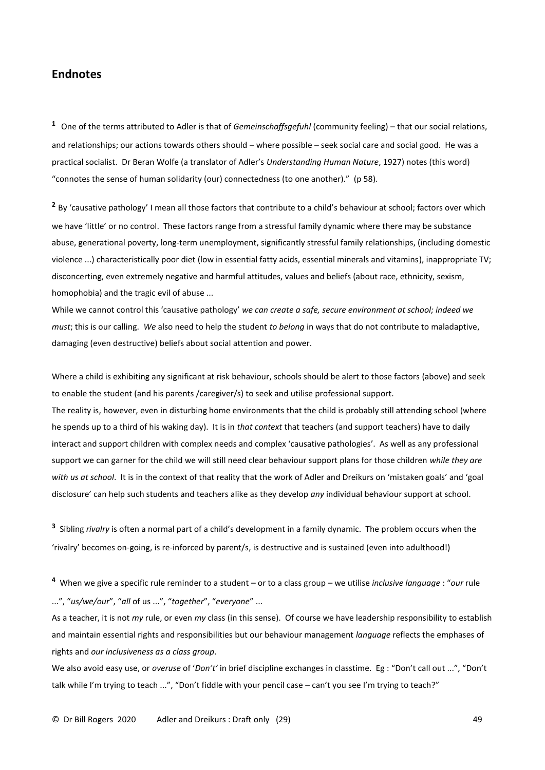# **Endnotes**

**<sup>1</sup>** One of the terms attributed to Adler is that of *Gemeinschaffsgefuhl* (community feeling) – that our social relations, and relationships; our actions towards others should – where possible – seek social care and social good. He was a practical socialist. Dr Beran Wolfe (a translator of Adler's *Understanding Human Nature*, 1927) notes (this word) "connotes the sense of human solidarity (our) connectedness (to one another)." (p 58).

**<sup>2</sup>** By 'causative pathology' I mean all those factors that contribute to a child's behaviour at school; factors over which we have 'little' or no control. These factors range from a stressful family dynamic where there may be substance abuse, generational poverty, long-term unemployment, significantly stressful family relationships, (including domestic violence ...) characteristically poor diet (low in essential fatty acids, essential minerals and vitamins), inappropriate TV; disconcerting, even extremely negative and harmful attitudes, values and beliefs (about race, ethnicity, sexism, homophobia) and the tragic evil of abuse ...

While we cannot control this 'causative pathology' *we can create a safe, secure environment at school; indeed we must*; this is our calling. *We* also need to help the student *to belong* in ways that do not contribute to maladaptive, damaging (even destructive) beliefs about social attention and power.

Where a child is exhibiting any significant at risk behaviour, schools should be alert to those factors (above) and seek to enable the student (and his parents /caregiver/s) to seek and utilise professional support.

The reality is, however, even in disturbing home environments that the child is probably still attending school (where he spends up to a third of his waking day). It is in *that context* that teachers (and support teachers) have to daily interact and support children with complex needs and complex 'causative pathologies'. As well as any professional support we can garner for the child we will still need clear behaviour support plans for those children *while they are with us at school*. It is in the context of that reality that the work of Adler and Dreikurs on 'mistaken goals' and 'goal disclosure' can help such students and teachers alike as they develop *any* individual behaviour support at school.

**3** Sibling *rivalry* is often a normal part of a child's development in a family dynamic. The problem occurs when the 'rivalry' becomes on-going, is re-inforced by parent/s, is destructive and is sustained (even into adulthood!)

**4** When we give a specific rule reminder to a student – or to a class group – we utilise *inclusive language* : "*our* rule ...", "*us/we/our*", "*all* of us ...", "*together*", "*everyone*" ...

As a teacher, it is not *my* rule, or even *my* class (in this sense). Of course we have leadership responsibility to establish and maintain essential rights and responsibilities but our behaviour management *language* reflects the emphases of rights and *our inclusiveness as a class group*.

We also avoid easy use, or *overuse* of '*Don't'* in brief discipline exchanges in classtime. Eg : "Don't call out ...", "Don't talk while I'm trying to teach ...", "Don't fiddle with your pencil case – can't you see I'm trying to teach?"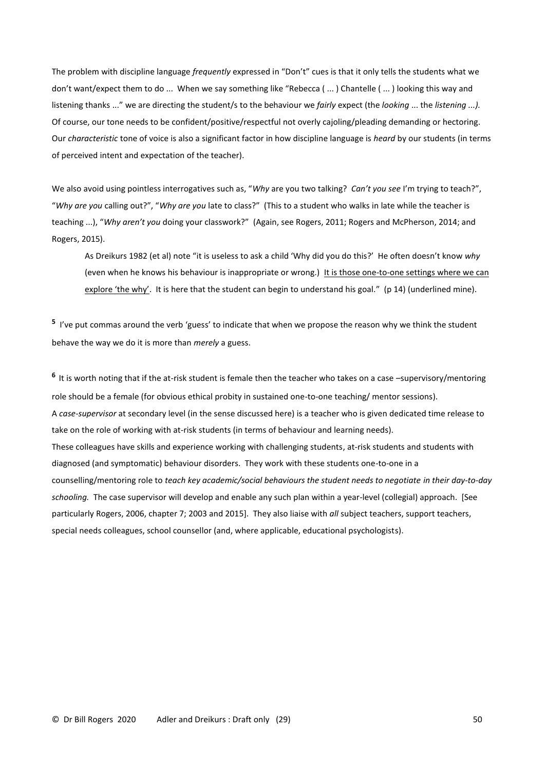The problem with discipline language *frequently* expressed in "Don't" cues is that it only tells the students what we don't want/expect them to do ... When we say something like "Rebecca ( ... ) Chantelle ( ... ) looking this way and listening thanks ..." we are directing the student/s to the behaviour we *fairly* expect (the *looking* ... the *listening ...).*  Of course, our tone needs to be confident/positive/respectful not overly cajoling/pleading demanding or hectoring. Our *characteristic* tone of voice is also a significant factor in how discipline language is *heard* by our students (in terms of perceived intent and expectation of the teacher).

We also avoid using pointless interrogatives such as, "*Why* are you two talking? *Can't you see* I'm trying to teach?", "*Why are you* calling out?", "*Why are you* late to class?" (This to a student who walks in late while the teacher is teaching ...), "*Why aren't you* doing your classwork?" (Again, see Rogers, 2011; Rogers and McPherson, 2014; and Rogers, 2015).

As Dreikurs 1982 (et al) note "it is useless to ask a child 'Why did you do this?' He often doesn't know *why* (even when he knows his behaviour is inappropriate or wrong.) It is those one-to-one settings where we can explore 'the why'. It is here that the student can begin to understand his goal." (p 14) (underlined mine).

<sup>5</sup> I've put commas around the verb 'guess' to indicate that when we propose the reason why we think the student behave the way we do it is more than *merely* a guess.

**<sup>6</sup>**It is worth noting that if the at-risk student is female then the teacher who takes on a case –supervisory/mentoring role should be a female (for obvious ethical probity in sustained one-to-one teaching/ mentor sessions). A *case-supervisor* at secondary level (in the sense discussed here) is a teacher who is given dedicated time release to take on the role of working with at-risk students (in terms of behaviour and learning needs). These colleagues have skills and experience working with challenging students, at-risk students and students with diagnosed (and symptomatic) behaviour disorders. They work with these students one-to-one in a counselling/mentoring role to *teach key academic/social behaviours the student needs to negotiate in their day-to-day schooling.* The case supervisor will develop and enable any such plan within a year-level (collegial) approach. [See particularly Rogers, 2006, chapter 7; 2003 and 2015]. They also liaise with *all* subject teachers, support teachers, special needs colleagues, school counsellor (and, where applicable, educational psychologists).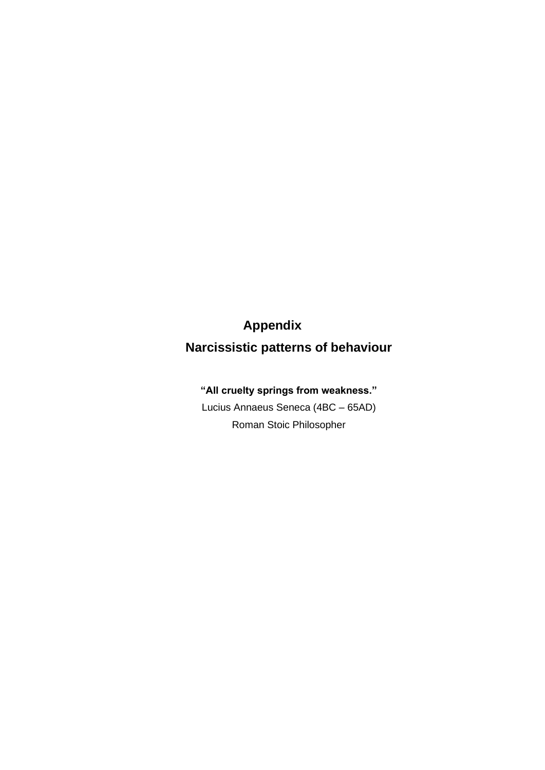# **Appendix**

**Narcissistic patterns of behaviour**

# **"All cruelty springs from weakness."**

Lucius Annaeus Seneca (4BC – 65AD) Roman Stoic Philosopher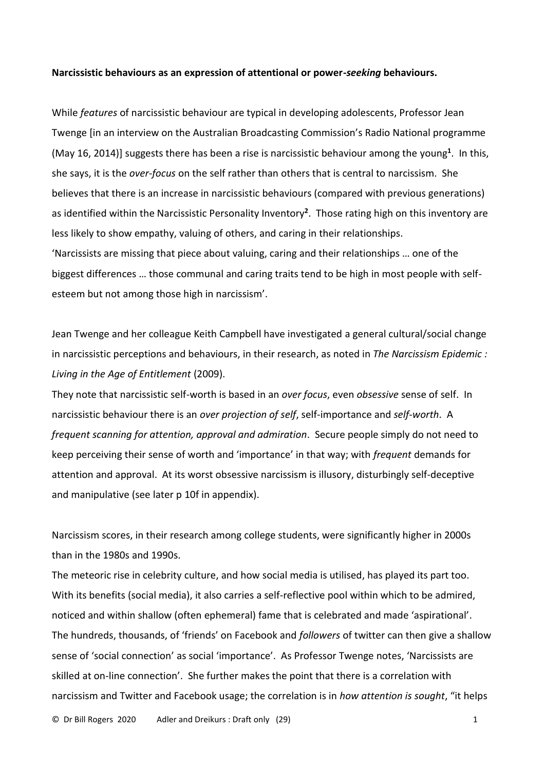#### **Narcissistic behaviours as an expression of attentional or power-***seeking* **behaviours.**

While *features* of narcissistic behaviour are typical in developing adolescents, Professor Jean Twenge [in an interview on the Australian Broadcasting Commission's Radio National programme (May 16, 2014)] suggests there has been a rise is narcissistic behaviour among the young**<sup>1</sup>** . In this, she says, it is the *over-focus* on the self rather than others that is central to narcissism. She believes that there is an increase in narcissistic behaviours (compared with previous generations) as identified within the Narcissistic Personality Inventory**<sup>2</sup>** . Those rating high on this inventory are less likely to show empathy, valuing of others, and caring in their relationships. 'Narcissists are missing that piece about valuing, caring and their relationships … one of the biggest differences … those communal and caring traits tend to be high in most people with selfesteem but not among those high in narcissism'.

Jean Twenge and her colleague Keith Campbell have investigated a general cultural/social change in narcissistic perceptions and behaviours, in their research, as noted in *The Narcissism Epidemic : Living in the Age of Entitlement* (2009).

They note that narcissistic self-worth is based in an *over focus*, even *obsessive* sense of self. In narcissistic behaviour there is an *over projection of self*, self-importance and *self-worth*. A *frequent scanning for attention, approval and admiration*. Secure people simply do not need to keep perceiving their sense of worth and 'importance' in that way; with *frequent* demands for attention and approval. At its worst obsessive narcissism is illusory, disturbingly self-deceptive and manipulative (see later p 10f in appendix).

Narcissism scores, in their research among college students, were significantly higher in 2000s than in the 1980s and 1990s.

The meteoric rise in celebrity culture, and how social media is utilised, has played its part too. With its benefits (social media), it also carries a self-reflective pool within which to be admired, noticed and within shallow (often ephemeral) fame that is celebrated and made 'aspirational'. The hundreds, thousands, of 'friends' on Facebook and *followers* of twitter can then give a shallow sense of 'social connection' as social 'importance'. As Professor Twenge notes, 'Narcissists are skilled at on-line connection'. She further makes the point that there is a correlation with narcissism and Twitter and Facebook usage; the correlation is in *how attention is sought*, "it helps

© Dr Bill Rogers 2020 Adler and Dreikurs : Draft only (29) 1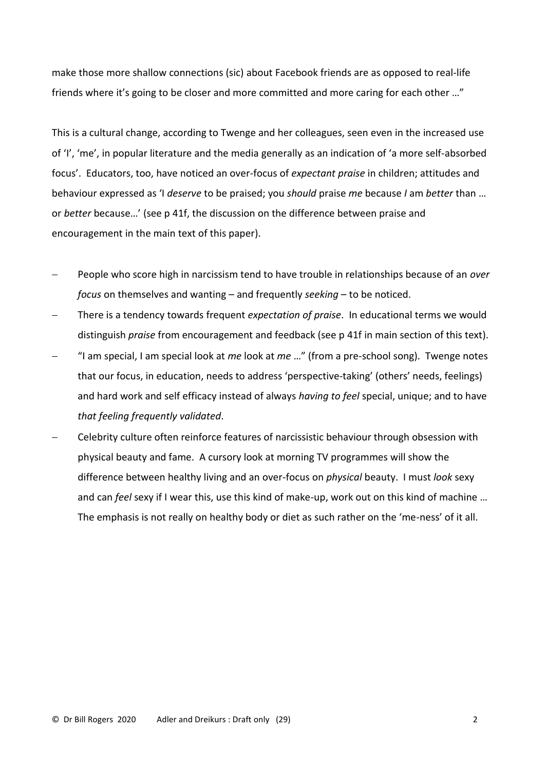make those more shallow connections (sic) about Facebook friends are as opposed to real-life friends where it's going to be closer and more committed and more caring for each other …"

This is a cultural change, according to Twenge and her colleagues, seen even in the increased use of 'I', 'me', in popular literature and the media generally as an indication of 'a more self-absorbed focus'. Educators, too, have noticed an over-focus of *expectant praise* in children; attitudes and behaviour expressed as 'I *deserve* to be praised; you *should* praise *me* because *I* am *better* than … or *better* because…' (see p 41f, the discussion on the difference between praise and encouragement in the main text of this paper).

- − People who score high in narcissism tend to have trouble in relationships because of an *over focus* on themselves and wanting – and frequently *seeking* – to be noticed.
- − There is a tendency towards frequent *expectation of praise*. In educational terms we would distinguish *praise* from encouragement and feedback (see p 41f in main section of this text).
- − "I am special, I am special look at *me* look at *me* …" (from a pre-school song). Twenge notes that our focus, in education, needs to address 'perspective-taking' (others' needs, feelings) and hard work and self efficacy instead of always *having to feel* special, unique; and to have *that feeling frequently validated*.
- − Celebrity culture often reinforce features of narcissistic behaviour through obsession with physical beauty and fame. A cursory look at morning TV programmes will show the difference between healthy living and an over-focus on *physical* beauty. I must *look* sexy and can *feel* sexy if I wear this, use this kind of make-up, work out on this kind of machine … The emphasis is not really on healthy body or diet as such rather on the 'me-ness' of it all.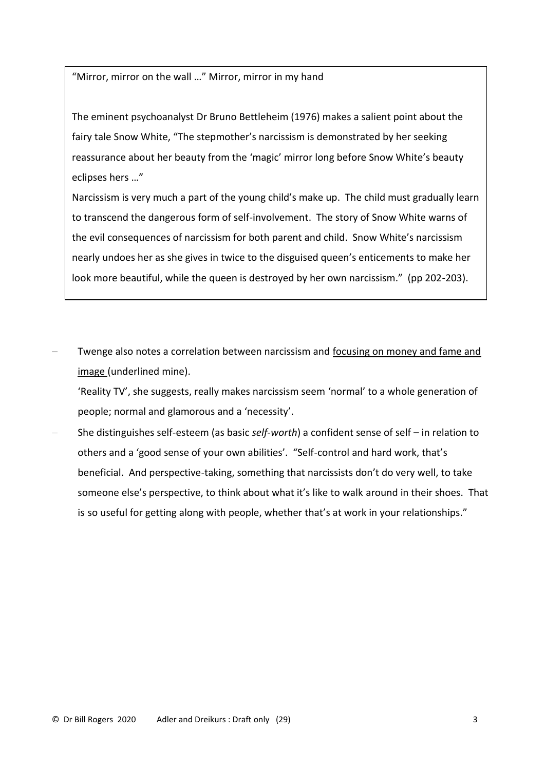"Mirror, mirror on the wall …" Mirror, mirror in my hand

The eminent psychoanalyst Dr Bruno Bettleheim (1976) makes a salient point about the fairy tale Snow White, "The stepmother's narcissism is demonstrated by her seeking reassurance about her beauty from the 'magic' mirror long before Snow White's beauty eclipses hers …"

Narcissism is very much a part of the young child's make up. The child must gradually learn to transcend the dangerous form of self-involvement. The story of Snow White warns of the evil consequences of narcissism for both parent and child. Snow White's narcissism nearly undoes her as she gives in twice to the disguised queen's enticements to make her look more beautiful, while the queen is destroyed by her own narcissism." (pp 202-203).

Twenge also notes a correlation between narcissism and focusing on money and fame and image (underlined mine).

'Reality TV', she suggests, really makes narcissism seem 'normal' to a whole generation of people; normal and glamorous and a 'necessity'.

− She distinguishes self-esteem (as basic *self-worth*) a confident sense of self – in relation to others and a 'good sense of your own abilities'. "Self-control and hard work, that's beneficial. And perspective-taking, something that narcissists don't do very well, to take someone else's perspective, to think about what it's like to walk around in their shoes. That is so useful for getting along with people, whether that's at work in your relationships."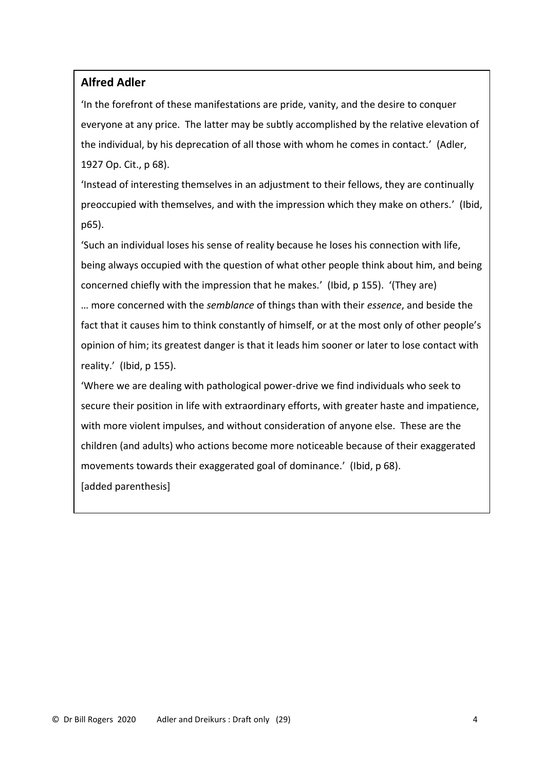# **Alfred Adler**

'In the forefront of these manifestations are pride, vanity, and the desire to conquer everyone at any price. The latter may be subtly accomplished by the relative elevation of the individual, by his deprecation of all those with whom he comes in contact.' (Adler, 1927 Op. Cit., p 68).

'Instead of interesting themselves in an adjustment to their fellows, they are continually preoccupied with themselves, and with the impression which they make on others.' (Ibid, p65).

'Such an individual loses his sense of reality because he loses his connection with life, being always occupied with the question of what other people think about him, and being concerned chiefly with the impression that he makes.' (Ibid, p 155). '(They are) … more concerned with the *semblance* of things than with their *essence*, and beside the fact that it causes him to think constantly of himself, or at the most only of other people's opinion of him; its greatest danger is that it leads him sooner or later to lose contact with reality.' (Ibid, p 155).

'Where we are dealing with pathological power-drive we find individuals who seek to secure their position in life with extraordinary efforts, with greater haste and impatience, with more violent impulses, and without consideration of anyone else. These are the children (and adults) who actions become more noticeable because of their exaggerated movements towards their exaggerated goal of dominance.' (Ibid, p 68). [added parenthesis]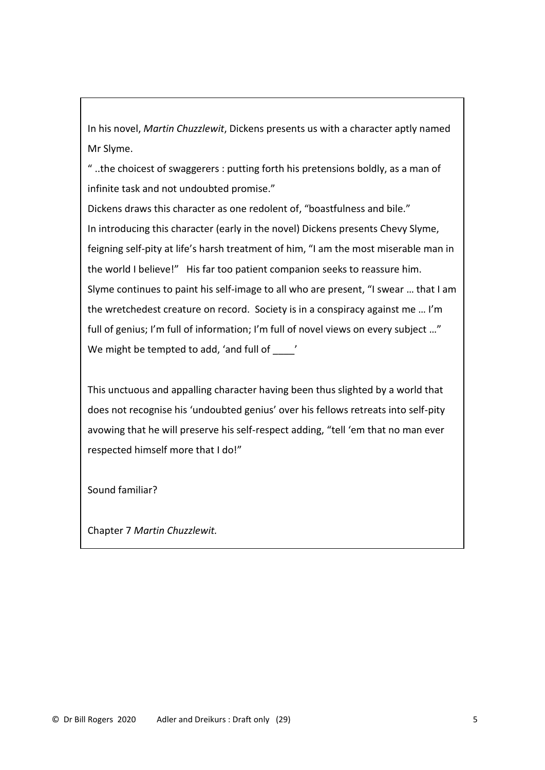In his novel, *Martin Chuzzlewit*, Dickens presents us with a character aptly named Mr Slyme.

" ..the choicest of swaggerers : putting forth his pretensions boldly, as a man of infinite task and not undoubted promise."

Dickens draws this character as one redolent of, "boastfulness and bile." In introducing this character (early in the novel) Dickens presents Chevy Slyme, feigning self-pity at life's harsh treatment of him, "I am the most miserable man in the world I believe!" His far too patient companion seeks to reassure him. Slyme continues to paint his self-image to all who are present, "I swear … that I am the wretchedest creature on record. Society is in a conspiracy against me … I'm full of genius; I'm full of information; I'm full of novel views on every subject ..." We might be tempted to add, 'and full of  $\qquad$ 

This unctuous and appalling character having been thus slighted by a world that does not recognise his 'undoubted genius' over his fellows retreats into self-pity avowing that he will preserve his self-respect adding, "tell 'em that no man ever respected himself more that I do!"

Sound familiar?

Chapter 7 *Martin Chuzzlewit.*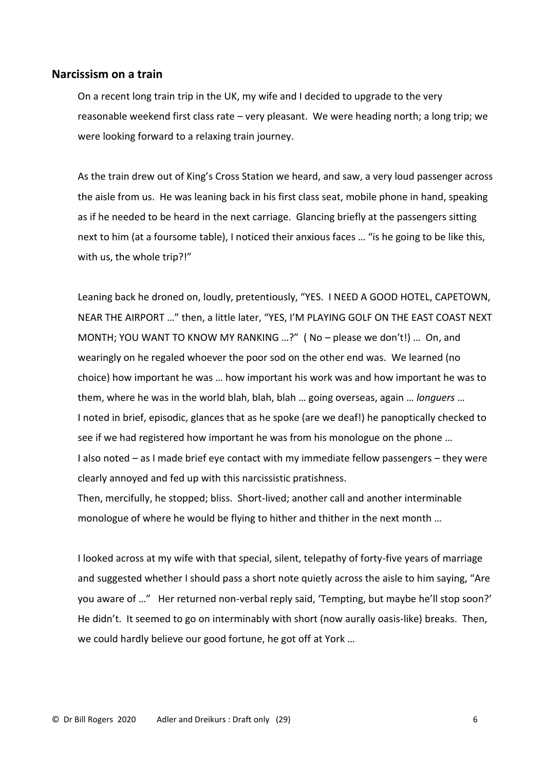### **Narcissism on a train**

On a recent long train trip in the UK, my wife and I decided to upgrade to the very reasonable weekend first class rate – very pleasant. We were heading north; a long trip; we were looking forward to a relaxing train journey.

As the train drew out of King's Cross Station we heard, and saw, a very loud passenger across the aisle from us. He was leaning back in his first class seat, mobile phone in hand, speaking as if he needed to be heard in the next carriage. Glancing briefly at the passengers sitting next to him (at a foursome table), I noticed their anxious faces … "is he going to be like this, with us, the whole trip?!"

Leaning back he droned on, loudly, pretentiously, "YES. I NEED A GOOD HOTEL, CAPETOWN, NEAR THE AIRPORT …" then, a little later, "YES, I'M PLAYING GOLF ON THE EAST COAST NEXT MONTH; YOU WANT TO KNOW MY RANKING …?" ( No – please we don't!) … On, and wearingly on he regaled whoever the poor sod on the other end was. We learned (no choice) how important he was … how important his work was and how important he was to them, where he was in the world blah, blah, blah … going overseas, again … *longuers* … I noted in brief, episodic, glances that as he spoke (are we deaf!) he panoptically checked to see if we had registered how important he was from his monologue on the phone … I also noted – as I made brief eye contact with my immediate fellow passengers – they were clearly annoyed and fed up with this narcissistic pratishness. Then, mercifully, he stopped; bliss. Short-lived; another call and another interminable

monologue of where he would be flying to hither and thither in the next month …

I looked across at my wife with that special, silent, telepathy of forty-five years of marriage and suggested whether I should pass a short note quietly across the aisle to him saying, "Are you aware of …" Her returned non-verbal reply said, 'Tempting, but maybe he'll stop soon?' He didn't. It seemed to go on interminably with short (now aurally oasis-like) breaks. Then, we could hardly believe our good fortune, he got off at York …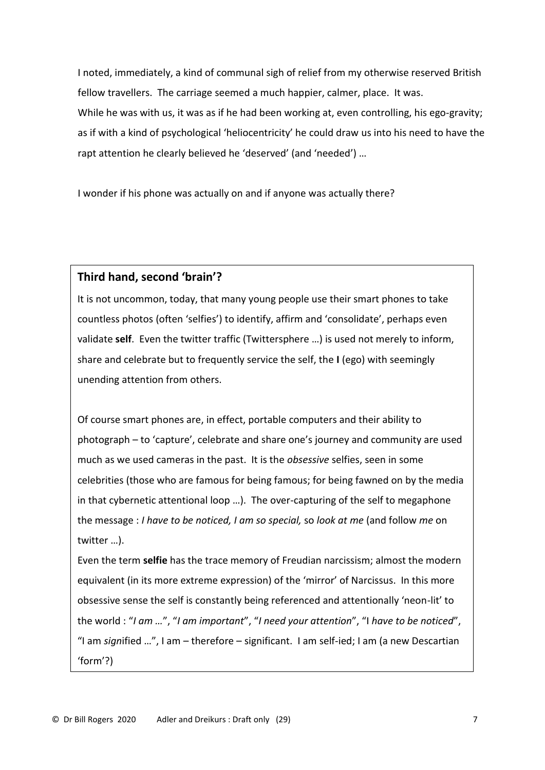I noted, immediately, a kind of communal sigh of relief from my otherwise reserved British fellow travellers. The carriage seemed a much happier, calmer, place. It was. While he was with us, it was as if he had been working at, even controlling, his ego-gravity; as if with a kind of psychological 'heliocentricity' he could draw us into his need to have the rapt attention he clearly believed he 'deserved' (and 'needed') …

I wonder if his phone was actually on and if anyone was actually there?

# **Third hand, second 'brain'?**

It is not uncommon, today, that many young people use their smart phones to take countless photos (often 'selfies') to identify, affirm and 'consolidate', perhaps even validate **self**. Even the twitter traffic (Twittersphere …) is used not merely to inform, share and celebrate but to frequently service the self, the **I** (ego) with seemingly unending attention from others.

Of course smart phones are, in effect, portable computers and their ability to photograph – to 'capture', celebrate and share one's journey and community are used much as we used cameras in the past. It is the *obsessive* selfies, seen in some celebrities (those who are famous for being famous; for being fawned on by the media in that cybernetic attentional loop …). The over-capturing of the self to megaphone the message : *I have to be noticed, I am so special,* so *look at me* (and follow *me* on twitter …).

Even the term **selfie** has the trace memory of Freudian narcissism; almost the modern equivalent (in its more extreme expression) of the 'mirror' of Narcissus. In this more obsessive sense the self is constantly being referenced and attentionally 'neon-lit' to the world : "*I am …*", "*I am important*", "*I need your attention*", "I *have to be noticed*", "I am *sign*ified …", I am – therefore – significant. I am self-ied; I am (a new Descartian 'form'?)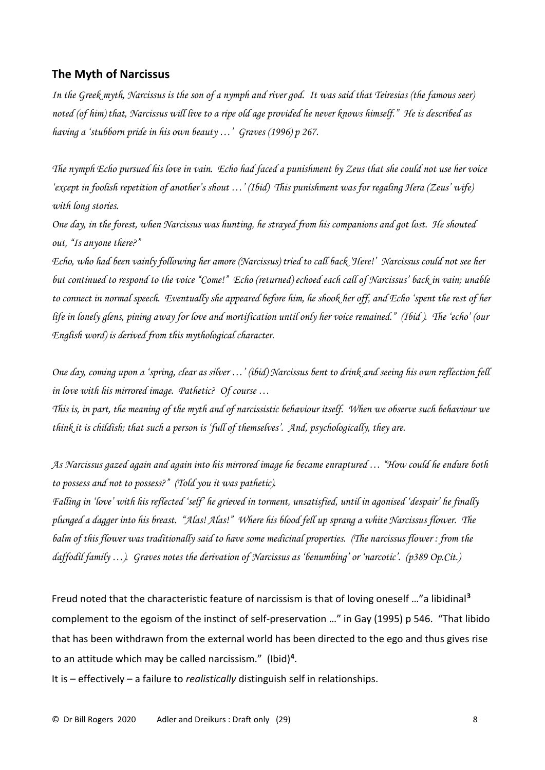# **The Myth of Narcissus**

*In the Greek myth, Narcissus is the son of a nymph and river god. It was said that Teiresias (the famous seer) noted (of him) that, Narcissus will live to a ripe old age provided he never knows himself." He is described as having a 'stubborn pride in his own beauty …' Graves (1996) p 267.*

*The nymph Echo pursued his love in vain. Echo had faced a punishment by Zeus that she could not use her voice 'except in foolish repetition of another's shout …' (Ibid) This punishment was for regaling Hera (Zeus' wife) with long stories.*

*One day, in the forest, when Narcissus was hunting, he strayed from his companions and got lost. He shouted out, "Is anyone there?"*

*Echo, who had been vainly following her amore (Narcissus) tried to call back 'Here!' Narcissus could not see her but continued to respond to the voice "Come!" Echo (returned) echoed each call of Narcissus' back in vain; unable*  to connect in normal speech. Eventually she appeared before him, he shook her off, and Echo 'spent the rest of her *life in lonely glens, pining away for love and mortification until only her voice remained." (Ibid ). The 'echo' (our English word) is derived from this mythological character.*

*One day, coming upon a 'spring, clear as silver …' (ibid) Narcissus bent to drink and seeing his own reflection fell in love with his mirrored image. Pathetic? Of course …*

*This is, in part, the meaning of the myth and of narcissistic behaviour itself. When we observe such behaviour we think it is childish; that such a person is 'full of themselves'. And, psychologically, they are.*

*As Narcissus gazed again and again into his mirrored image he became enraptured … "How could he endure both to possess and not to possess?" (Told you it was pathetic).*

*Falling in 'love' with his reflected 'self' he grieved in torment, unsatisfied, until in agonised 'despair' he finally plunged a dagger into his breast. "Alas! Alas!" Where his blood fell up sprang a white Narcissus flower. The balm of this flower was traditionally said to have some medicinal properties. (The narcissus flower : from the daffodil family …). Graves notes the derivation of Narcissus as 'benumbing' or 'narcotic'. (p389 Op.Cit.)*

Freud noted that the characteristic feature of narcissism is that of loving oneself …"a libidinal**<sup>3</sup>** complement to the egoism of the instinct of self-preservation …" in Gay (1995) p 546. "That libido that has been withdrawn from the external world has been directed to the ego and thus gives rise to an attitude which may be called narcissism." (Ibid)**<sup>4</sup>** .

It is – effectively – a failure to *realistically* distinguish self in relationships.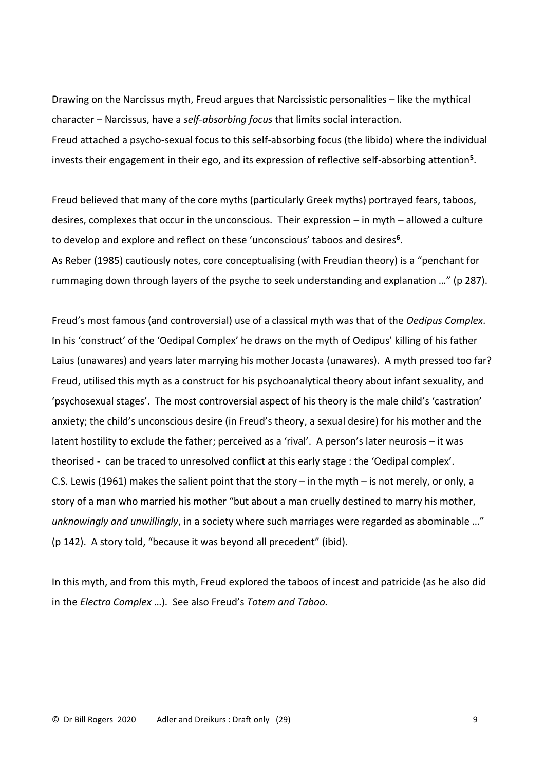Drawing on the Narcissus myth, Freud argues that Narcissistic personalities – like the mythical character – Narcissus, have a *self-absorbing focus* that limits social interaction. Freud attached a psycho-sexual focus to this self-absorbing focus (the libido) where the individual invests their engagement in their ego, and its expression of reflective self-absorbing attention**<sup>5</sup>** .

Freud believed that many of the core myths (particularly Greek myths) portrayed fears, taboos, desires, complexes that occur in the unconscious. Their expression – in myth – allowed a culture to develop and explore and reflect on these 'unconscious' taboos and desires**<sup>6</sup>** . As Reber (1985) cautiously notes, core conceptualising (with Freudian theory) is a "penchant for rummaging down through layers of the psyche to seek understanding and explanation …" (p 287).

Freud's most famous (and controversial) use of a classical myth was that of the *Oedipus Complex*. In his 'construct' of the 'Oedipal Complex' he draws on the myth of Oedipus' killing of his father Laius (unawares) and years later marrying his mother Jocasta (unawares). A myth pressed too far? Freud, utilised this myth as a construct for his psychoanalytical theory about infant sexuality, and 'psychosexual stages'. The most controversial aspect of his theory is the male child's 'castration' anxiety; the child's unconscious desire (in Freud's theory, a sexual desire) for his mother and the latent hostility to exclude the father; perceived as a 'rival'. A person's later neurosis – it was theorised - can be traced to unresolved conflict at this early stage : the 'Oedipal complex'. C.S. Lewis (1961) makes the salient point that the story – in the myth – is not merely, or only, a story of a man who married his mother "but about a man cruelly destined to marry his mother, *unknowingly and unwillingly*, in a society where such marriages were regarded as abominable …" (p 142). A story told, "because it was beyond all precedent" (ibid).

In this myth, and from this myth, Freud explored the taboos of incest and patricide (as he also did in the *Electra Complex* …). See also Freud's *Totem and Taboo.*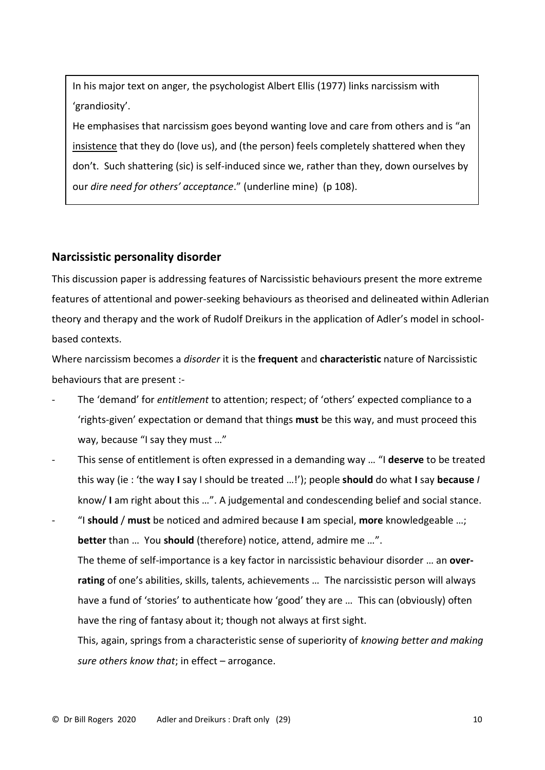In his major text on anger, the psychologist Albert Ellis (1977) links narcissism with 'grandiosity'.

He emphasises that narcissism goes beyond wanting love and care from others and is "an insistence that they do (love us), and (the person) feels completely shattered when they don't. Such shattering (sic) is self-induced since we, rather than they, down ourselves by our *dire need for others' acceptance*." (underline mine) (p 108).

# **Narcissistic personality disorder**

This discussion paper is addressing features of Narcissistic behaviours present the more extreme features of attentional and power-seeking behaviours as theorised and delineated within Adlerian theory and therapy and the work of Rudolf Dreikurs in the application of Adler's model in schoolbased contexts.

Where narcissism becomes a *disorder* it is the **frequent** and **characteristic** nature of Narcissistic behaviours that are present :-

- The 'demand' for *entitlement* to attention; respect; of 'others' expected compliance to a 'rights-given' expectation or demand that things **must** be this way, and must proceed this way, because "I say they must …"
- This sense of entitlement is often expressed in a demanding way … "I **deserve** to be treated this way (ie : 'the way **I** say I should be treated …!'); people **should** do what **I** say **because** *I* know/ **I** am right about this …". A judgemental and condescending belief and social stance.

- "I **should** / **must** be noticed and admired because **I** am special, **more** knowledgeable …; **better** than … You **should** (therefore) notice, attend, admire me …". The theme of self-importance is a key factor in narcissistic behaviour disorder … an **overrating** of one's abilities, skills, talents, achievements … The narcissistic person will always have a fund of 'stories' to authenticate how 'good' they are … This can (obviously) often have the ring of fantasy about it; though not always at first sight.

This, again, springs from a characteristic sense of superiority of *knowing better and making sure others know that*; in effect – arrogance.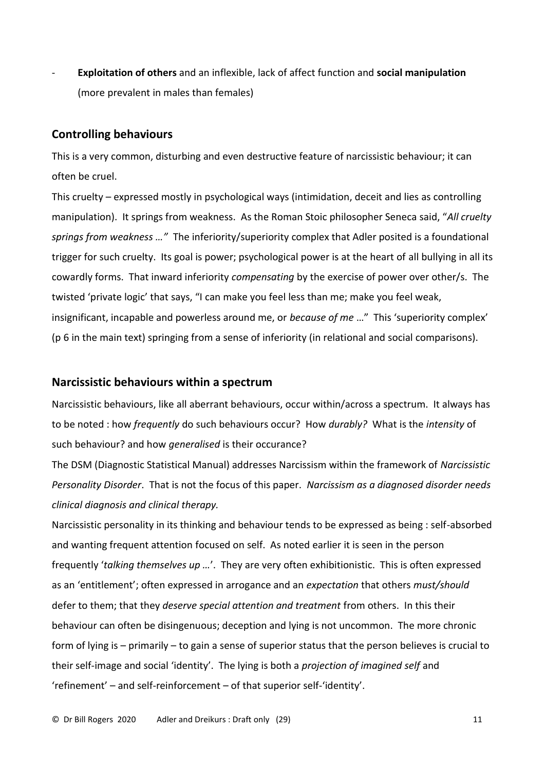- **Exploitation of others** and an inflexible, lack of affect function and **social manipulation**  (more prevalent in males than females)

# **Controlling behaviours**

This is a very common, disturbing and even destructive feature of narcissistic behaviour; it can often be cruel.

This cruelty – expressed mostly in psychological ways (intimidation, deceit and lies as controlling manipulation). It springs from weakness. As the Roman Stoic philosopher Seneca said, "*All cruelty springs from weakness …"* The inferiority/superiority complex that Adler posited is a foundational trigger for such cruelty. Its goal is power; psychological power is at the heart of all bullying in all its cowardly forms. That inward inferiority *compensating* by the exercise of power over other/s. The twisted 'private logic' that says, "I can make you feel less than me; make you feel weak, insignificant, incapable and powerless around me, or *because of me* …" This 'superiority complex' (p 6 in the main text) springing from a sense of inferiority (in relational and social comparisons).

### **Narcissistic behaviours within a spectrum**

Narcissistic behaviours, like all aberrant behaviours, occur within/across a spectrum. It always has to be noted : how *frequently* do such behaviours occur? How *durably?* What is the *intensity* of such behaviour? and how *generalised* is their occurance?

The DSM (Diagnostic Statistical Manual) addresses Narcissism within the framework of *Narcissistic Personality Disorder*. That is not the focus of this paper. *Narcissism as a diagnosed disorder needs clinical diagnosis and clinical therapy.*

Narcissistic personality in its thinking and behaviour tends to be expressed as being : self-absorbed and wanting frequent attention focused on self. As noted earlier it is seen in the person frequently '*talking themselves up …*'. They are very often exhibitionistic. This is often expressed as an 'entitlement'; often expressed in arrogance and an *expectation* that others *must/should* defer to them; that they *deserve special attention and treatment* from others. In this their behaviour can often be disingenuous; deception and lying is not uncommon. The more chronic form of lying is – primarily – to gain a sense of superior status that the person believes is crucial to their self-image and social 'identity'. The lying is both a *projection of imagined self* and 'refinement' – and self-reinforcement – of that superior self-'identity'.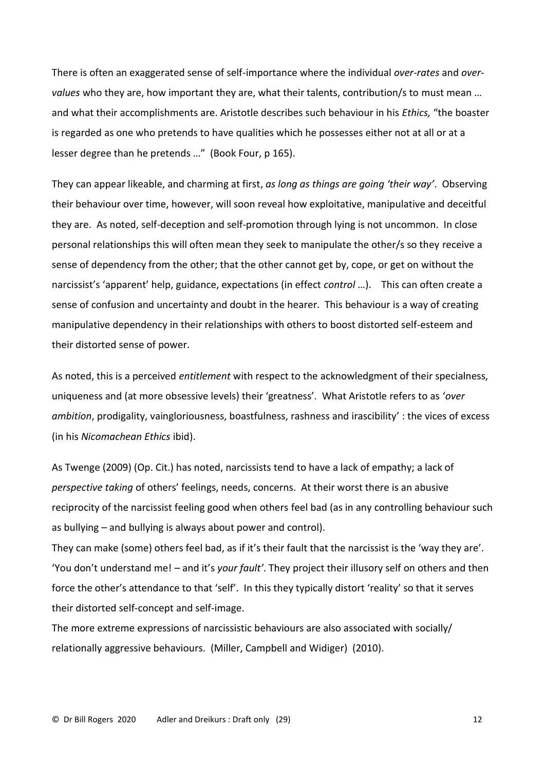There is often an exaggerated sense of self-importance where the individual *over-rates* and *overvalues* who they are, how important they are, what their talents, contribution/s to must mean … and what their accomplishments are. Aristotle describes such behaviour in his *Ethics,* "the boaster is regarded as one who pretends to have qualities which he possesses either not at all or at a lesser degree than he pretends …" (Book Four, p 165).

They can appear likeable, and charming at first, *as long as things are going 'their way'*. Observing their behaviour over time, however, will soon reveal how exploitative, manipulative and deceitful they are. As noted, self-deception and self-promotion through lying is not uncommon. In close personal relationships this will often mean they seek to manipulate the other/s so they receive a sense of dependency from the other; that the other cannot get by, cope, or get on without the narcissist's 'apparent' help, guidance, expectations (in effect *control* …). This can often create a sense of confusion and uncertainty and doubt in the hearer. This behaviour is a way of creating manipulative dependency in their relationships with others to boost distorted self-esteem and their distorted sense of power.

As noted, this is a perceived *entitlement* with respect to the acknowledgment of their specialness, uniqueness and (at more obsessive levels) their 'greatness'. What Aristotle refers to as '*over ambition*, prodigality, vaingloriousness, boastfulness, rashness and irascibility' : the vices of excess (in his *Nicomachean Ethics* ibid).

As Twenge (2009) (Op. Cit.) has noted, narcissists tend to have a lack of empathy; a lack of *perspective taking* of others' feelings, needs, concerns. At their worst there is an abusive reciprocity of the narcissist feeling good when others feel bad (as in any controlling behaviour such as bullying – and bullying is always about power and control).

They can make (some) others feel bad, as if it's their fault that the narcissist is the 'way they are'. 'You don't understand me! – and it's *your fault'*. They project their illusory self on others and then force the other's attendance to that 'self'. In this they typically distort 'reality' so that it serves their distorted self-concept and self-image.

The more extreme expressions of narcissistic behaviours are also associated with socially/ relationally aggressive behaviours. (Miller, Campbell and Widiger) (2010).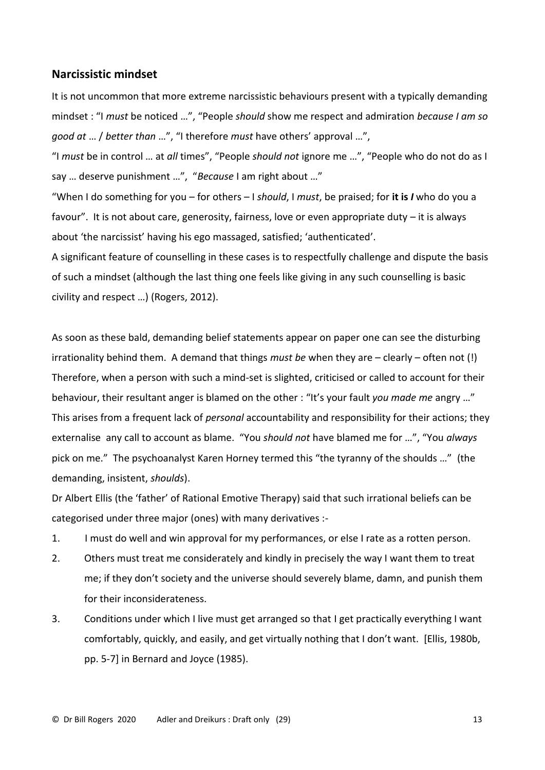### **Narcissistic mindset**

It is not uncommon that more extreme narcissistic behaviours present with a typically demanding mindset : "I *must* be noticed …", "People *should* show me respect and admiration *because I am so good at* … / *better than* …", "I therefore *must* have others' approval …",

"I *must* be in control … at *all* times", "People *should not* ignore me …", "People who do not do as I say … deserve punishment …", "*Because* I am right about …"

"When I do something for you – for others – I *should*, I *must*, be praised; for **it is** *I* who do you a favour". It is not about care, generosity, fairness, love or even appropriate duty – it is always about 'the narcissist' having his ego massaged, satisfied; 'authenticated'.

A significant feature of counselling in these cases is to respectfully challenge and dispute the basis of such a mindset (although the last thing one feels like giving in any such counselling is basic civility and respect …) (Rogers, 2012).

As soon as these bald, demanding belief statements appear on paper one can see the disturbing irrationality behind them. A demand that things *must be* when they are – clearly – often not (!) Therefore, when a person with such a mind-set is slighted, criticised or called to account for their behaviour, their resultant anger is blamed on the other : "It's your fault *you made me* angry …" This arises from a frequent lack of *personal* accountability and responsibility for their actions; they externalise any call to account as blame. "You *should not* have blamed me for …", "You *always* pick on me." The psychoanalyst Karen Horney termed this "the tyranny of the shoulds …" (the demanding, insistent, *shoulds*).

Dr Albert Ellis (the 'father' of Rational Emotive Therapy) said that such irrational beliefs can be categorised under three major (ones) with many derivatives :-

- 1. I must do well and win approval for my performances, or else I rate as a rotten person.
- 2. Others must treat me considerately and kindly in precisely the way I want them to treat me; if they don't society and the universe should severely blame, damn, and punish them for their inconsiderateness.
- 3. Conditions under which I live must get arranged so that I get practically everything I want comfortably, quickly, and easily, and get virtually nothing that I don't want. [Ellis, 1980b, pp. 5-7] in Bernard and Joyce (1985).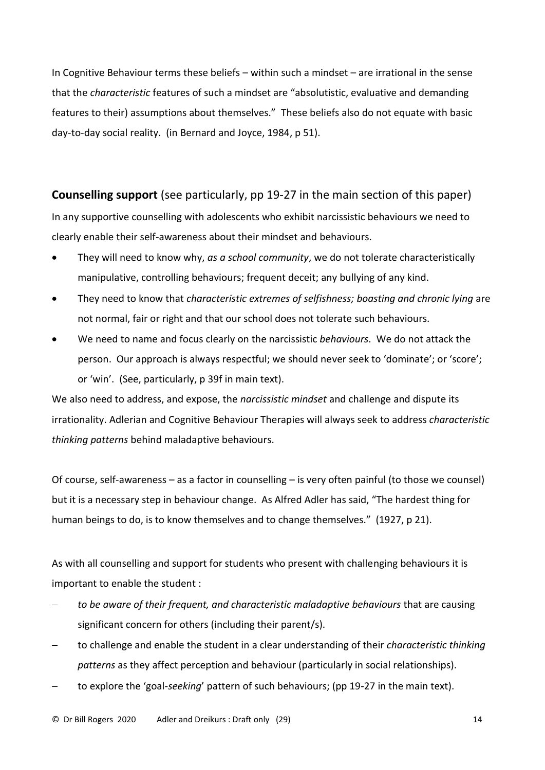In Cognitive Behaviour terms these beliefs – within such a mindset – are irrational in the sense that the *characteristic* features of such a mindset are "absolutistic, evaluative and demanding features to their) assumptions about themselves." These beliefs also do not equate with basic day-to-day social reality. (in Bernard and Joyce, 1984, p 51).

**Counselling support** (see particularly, pp 19-27 in the main section of this paper) In any supportive counselling with adolescents who exhibit narcissistic behaviours we need to clearly enable their self-awareness about their mindset and behaviours.

- They will need to know why, *as a school community*, we do not tolerate characteristically manipulative, controlling behaviours; frequent deceit; any bullying of any kind.
- They need to know that *characteristic extremes of selfishness; boasting and chronic lying* are not normal, fair or right and that our school does not tolerate such behaviours.
- We need to name and focus clearly on the narcissistic *behaviours*. We do not attack the person. Our approach is always respectful; we should never seek to 'dominate'; or 'score'; or 'win'. (See, particularly, p 39f in main text).

We also need to address, and expose, the *narcissistic mindset* and challenge and dispute its irrationality. Adlerian and Cognitive Behaviour Therapies will always seek to address *characteristic thinking patterns* behind maladaptive behaviours.

Of course, self-awareness – as a factor in counselling – is very often painful (to those we counsel) but it is a necessary step in behaviour change. As Alfred Adler has said, "The hardest thing for human beings to do, is to know themselves and to change themselves." (1927, p 21).

As with all counselling and support for students who present with challenging behaviours it is important to enable the student :

- − *to be aware of their frequent, and characteristic maladaptive behaviours* that are causing significant concern for others (including their parent/s).
- − to challenge and enable the student in a clear understanding of their *characteristic thinking patterns* as they affect perception and behaviour (particularly in social relationships).
- − to explore the 'goal-*seeking*' pattern of such behaviours; (pp 19-27 in the main text).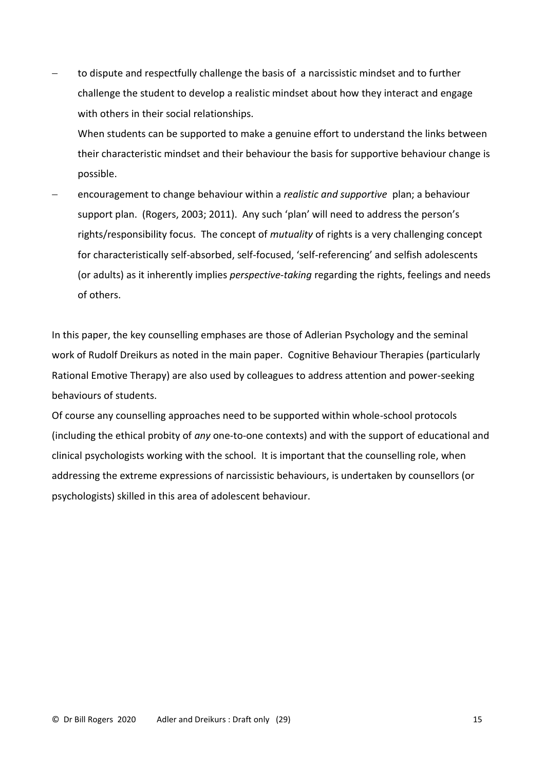to dispute and respectfully challenge the basis of a narcissistic mindset and to further challenge the student to develop a realistic mindset about how they interact and engage with others in their social relationships.

When students can be supported to make a genuine effort to understand the links between their characteristic mindset and their behaviour the basis for supportive behaviour change is possible.

− encouragement to change behaviour within a *realistic and supportive* plan; a behaviour support plan. (Rogers, 2003; 2011). Any such 'plan' will need to address the person's rights/responsibility focus. The concept of *mutuality* of rights is a very challenging concept for characteristically self-absorbed, self-focused, 'self-referencing' and selfish adolescents (or adults) as it inherently implies *perspective-taking* regarding the rights, feelings and needs of others.

In this paper, the key counselling emphases are those of Adlerian Psychology and the seminal work of Rudolf Dreikurs as noted in the main paper. Cognitive Behaviour Therapies (particularly Rational Emotive Therapy) are also used by colleagues to address attention and power-seeking behaviours of students.

Of course any counselling approaches need to be supported within whole-school protocols (including the ethical probity of *any* one-to-one contexts) and with the support of educational and clinical psychologists working with the school. It is important that the counselling role, when addressing the extreme expressions of narcissistic behaviours, is undertaken by counsellors (or psychologists) skilled in this area of adolescent behaviour.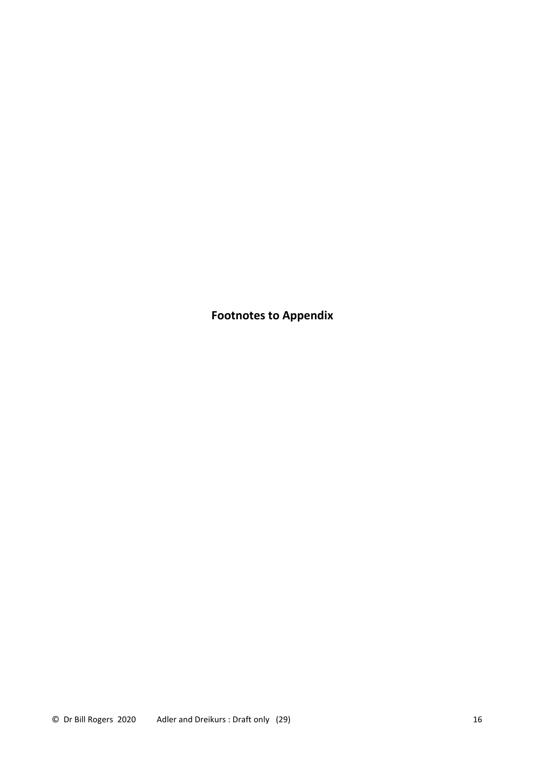**Footnotes to Appendix**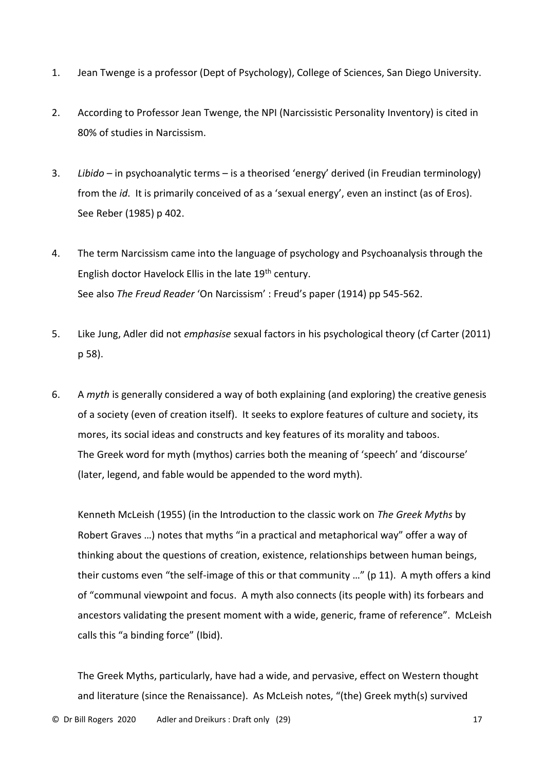- 1. Jean Twenge is a professor (Dept of Psychology), College of Sciences, San Diego University.
- 2. According to Professor Jean Twenge, the NPI (Narcissistic Personality Inventory) is cited in 80% of studies in Narcissism.
- 3. *Libido* in psychoanalytic terms is a theorised 'energy' derived (in Freudian terminology) from the *id*. It is primarily conceived of as a 'sexual energy', even an instinct (as of Eros). See Reber (1985) p 402.
- 4. The term Narcissism came into the language of psychology and Psychoanalysis through the English doctor Havelock Ellis in the late 19<sup>th</sup> century. See also *The Freud Reader* 'On Narcissism' : Freud's paper (1914) pp 545-562.
- 5. Like Jung, Adler did not *emphasise* sexual factors in his psychological theory (cf Carter (2011) p 58).
- 6. A *myth* is generally considered a way of both explaining (and exploring) the creative genesis of a society (even of creation itself). It seeks to explore features of culture and society, its mores, its social ideas and constructs and key features of its morality and taboos. The Greek word for myth (mythos) carries both the meaning of 'speech' and 'discourse' (later, legend, and fable would be appended to the word myth).

Kenneth McLeish (1955) (in the Introduction to the classic work on *The Greek Myths* by Robert Graves …) notes that myths "in a practical and metaphorical way" offer a way of thinking about the questions of creation, existence, relationships between human beings, their customs even "the self-image of this or that community …" (p 11). A myth offers a kind of "communal viewpoint and focus. A myth also connects (its people with) its forbears and ancestors validating the present moment with a wide, generic, frame of reference". McLeish calls this "a binding force" (Ibid).

The Greek Myths, particularly, have had a wide, and pervasive, effect on Western thought and literature (since the Renaissance). As McLeish notes, "(the) Greek myth(s) survived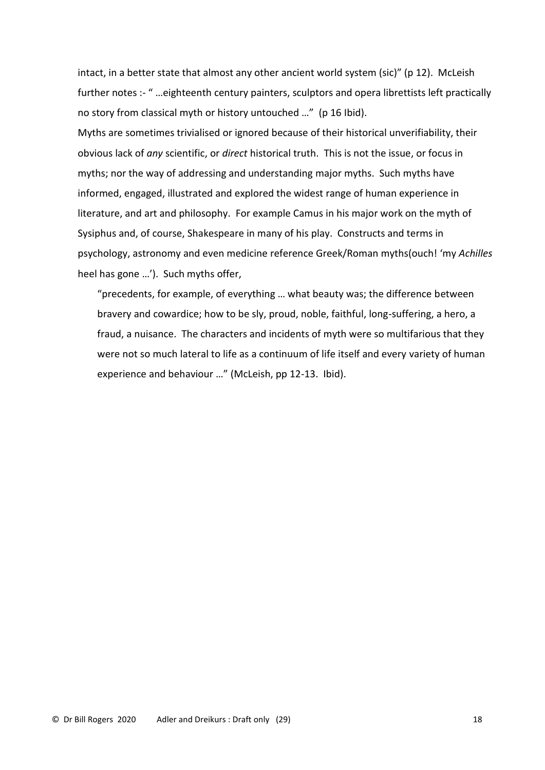intact, in a better state that almost any other ancient world system (sic)" (p 12). McLeish further notes :- " …eighteenth century painters, sculptors and opera librettists left practically no story from classical myth or history untouched …" (p 16 Ibid).

Myths are sometimes trivialised or ignored because of their historical unverifiability, their obvious lack of *any* scientific, or *direct* historical truth. This is not the issue, or focus in myths; nor the way of addressing and understanding major myths. Such myths have informed, engaged, illustrated and explored the widest range of human experience in literature, and art and philosophy. For example Camus in his major work on the myth of Sysiphus and, of course, Shakespeare in many of his play. Constructs and terms in psychology, astronomy and even medicine reference Greek/Roman myths(ouch! 'my *Achilles* heel has gone …'). Such myths offer,

"precedents, for example, of everything … what beauty was; the difference between bravery and cowardice; how to be sly, proud, noble, faithful, long-suffering, a hero, a fraud, a nuisance. The characters and incidents of myth were so multifarious that they were not so much lateral to life as a continuum of life itself and every variety of human experience and behaviour …" (McLeish, pp 12-13. Ibid).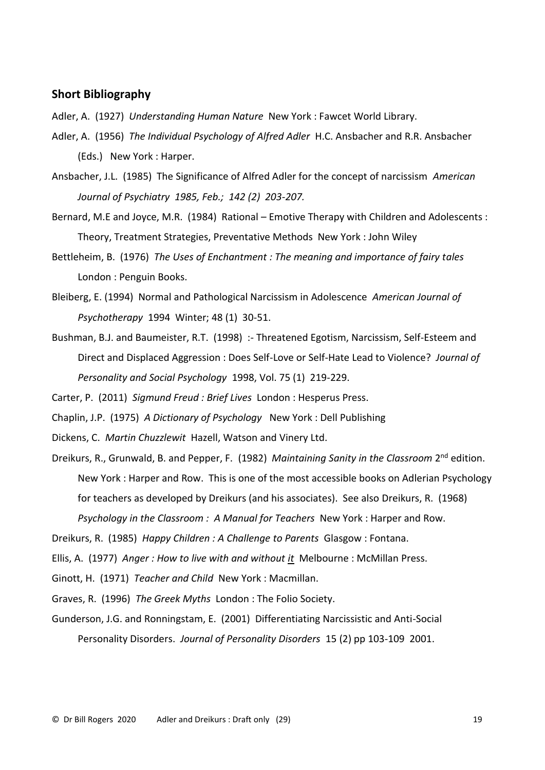# **Short Bibliography**

Adler, A. (1927) *Understanding Human Nature* New York : Fawcet World Library.

- Adler, A. (1956) *The Individual Psychology of Alfred Adler* H.C. Ansbacher and R.R. Ansbacher (Eds.) New York : Harper.
- Ansbacher, J.L. (1985) The Significance of Alfred Adler for the concept of narcissism *American Journal of Psychiatry 1985, Feb.; 142 (2) 203-207.*

Bernard, M.E and Joyce, M.R. (1984) Rational – Emotive Therapy with Children and Adolescents : Theory, Treatment Strategies, Preventative Methods New York : John Wiley

- Bettleheim, B. (1976) *The Uses of Enchantment : The meaning and importance of fairy tales*  London : Penguin Books.
- Bleiberg, E. (1994) Normal and Pathological Narcissism in Adolescence *American Journal of Psychotherapy* 1994 Winter; 48 (1) 30-51.
- Bushman, B.J. and Baumeister, R.T. (1998) :- Threatened Egotism, Narcissism, Self-Esteem and Direct and Displaced Aggression : Does Self-Love or Self-Hate Lead to Violence? *Journal of Personality and Social Psychology* 1998, Vol. 75 (1) 219-229.
- Carter, P. (2011) *Sigmund Freud : Brief Lives* London : Hesperus Press.
- Chaplin, J.P. (1975) *A Dictionary of Psychology* New York : Dell Publishing
- Dickens, C. *Martin Chuzzlewit* Hazell, Watson and Vinery Ltd.
- Dreikurs, R., Grunwald, B. and Pepper, F. (1982) Maintaining Sanity in the Classroom 2<sup>nd</sup> edition. New York : Harper and Row. This is one of the most accessible books on Adlerian Psychology for teachers as developed by Dreikurs (and his associates). See also Dreikurs, R. (1968) *Psychology in the Classroom : A Manual for Teachers* New York : Harper and Row.

Ellis, A. (1977) *Anger : How to live with and without it* Melbourne : McMillan Press.

Ginott, H. (1971) *Teacher and Child* New York : Macmillan.

Graves, R. (1996) *The Greek Myths* London : The Folio Society.

Gunderson, J.G. and Ronningstam, E. (2001) Differentiating Narcissistic and Anti-Social Personality Disorders. *Journal of Personality Disorders* 15 (2) pp 103-109 2001.

Dreikurs, R. (1985) *Happy Children : A Challenge to Parents* Glasgow : Fontana.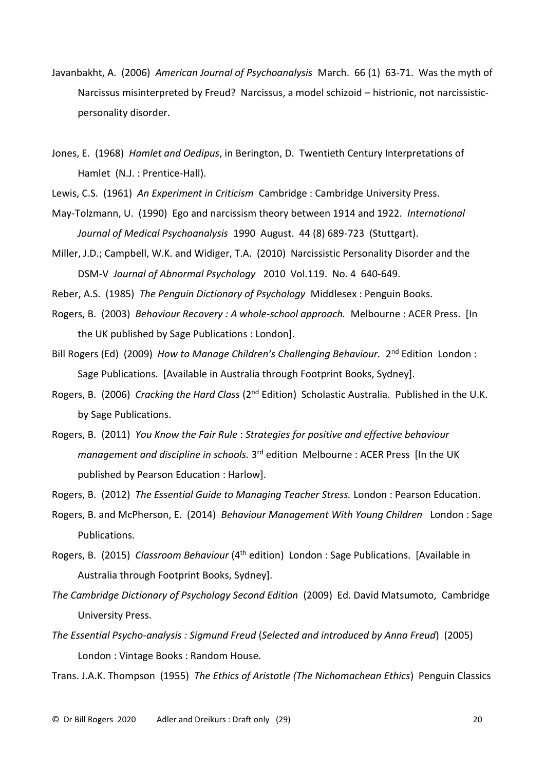- Javanbakht, A. (2006) *American Journal of Psychoanalysis* March. 66 (1) 63-71. Was the myth of Narcissus misinterpreted by Freud? Narcissus, a model schizoid – histrionic, not narcissisticpersonality disorder.
- Jones, E. (1968) *Hamlet and Oedipus*, in Berington, D. Twentieth Century Interpretations of Hamlet (N.J. : Prentice-Hall).
- Lewis, C.S. (1961) *An Experiment in Criticism* Cambridge : Cambridge University Press.
- May-Tolzmann, U. (1990) Ego and narcissism theory between 1914 and 1922. *International Journal of Medical Psychoanalysis* 1990 August. 44 (8) 689-723 (Stuttgart).

Miller, J.D.; Campbell, W.K. and Widiger, T.A. (2010) Narcissistic Personality Disorder and the DSM-V *Journal of Abnormal Psychology* 2010 Vol.119. No. 4 640-649.

- Reber, A.S. (1985) *The Penguin Dictionary of Psychology* Middlesex : Penguin Books.
- Rogers, B. (2003) *Behaviour Recovery : A whole-school approach.* Melbourne : ACER Press. [In the UK published by Sage Publications : London].
- Bill Rogers (Ed) (2009) How to Manage Children's Challenging Behaviour. 2<sup>nd</sup> Edition London: Sage Publications. [Available in Australia through Footprint Books, Sydney].
- Rogers, B. (2006) *Cracking the Hard Class* (2nd Edition) Scholastic Australia. Published in the U.K. by Sage Publications.
- Rogers, B. (2011) *You Know the Fair Rule* : *Strategies for positive and effective behaviour*  management and discipline in schools. 3<sup>rd</sup> edition Melbourne : ACER Press [In the UK published by Pearson Education : Harlow].
- Rogers, B. (2012) *The Essential Guide to Managing Teacher Stress.* London : Pearson Education.
- Rogers, B. and McPherson, E. (2014) *Behaviour Management With Young Children* London : Sage Publications.
- Rogers, B. (2015) *Classroom Behaviour* (4th edition) London : Sage Publications. [Available in Australia through Footprint Books, Sydney].
- *The Cambridge Dictionary of Psychology Second Edition* (2009) Ed. David Matsumoto, Cambridge University Press.
- *The Essential Psycho-analysis : Sigmund Freud* (*Selected and introduced by Anna Freud*) (2005) London : Vintage Books : Random House.

Trans. J.A.K. Thompson (1955) *The Ethics of Aristotle (The Nichomachean Ethics*) Penguin Classics